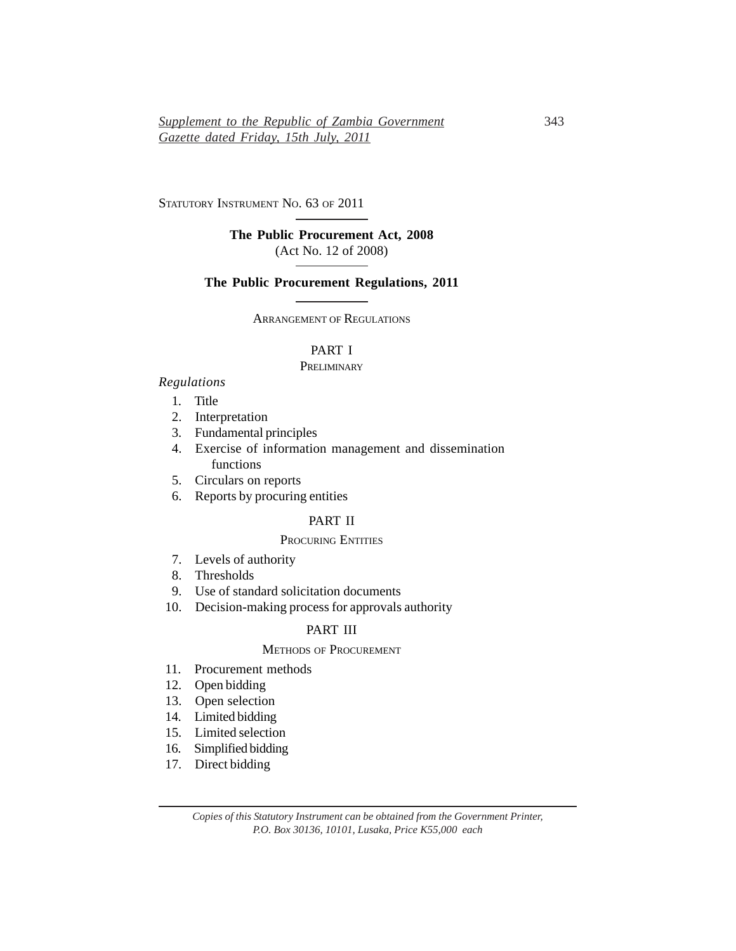STATUTORY INSTRUMENT NO. 63 OF 2011

# **The Public Procurement Act, 2008** (Act No. 12 of 2008)

## **The Public Procurement Regulations, 2011**

ARRANGEMENT OF REGULATIONS

# PART I

#### **PRELIMINARY**

#### *Regulations*

- 1. Title
- 2. Interpretation
- 3. Fundamental principles
- 4. Exercise of information management and dissemination functions
- 5. Circulars on reports
- 6. Reports by procuring entities

## PART II

## PROCURING ENTITIES

- 7. Levels of authority
- 8. Thresholds
- 9. Use of standard solicitation documents
- 10. Decision-making process for approvals authority

# PART III

# METHODS OF PROCUREMENT

- 11. Procurement methods
- 12. Open bidding
- 13. Open selection
- 14. Limited bidding
- 15. Limited selection
- 16. Simplified bidding
- 17. Direct bidding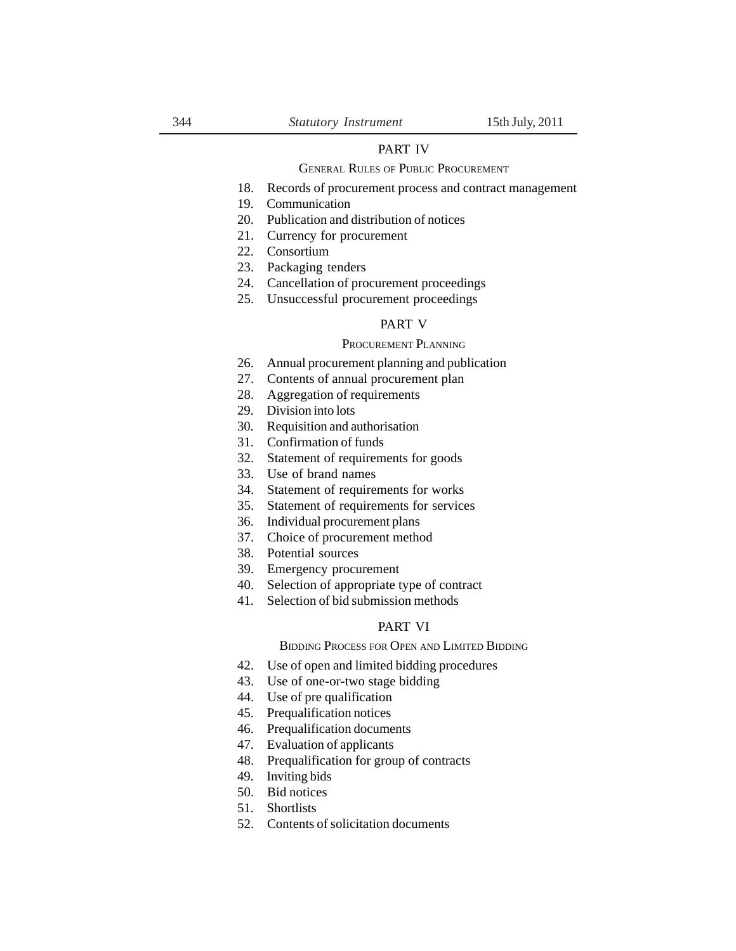## PART IV

#### GENERAL RULES OF PUBLIC PROCUREMENT

- 18. Records of procurement process and contract management
- 19. Communication
- 20. Publication and distribution of notices
- 21. Currency for procurement
- 22. Consortium
- 23. Packaging tenders
- 24. Cancellation of procurement proceedings
- 25. Unsuccessful procurement proceedings

## PART V

## PROCUREMENT PLANNING

- 26. Annual procurement planning and publication
- 27. Contents of annual procurement plan
- 28. Aggregation of requirements
- 29. Division into lots
- 30. Requisition and authorisation
- 31. Confirmation of funds
- 32. Statement of requirements for goods
- 33. Use of brand names
- 34. Statement of requirements for works
- 35. Statement of requirements for services
- 36. Individual procurement plans
- 37. Choice of procurement method
- 38. Potential sources
- 39. Emergency procurement
- 40. Selection of appropriate type of contract
- 41. Selection of bid submission methods

# PART VI

BIDDING PROCESS FOR OPEN AND LIMITED BIDDING

- 42. Use of open and limited bidding procedures
- 43. Use of one-or-two stage bidding
- 44. Use of pre qualification
- 45. Prequalification notices
- 46. Prequalification documents
- 47. Evaluation of applicants
- 48. Prequalification for group of contracts
- 49. Inviting bids
- 50. Bid notices
- 51. Shortlists
- 52. Contents of solicitation documents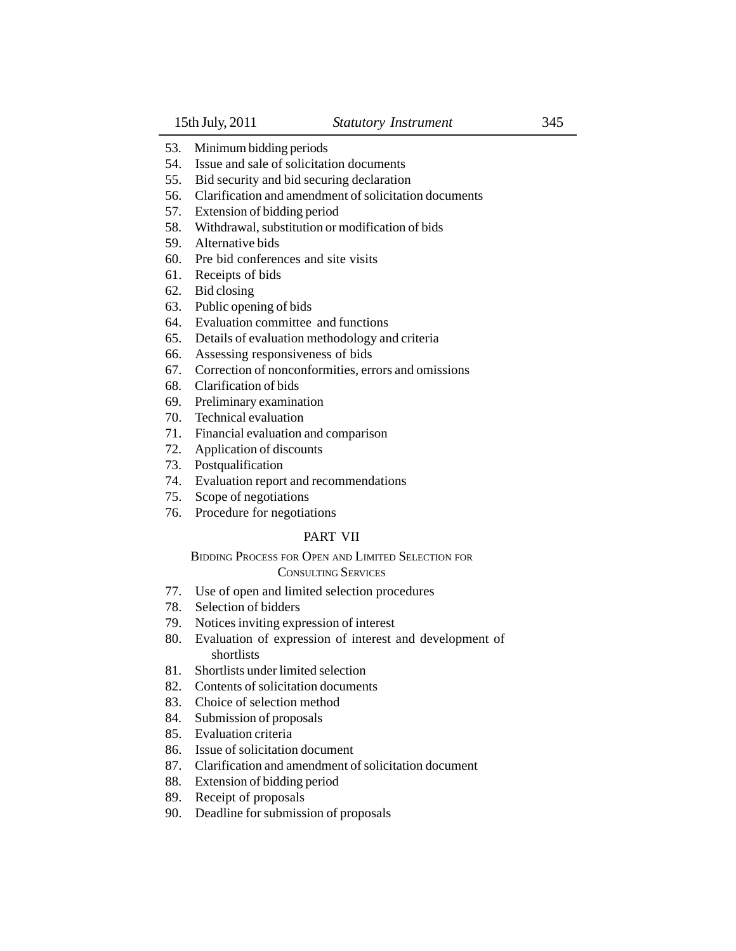- 53. Minimum bidding periods
- 54. Issue and sale of solicitation documents
- 55. Bid security and bid securing declaration
- 56. Clarification and amendment of solicitation documents
- 57. Extension of bidding period
- 58. Withdrawal, substitution or modification of bids
- 59. Alternative bids
- 60. Pre bid conferences and site visits
- 61. Receipts of bids
- 62. Bid closing
- 63. Public opening of bids
- 64. Evaluation committee and functions
- 65. Details of evaluation methodology and criteria
- 66. Assessing responsiveness of bids
- 67. Correction of nonconformities, errors and omissions
- 68. Clarification of bids
- 69. Preliminary examination
- 70. Technical evaluation
- 71. Financial evaluation and comparison
- 72. Application of discounts
- 73. Postqualification
- 74. Evaluation report and recommendations
- 75. Scope of negotiations
- 76. Procedure for negotiations

# PART VII

# BIDDING PROCESS FOR OPEN AND LIMITED SELECTION FOR

# CONSULTING SERVICES

- 77. Use of open and limited selection procedures
- 78. Selection of bidders
- 79. Notices inviting expression of interest
- 80. Evaluation of expression of interest and development of shortlists
- 81. Shortlists under limited selection
- 82. Contents of solicitation documents
- 83. Choice of selection method
- 84. Submission of proposals
- 85. Evaluation criteria
- 86. Issue of solicitation document
- 87. Clarification and amendment of solicitation document
- 88. Extension of bidding period
- 89. Receipt of proposals
- 90. Deadline for submission of proposals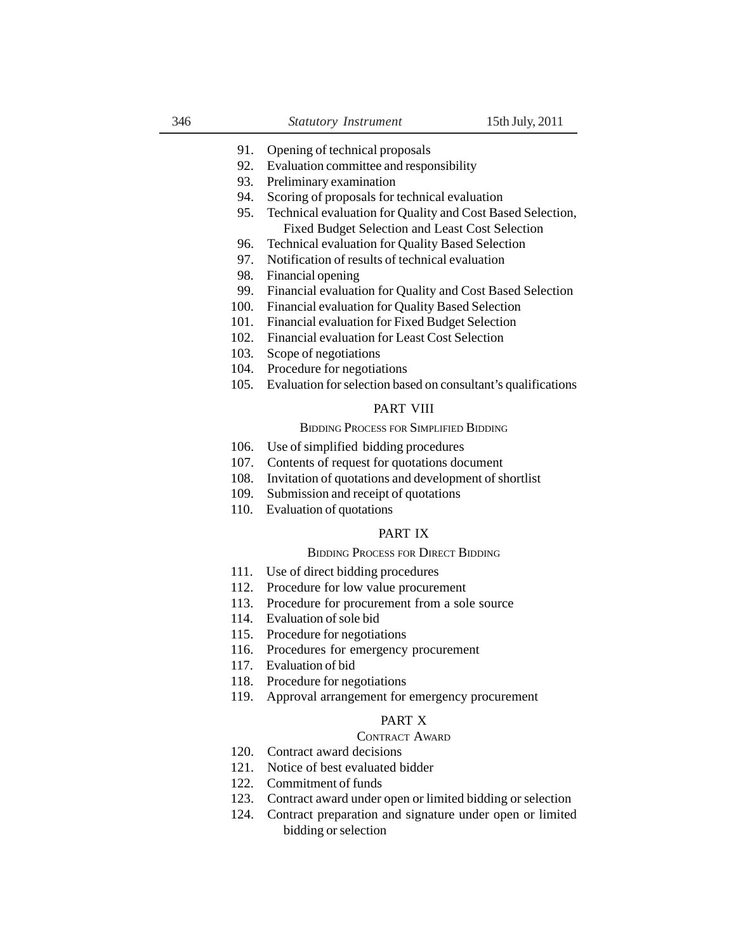- 91. Opening of technical proposals
- 92. Evaluation committee and responsibility
- 93. Preliminary examination
- 94. Scoring of proposals for technical evaluation
- 95. Technical evaluation for Quality and Cost Based Selection, Fixed Budget Selection and Least Cost Selection
- 96. Technical evaluation for Quality Based Selection
- 97. Notification of results of technical evaluation
- 98. Financial opening
- 99. Financial evaluation for Quality and Cost Based Selection
- 100. Financial evaluation for Quality Based Selection
- 101. Financial evaluation for Fixed Budget Selection
- 102. Financial evaluation for Least Cost Selection
- 103. Scope of negotiations
- 104. Procedure for negotiations
- 105. Evaluation for selection based on consultant's qualifications

## PART VIII

#### BIDDING PROCESS FOR SIMPLIFIED BIDDING

- 106. Use of simplified bidding procedures
- 107. Contents of request for quotations document
- 108. Invitation of quotations and development of shortlist
- 109. Submission and receipt of quotations
- 110. Evaluation of quotations

## PART IX

#### BIDDING PROCESS FOR DIRECT BIDDING

- 111. Use of direct bidding procedures
- 112. Procedure for low value procurement
- 113. Procedure for procurement from a sole source
- 114. Evaluation of sole bid
- 115. Procedure for negotiations
- 116. Procedures for emergency procurement
- 117. Evaluation of bid
- 118. Procedure for negotiations
- 119. Approval arrangement for emergency procurement

# PART X

## CONTRACT AWARD

- 120. Contract award decisions
- 121. Notice of best evaluated bidder
- 122. Commitment of funds
- 123. Contract award under open or limited bidding or selection
- 124. Contract preparation and signature under open or limited bidding or selection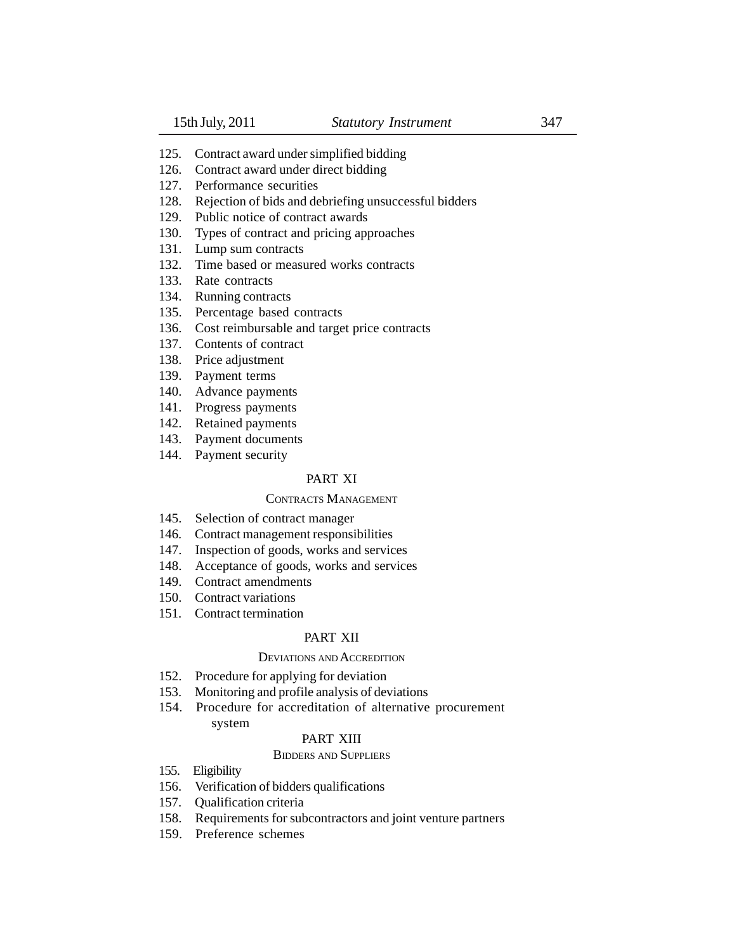- 125. Contract award under simplified bidding
- 126. Contract award under direct bidding
- 127. Performance securities
- 128. Rejection of bids and debriefing unsuccessful bidders
- 129. Public notice of contract awards
- 130. Types of contract and pricing approaches
- 131. Lump sum contracts
- 132. Time based or measured works contracts
- 133. Rate contracts
- 134. Running contracts
- 135. Percentage based contracts
- 136. Cost reimbursable and target price contracts
- 137. Contents of contract
- 138. Price adjustment
- 139. Payment terms
- 140. Advance payments
- 141. Progress payments
- 142. Retained payments
- 143. Payment documents
- 144. Payment security

# PART XI

## CONTRACTS MANAGEMENT

- 145. Selection of contract manager
- 146. Contract management responsibilities
- 147. Inspection of goods, works and services
- 148. Acceptance of goods, works and services
- 149. Contract amendments
- 150. Contract variations
- 151. Contract termination

## PART XII

## DEVIATIONS AND ACCREDITION

- 152. Procedure for applying for deviation
- 153. Monitoring and profile analysis of deviations
- 154. Procedure for accreditation of alternative procurement

## system

# PART XIII

## BIDDERS AND SUPPLIERS

- 155. Eligibility
- 156. Verification of bidders qualifications
- 157. Qualification criteria
- 158. Requirements for subcontractors and joint venture partners
- 159. Preference schemes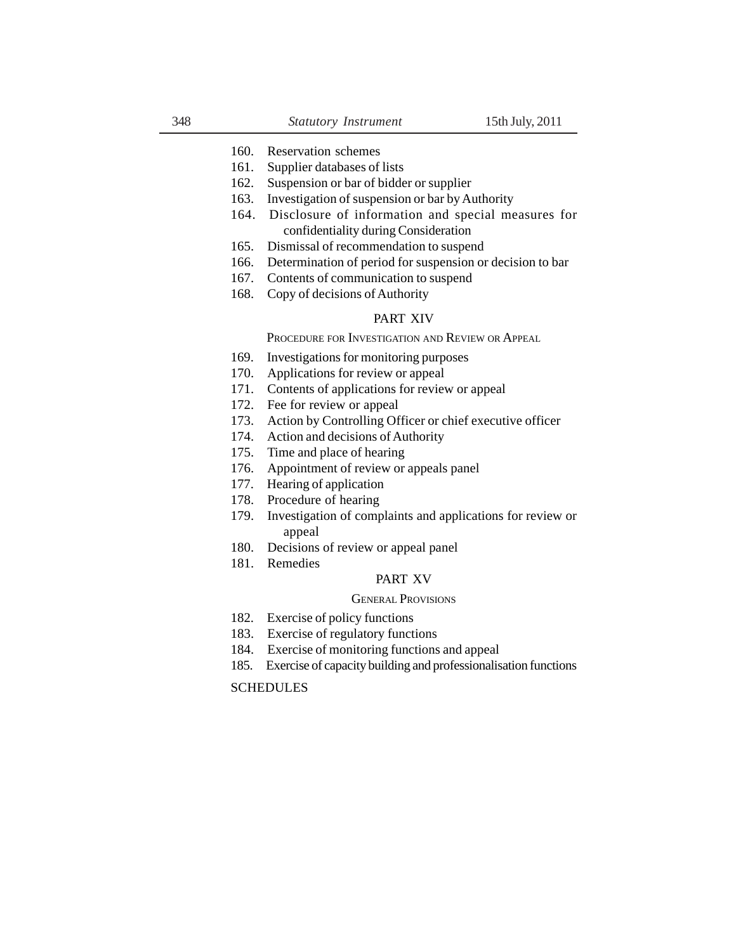#### 160. Reservation schemes

- 161. Supplier databases of lists
- 162. Suspension or bar of bidder or supplier
- 163. Investigation of suspension or bar by Authority
- 164. Disclosure of information and special measures for confidentiality during Consideration
- 165. Dismissal of recommendation to suspend
- 166. Determination of period for suspension or decision to bar
- 167. Contents of communication to suspend
- 168. Copy of decisions of Authority

## PART XIV

PROCEDURE FOR INVESTIGATION AND REVIEW OR APPEAL

- 169. Investigations for monitoring purposes
- 170. Applications for review or appeal
- 171. Contents of applications for review or appeal
- 172. Fee for review or appeal
- 173. Action by Controlling Officer or chief executive officer
- 174. Action and decisions of Authority
- 175. Time and place of hearing
- 176. Appointment of review or appeals panel
- 177. Hearing of application
- 178. Procedure of hearing
- 179. Investigation of complaints and applications for review or appeal
- 180. Decisions of review or appeal panel
- 181. Remedies

#### PART XV

#### GENERAL PROVISIONS

- 182. Exercise of policy functions
- 183. Exercise of regulatory functions
- 184. Exercise of monitoring functions and appeal
- 185. Exercise of capacity building and professionalisation functions

## SCHEDULES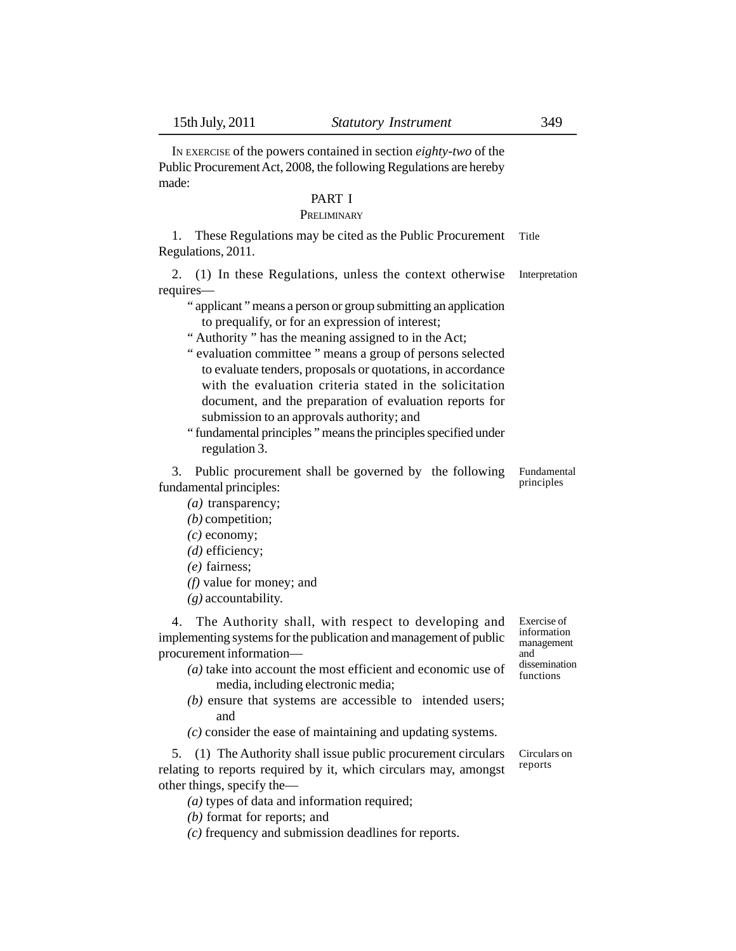IN EXERCISE of the powers contained in section *eighty-two* of the Public Procurement Act, 2008, the following Regulations are hereby made:

# PART I

# **PRELIMINARY**

1. These Regulations may be cited as the Public Procurement Regulations, 2011. Title

2. (1) In these Regulations, unless the context otherwise requires— Interpretation

" applicant " means a person or group submitting an application to prequalify, or for an expression of interest;

" Authority " has the meaning assigned to in the Act;

- " evaluation committee " means a group of persons selected to evaluate tenders, proposals or quotations, in accordance with the evaluation criteria stated in the solicitation document, and the preparation of evaluation reports for submission to an approvals authority; and
- " fundamental principles " means the principles specified under regulation 3.

3. Public procurement shall be governed by the following fundamental principles: Fundamental principles

- *(a)* transparency;
- *(b)* competition;
- *(c)* economy;
- *(d)* efficiency;
- *(e)* fairness;
- *(f)* value for money; and
- *(g)* accountability.

4. The Authority shall, with respect to developing and implementing systems for the publication and management of public procurement information—

- *(a)* take into account the most efficient and economic use of media, including electronic media;
- *(b)* ensure that systems are accessible to intended users; and
- *(c)* consider the ease of maintaining and updating systems.

5. (1) The Authority shall issue public procurement circulars relating to reports required by it, which circulars may, amongst other things, specify the—

*(a)* types of data and information required;

- *(b)* format for reports; and
- *(c)* frequency and submission deadlines for reports.

Circulars on reports

Exercise of information management and dissemination functions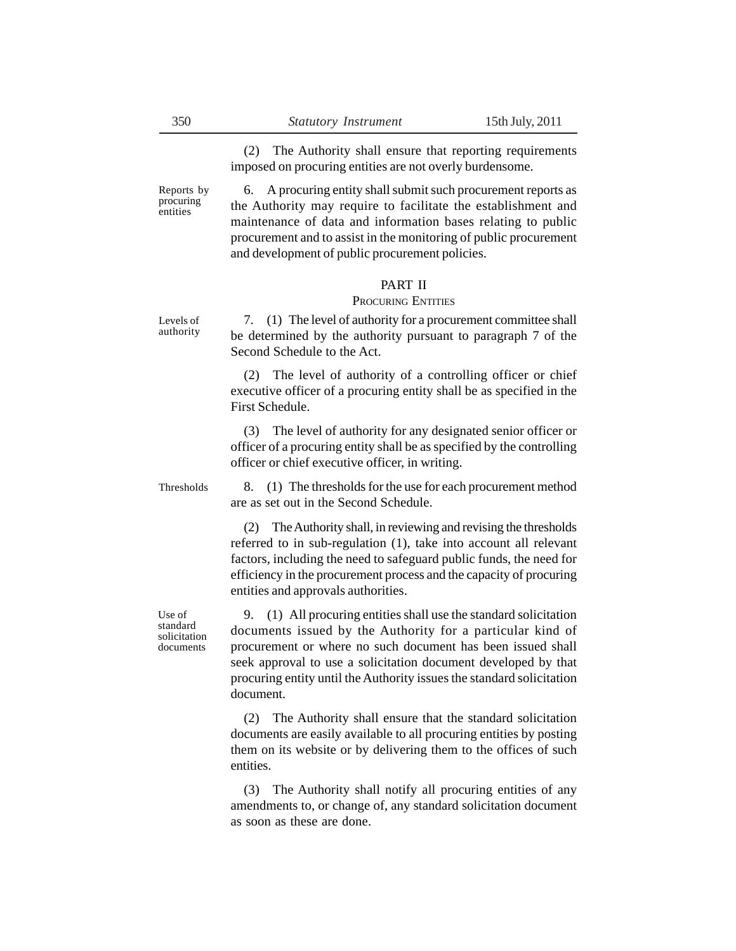(2) The Authority shall ensure that reporting requirements imposed on procuring entities are not overly burdensome.

6. A procuring entity shall submit such procurement reports as the Authority may require to facilitate the establishment and maintenance of data and information bases relating to public procurement and to assist in the monitoring of public procurement and development of public procurement policies.

# PART II

#### PROCURING ENTITIES

7. (1) The level of authority for a procurement committee shall be determined by the authority pursuant to paragraph 7 of the Second Schedule to the Act. Levels of authority

> (2) The level of authority of a controlling officer or chief executive officer of a procuring entity shall be as specified in the First Schedule.

> (3) The level of authority for any designated senior officer or officer of a procuring entity shall be as specified by the controlling officer or chief executive officer, in writing.

Thresholds

8. (1) The thresholds for the use for each procurement method are as set out in the Second Schedule.

(2) The Authority shall, in reviewing and revising the thresholds referred to in sub-regulation (1), take into account all relevant factors, including the need to safeguard public funds, the need for efficiency in the procurement process and the capacity of procuring entities and approvals authorities.

Use of standard solicitation documents

9. (1) All procuring entities shall use the standard solicitation documents issued by the Authority for a particular kind of procurement or where no such document has been issued shall seek approval to use a solicitation document developed by that procuring entity until the Authority issues the standard solicitation document.

(2) The Authority shall ensure that the standard solicitation documents are easily available to all procuring entities by posting them on its website or by delivering them to the offices of such entities.

(3) The Authority shall notify all procuring entities of any amendments to, or change of, any standard solicitation document as soon as these are done.

Reports by procuring entities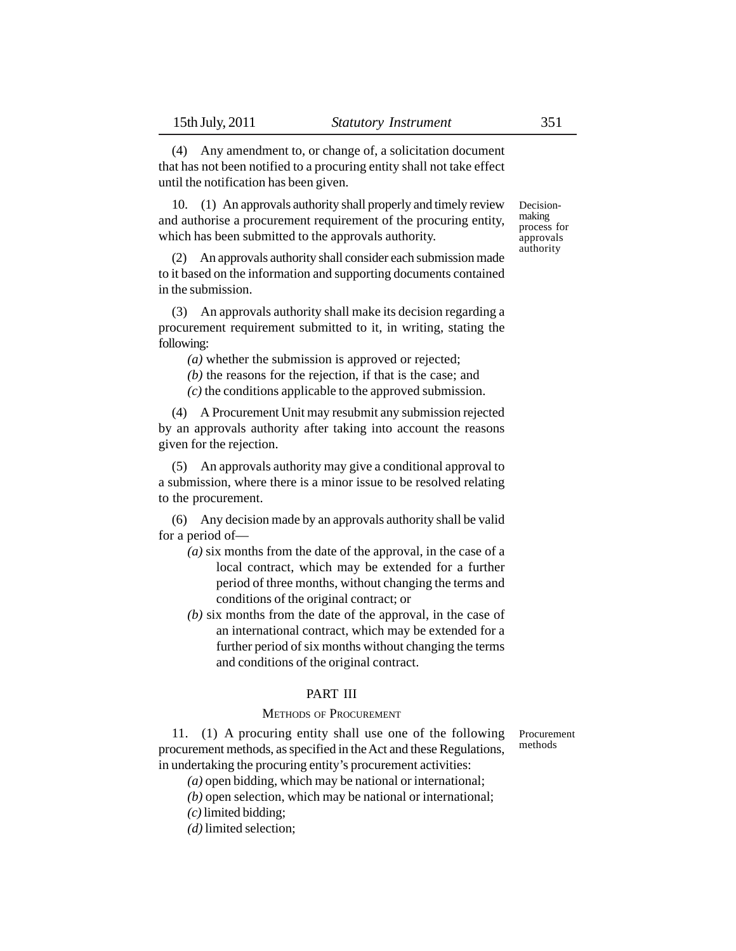(4) Any amendment to, or change of, a solicitation document that has not been notified to a procuring entity shall not take effect until the notification has been given.

10. (1) An approvals authority shall properly and timely review and authorise a procurement requirement of the procuring entity, which has been submitted to the approvals authority.

(2) An approvals authority shall consider each submission made to it based on the information and supporting documents contained in the submission.

(3) An approvals authority shall make its decision regarding a procurement requirement submitted to it, in writing, stating the following:

*(a)* whether the submission is approved or rejected;

*(b)* the reasons for the rejection, if that is the case; and

*(c)* the conditions applicable to the approved submission.

(4) A Procurement Unit may resubmit any submission rejected by an approvals authority after taking into account the reasons given for the rejection.

(5) An approvals authority may give a conditional approval to a submission, where there is a minor issue to be resolved relating to the procurement.

(6) Any decision made by an approvals authority shall be valid for a period of—

- *(a)* six months from the date of the approval, in the case of a local contract, which may be extended for a further period of three months, without changing the terms and conditions of the original contract; or
- *(b)* six months from the date of the approval, in the case of an international contract, which may be extended for a further period of six months without changing the terms and conditions of the original contract.

## PART III

## METHODS OF PROCUREMENT

Procurement methods

11. (1) A procuring entity shall use one of the following procurement methods, as specified in the Act and these Regulations, in undertaking the procuring entity's procurement activities:

*(a)* open bidding, which may be national or international;

*(b)* open selection, which may be national or international;

*(c)* limited bidding;

*(d)* limited selection;

Decisionmaking process for approvals authority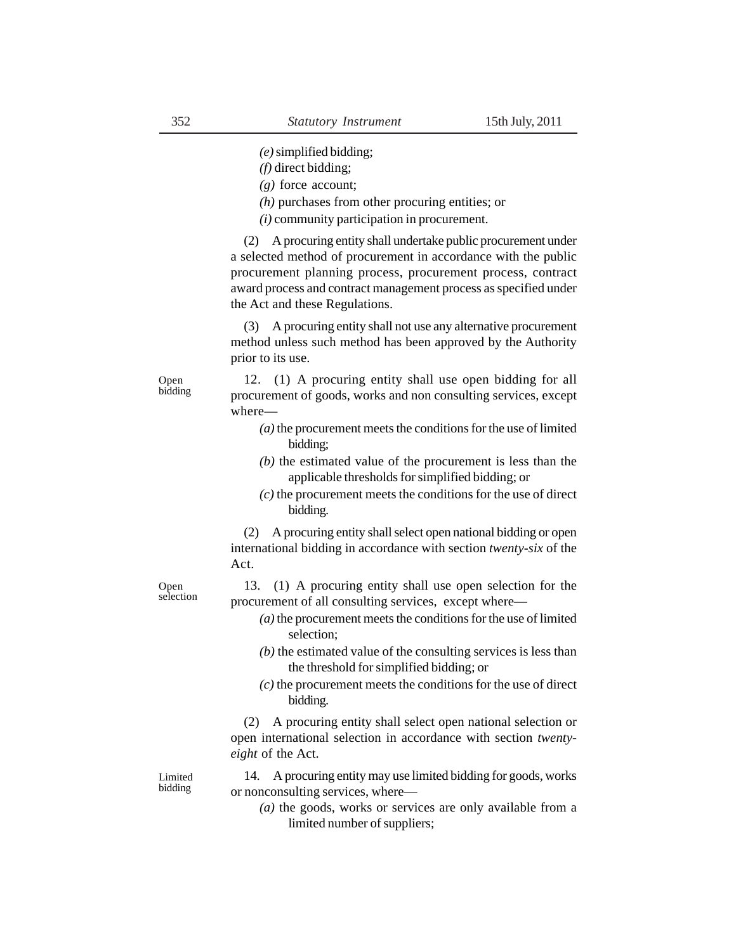*(e)* simplified bidding;

*(f)* direct bidding;

*(g)* force account;

*(h)* purchases from other procuring entities; or

*(i)* community participation in procurement.

(2) A procuring entity shall undertake public procurement under a selected method of procurement in accordance with the public procurement planning process, procurement process, contract award process and contract management process as specified under the Act and these Regulations.

(3) A procuring entity shall not use any alternative procurement method unless such method has been approved by the Authority prior to its use.

Open bidding

Open selection

12. (1) A procuring entity shall use open bidding for all procurement of goods, works and non consulting services, except where—

- *(a)* the procurement meets the conditions for the use of limited bidding;
- *(b)* the estimated value of the procurement is less than the applicable thresholds for simplified bidding; or
- *(c)* the procurement meets the conditions for the use of direct bidding.

(2) A procuring entity shall select open national bidding or open international bidding in accordance with section *twenty-six* of the Act.

13. (1) A procuring entity shall use open selection for the procurement of all consulting services, except where—

- *(a)* the procurement meets the conditions for the use of limited selection;
- *(b)* the estimated value of the consulting services is less than the threshold for simplified bidding; or
- *(c)* the procurement meets the conditions for the use of direct bidding.

(2) A procuring entity shall select open national selection or open international selection in accordance with section *twentyeight* of the Act.

Limited bidding

14. A procuring entity may use limited bidding for goods, works or nonconsulting services, where—

*(a)* the goods, works or services are only available from a limited number of suppliers;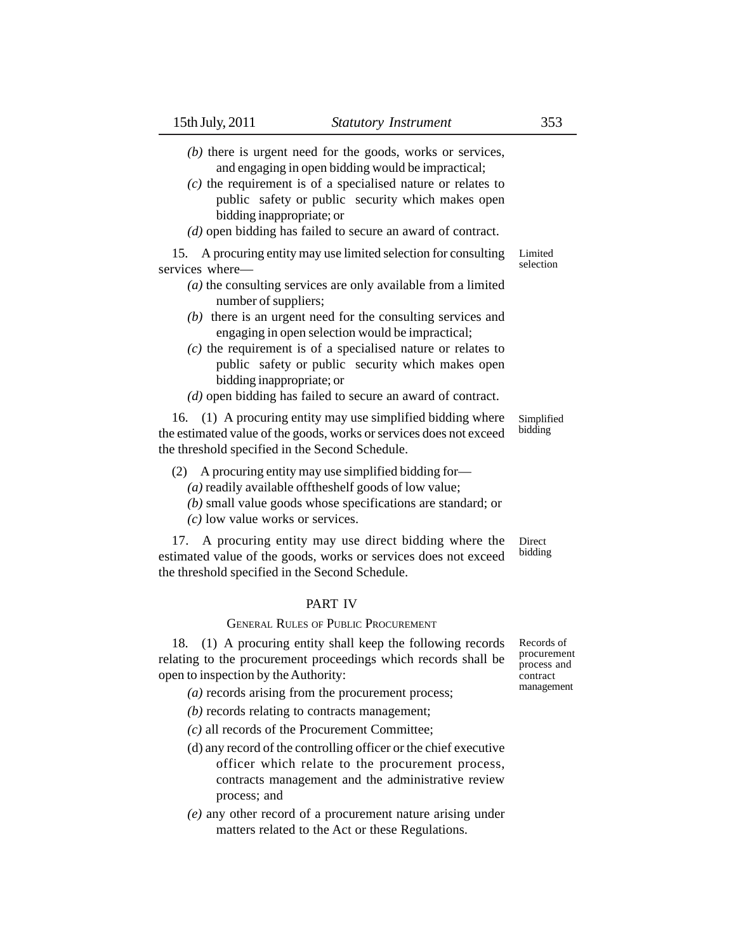- *(b)* there is urgent need for the goods, works or services, and engaging in open bidding would be impractical;
- *(c)* the requirement is of a specialised nature or relates to public safety or public security which makes open bidding inappropriate; or
- *(d)* open bidding has failed to secure an award of contract.

15. A procuring entity may use limited selection for consulting services where— Limited selection

- *(a)* the consulting services are only available from a limited number of suppliers;
- *(b)* there is an urgent need for the consulting services and engaging in open selection would be impractical;
- *(c)* the requirement is of a specialised nature or relates to public safety or public security which makes open bidding inappropriate; or
- *(d)* open bidding has failed to secure an award of contract.

16. (1) A procuring entity may use simplified bidding where the estimated value of the goods, works or services does not exceed the threshold specified in the Second Schedule.

- (2) A procuring entity may use simplified bidding for—
	- *(a)* readily available offtheshelf goods of low value;
	- *(b)* small value goods whose specifications are standard; or
	- *(c)* low value works or services.

17. A procuring entity may use direct bidding where the estimated value of the goods, works or services does not exceed the threshold specified in the Second Schedule. **Direct** bidding

## PART IV

#### GENERAL RULES OF PUBLIC PROCUREMENT

18. (1) A procuring entity shall keep the following records relating to the procurement proceedings which records shall be open to inspection by the Authority:

- *(a)* records arising from the procurement process;
- *(b)* records relating to contracts management;
- *(c)* all records of the Procurement Committee;
- (d) any record of the controlling officer or the chief executive officer which relate to the procurement process, contracts management and the administrative review process; and
- *(e)* any other record of a procurement nature arising under matters related to the Act or these Regulations.

Records of procurement process and contract management

Simplified bidding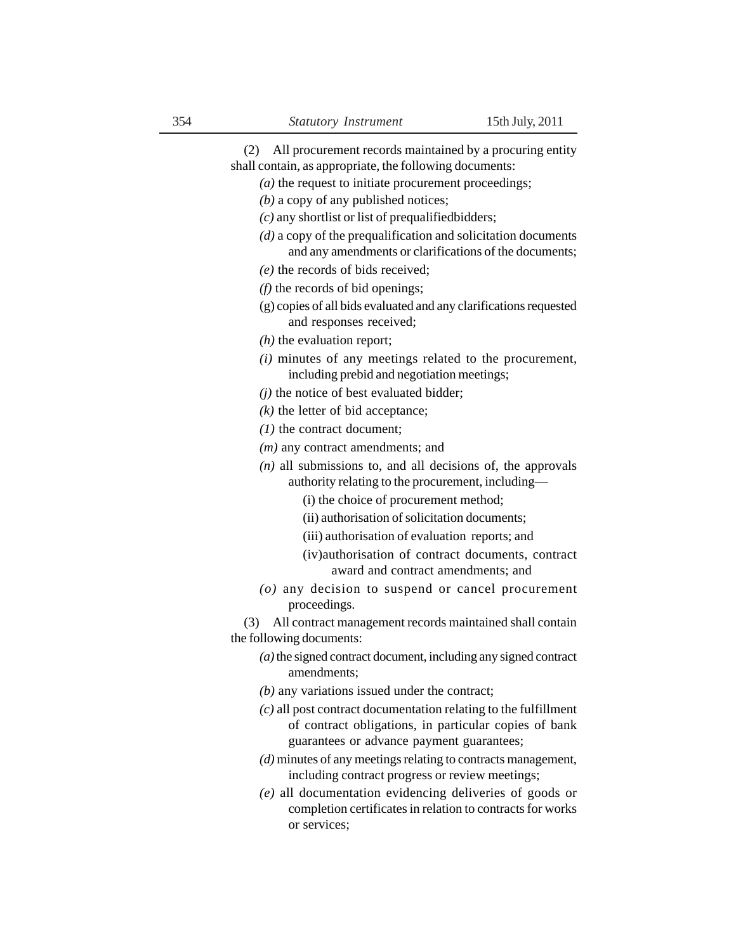(2) All procurement records maintained by a procuring entity shall contain, as appropriate, the following documents: *(a)* the request to initiate procurement proceedings; *(b)* a copy of any published notices; *(c)* any shortlist or list of prequalifiedbidders; *(d)* a copy of the prequalification and solicitation documents and any amendments or clarifications of the documents; *(e)* the records of bids received; *(f)* the records of bid openings; (g) copies of all bids evaluated and any clarifications requested and responses received; *(h)* the evaluation report; *(i)* minutes of any meetings related to the procurement, including prebid and negotiation meetings; *(j)* the notice of best evaluated bidder; *(k)* the letter of bid acceptance; *(1)* the contract document; *(m)* any contract amendments; and *(n)* all submissions to, and all decisions of, the approvals authority relating to the procurement, including— (i) the choice of procurement method; (ii) authorisation of solicitation documents; (iii) authorisation of evaluation reports; and (iv)authorisation of contract documents, contract award and contract amendments; and *(o)* any decision to suspend or cancel procurement proceedings. (3) All contract management records maintained shall contain the following documents: *(a)* the signed contract document, including any signed contract amendments; *(b)* any variations issued under the contract; *(c)* all post contract documentation relating to the fulfillment of contract obligations, in particular copies of bank guarantees or advance payment guarantees; *(d)* minutes of any meetings relating to contracts management, including contract progress or review meetings; *(e)* all documentation evidencing deliveries of goods or

completion certificates in relation to contracts for works or services;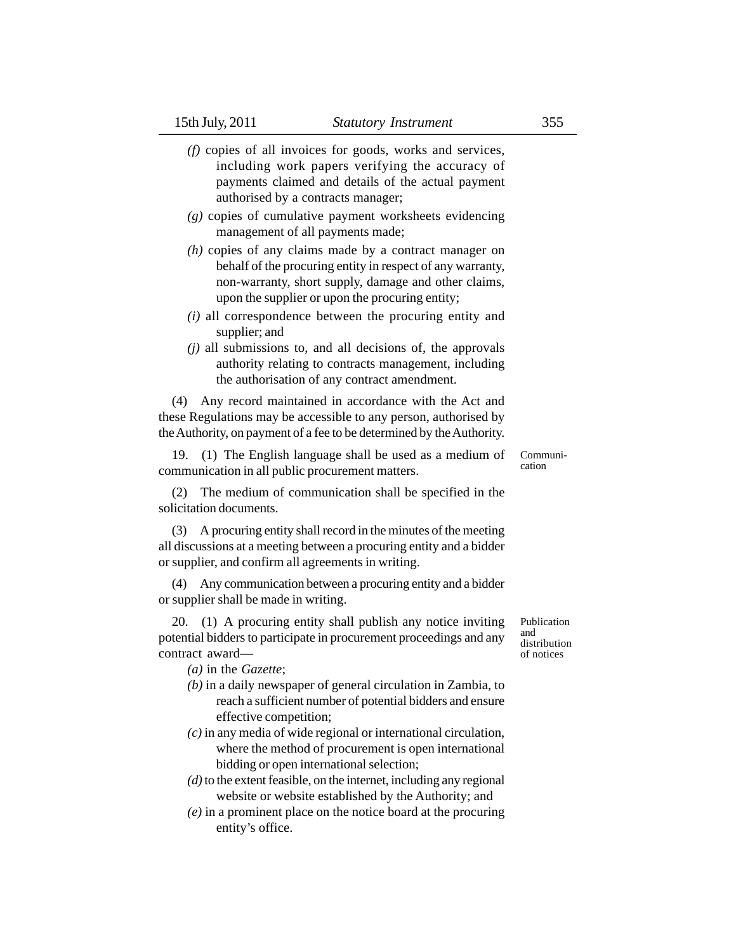- *(f)* copies of all invoices for goods, works and services, including work papers verifying the accuracy of payments claimed and details of the actual payment authorised by a contracts manager;
- *(g)* copies of cumulative payment worksheets evidencing management of all payments made;
- *(h)* copies of any claims made by a contract manager on behalf of the procuring entity in respect of any warranty, non-warranty, short supply, damage and other claims, upon the supplier or upon the procuring entity;
- *(i)* all correspondence between the procuring entity and supplier; and
- *(j)* all submissions to, and all decisions of, the approvals authority relating to contracts management, including the authorisation of any contract amendment.

(4) Any record maintained in accordance with the Act and these Regulations may be accessible to any person, authorised by the Authority, on payment of a fee to be determined by the Authority.

19. (1) The English language shall be used as a medium of communication in all public procurement matters.

(2) The medium of communication shall be specified in the solicitation documents.

(3) A procuring entity shall record in the minutes of the meeting all discussions at a meeting between a procuring entity and a bidder or supplier, and confirm all agreements in writing.

(4) Any communication between a procuring entity and a bidder or supplier shall be made in writing.

20. (1) A procuring entity shall publish any notice inviting potential bidders to participate in procurement proceedings and any contract award—

*(a)* in the *Gazette*;

- *(b)* in a daily newspaper of general circulation in Zambia, to reach a sufficient number of potential bidders and ensure effective competition;
- *(c)* in any media of wide regional or international circulation, where the method of procurement is open international bidding or open international selection;
- *(d)* to the extent feasible, on the internet, including any regional website or website established by the Authority; and
- *(e)* in a prominent place on the notice board at the procuring entity's office.

Publication and distribution of notices

Communication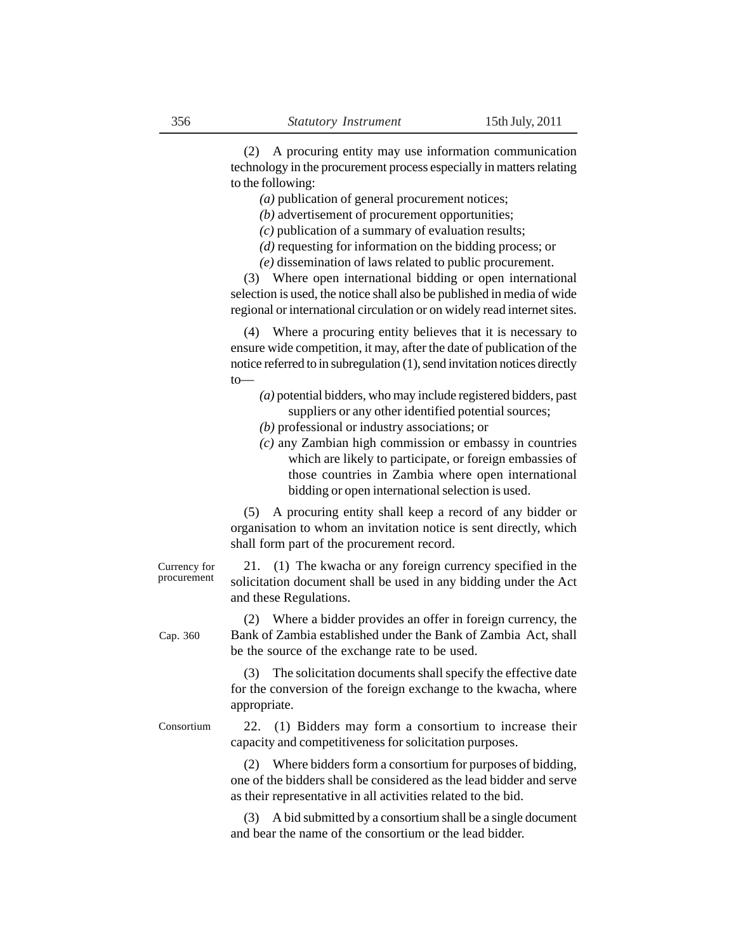(2) A procuring entity may use information communication technology in the procurement process especially in matters relating to the following:

*(a)* publication of general procurement notices;

*(b)* advertisement of procurement opportunities;

*(c)* publication of a summary of evaluation results;

*(d)* requesting for information on the bidding process; or

*(e)* dissemination of laws related to public procurement.

(3) Where open international bidding or open international selection is used, the notice shall also be published in media of wide regional or international circulation or on widely read internet sites.

(4) Where a procuring entity believes that it is necessary to ensure wide competition, it may, after the date of publication of the notice referred to in subregulation (1), send invitation notices directly to—

- *(a)* potential bidders, who may include registered bidders, past suppliers or any other identified potential sources;
- *(b)* professional or industry associations; or
- *(c)* any Zambian high commission or embassy in countries which are likely to participate, or foreign embassies of those countries in Zambia where open international bidding or open international selection is used.

(5) A procuring entity shall keep a record of any bidder or organisation to whom an invitation notice is sent directly, which shall form part of the procurement record.

Currency for procurement

Cap. 360

Consortium

21. (1) The kwacha or any foreign currency specified in the solicitation document shall be used in any bidding under the Act and these Regulations.

(2) Where a bidder provides an offer in foreign currency, the Bank of Zambia established under the Bank of Zambia Act, shall be the source of the exchange rate to be used.

(3) The solicitation documents shall specify the effective date for the conversion of the foreign exchange to the kwacha, where appropriate.

22. (1) Bidders may form a consortium to increase their capacity and competitiveness for solicitation purposes.

(2) Where bidders form a consortium for purposes of bidding, one of the bidders shall be considered as the lead bidder and serve as their representative in all activities related to the bid.

(3) A bid submitted by a consortium shall be a single document and bear the name of the consortium or the lead bidder.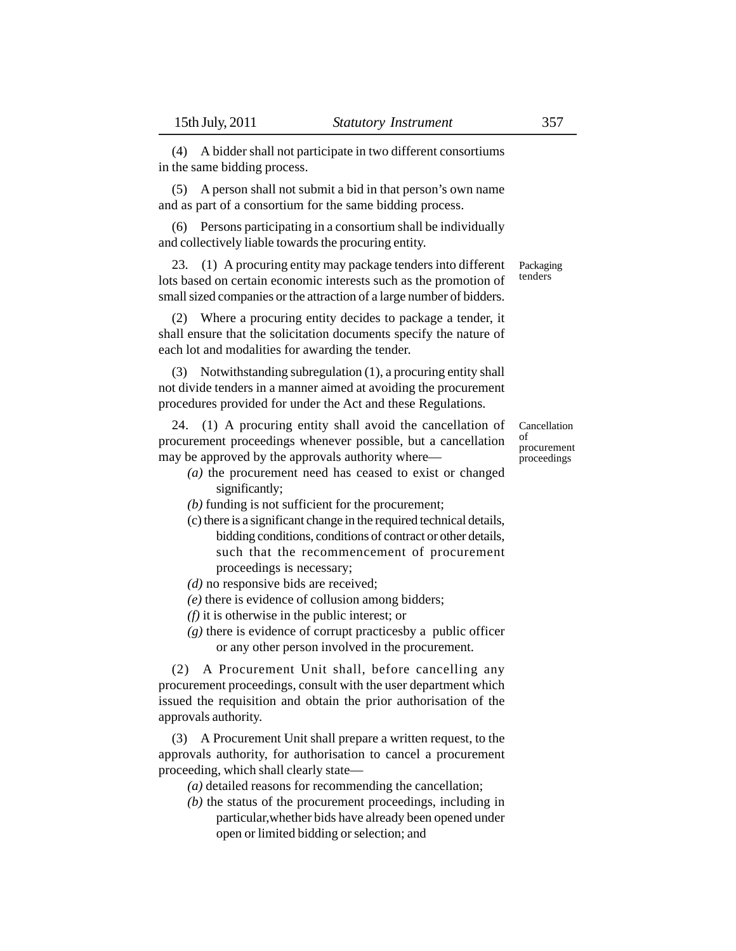(4) A bidder shall not participate in two different consortiums in the same bidding process.

(5) A person shall not submit a bid in that person's own name and as part of a consortium for the same bidding process.

(6) Persons participating in a consortium shall be individually and collectively liable towards the procuring entity.

23. (1) A procuring entity may package tenders into different lots based on certain economic interests such as the promotion of small sized companies or the attraction of a large number of bidders. Packaging tenders

(2) Where a procuring entity decides to package a tender, it shall ensure that the solicitation documents specify the nature of each lot and modalities for awarding the tender.

(3) Notwithstanding subregulation (1), a procuring entity shall not divide tenders in a manner aimed at avoiding the procurement procedures provided for under the Act and these Regulations.

24. (1) A procuring entity shall avoid the cancellation of procurement proceedings whenever possible, but a cancellation may be approved by the approvals authority where—

- *(a)* the procurement need has ceased to exist or changed significantly;
- *(b)* funding is not sufficient for the procurement;
- (c) there is a significant change in the required technical details, bidding conditions, conditions of contract or other details, such that the recommencement of procurement proceedings is necessary;
- *(d)* no responsive bids are received;
- *(e)* there is evidence of collusion among bidders;
- *(f)* it is otherwise in the public interest; or
- *(g)* there is evidence of corrupt practicesby a public officer or any other person involved in the procurement.

(2) A Procurement Unit shall, before cancelling any procurement proceedings, consult with the user department which issued the requisition and obtain the prior authorisation of the approvals authority.

(3) A Procurement Unit shall prepare a written request, to the approvals authority, for authorisation to cancel a procurement proceeding, which shall clearly state—

*(a)* detailed reasons for recommending the cancellation;

*(b)* the status of the procurement proceedings, including in particular,whether bids have already been opened under open or limited bidding or selection; and

Cancellation of procurement proceedings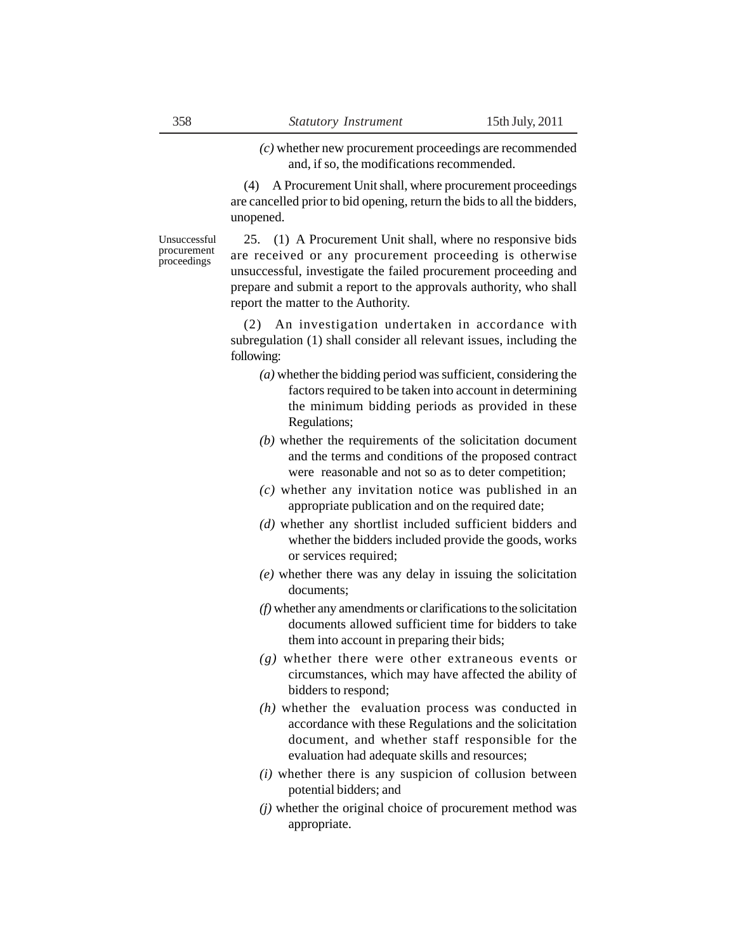*(c)* whether new procurement proceedings are recommended and, if so, the modifications recommended.

(4) A Procurement Unit shall, where procurement proceedings are cancelled prior to bid opening, return the bids to all the bidders, unopened.

Unsuccessful procurement proceedings

25. (1) A Procurement Unit shall, where no responsive bids are received or any procurement proceeding is otherwise unsuccessful, investigate the failed procurement proceeding and prepare and submit a report to the approvals authority, who shall report the matter to the Authority.

(2) An investigation undertaken in accordance with subregulation (1) shall consider all relevant issues, including the following:

- *(a)* whether the bidding period was sufficient, considering the factors required to be taken into account in determining the minimum bidding periods as provided in these Regulations;
- *(b)* whether the requirements of the solicitation document and the terms and conditions of the proposed contract were reasonable and not so as to deter competition;
- *(c)* whether any invitation notice was published in an appropriate publication and on the required date;
- *(d)* whether any shortlist included sufficient bidders and whether the bidders included provide the goods, works or services required;
- *(e)* whether there was any delay in issuing the solicitation documents;
- *(f)* whether any amendments or clarifications to the solicitation documents allowed sufficient time for bidders to take them into account in preparing their bids;
- *(g)* whether there were other extraneous events or circumstances, which may have affected the ability of bidders to respond;
- *(h)* whether the evaluation process was conducted in accordance with these Regulations and the solicitation document, and whether staff responsible for the evaluation had adequate skills and resources;
- *(i)* whether there is any suspicion of collusion between potential bidders; and
- *(j)* whether the original choice of procurement method was appropriate.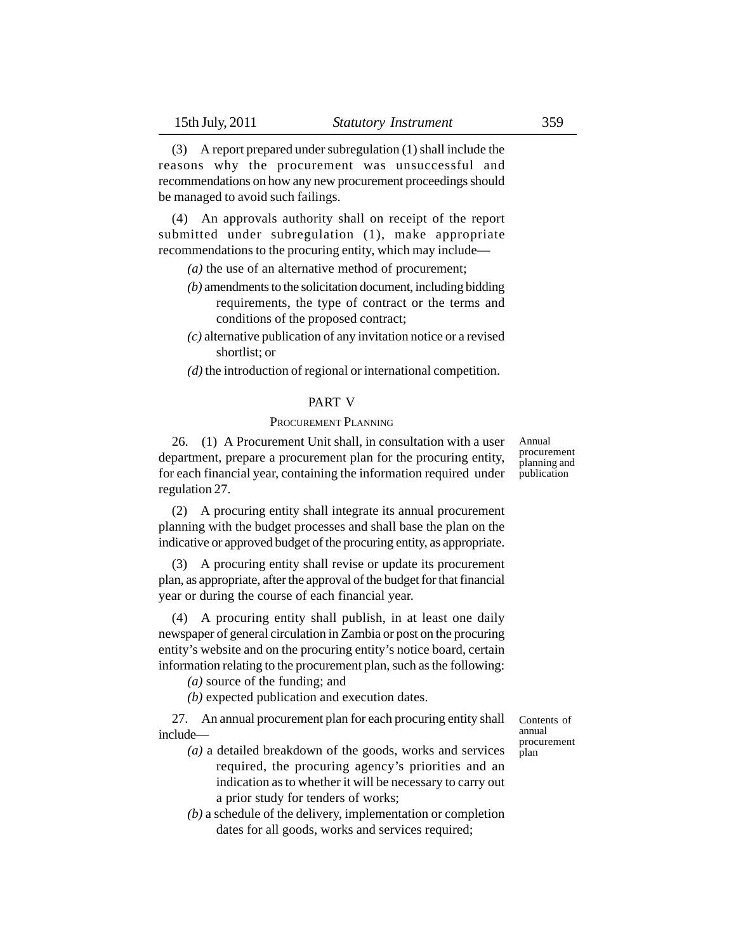(3) A report prepared under subregulation (1) shall include the reasons why the procurement was unsuccessful and recommendations on how any new procurement proceedings should be managed to avoid such failings.

(4) An approvals authority shall on receipt of the report submitted under subregulation (1), make appropriate recommendations to the procuring entity, which may include—

*(a)* the use of an alternative method of procurement;

- *(b)* amendments to the solicitation document, including bidding requirements, the type of contract or the terms and conditions of the proposed contract;
- *(c)* alternative publication of any invitation notice or a revised shortlist; or
- *(d)* the introduction of regional or international competition.

## PART V

## PROCUREMENT PLANNING

26. (1) A Procurement Unit shall, in consultation with a user department, prepare a procurement plan for the procuring entity, for each financial year, containing the information required under regulation 27.

(2) A procuring entity shall integrate its annual procurement planning with the budget processes and shall base the plan on the indicative or approved budget of the procuring entity, as appropriate.

(3) A procuring entity shall revise or update its procurement plan, as appropriate, after the approval of the budget for that financial year or during the course of each financial year.

(4) A procuring entity shall publish, in at least one daily newspaper of general circulation in Zambia or post on the procuring entity's website and on the procuring entity's notice board, certain information relating to the procurement plan, such as the following:

*(a)* source of the funding; and

*(b)* expected publication and execution dates.

27. An annual procurement plan for each procuring entity shall include—

- *(a)* a detailed breakdown of the goods, works and services required, the procuring agency's priorities and an indication as to whether it will be necessary to carry out a prior study for tenders of works;
- *(b)* a schedule of the delivery, implementation or completion dates for all goods, works and services required;

Contents of annual procurement plan

Annual procurement planning and publication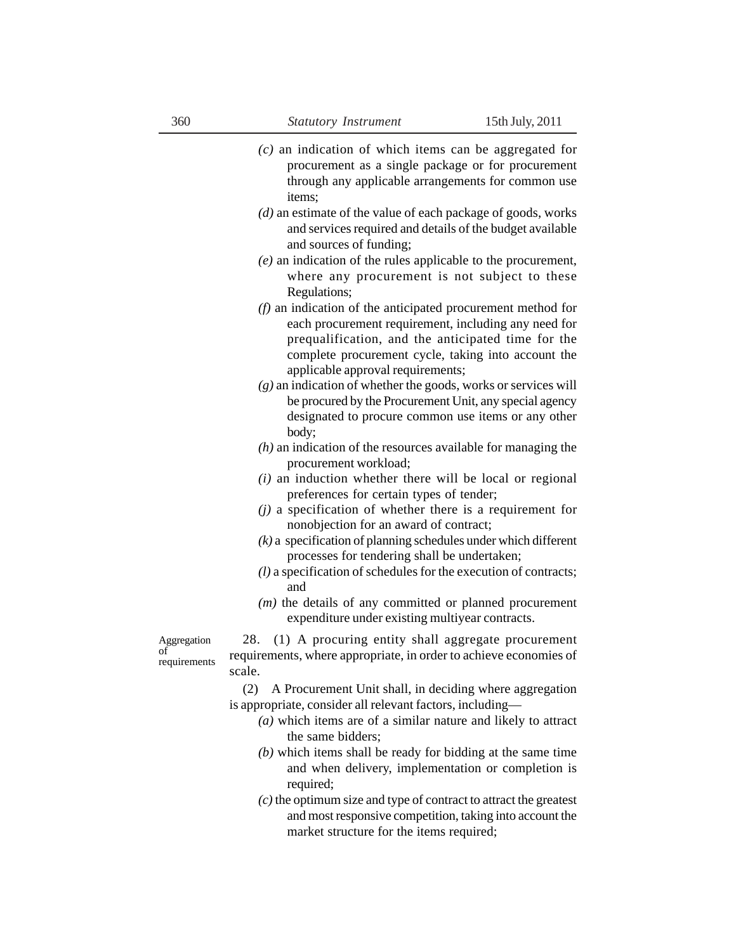- *(c)* an indication of which items can be aggregated for procurement as a single package or for procurement through any applicable arrangements for common use items;
- *(d)* an estimate of the value of each package of goods, works and services required and details of the budget available and sources of funding;
- *(e)* an indication of the rules applicable to the procurement, where any procurement is not subject to these Regulations;
- *(f)* an indication of the anticipated procurement method for each procurement requirement, including any need for prequalification, and the anticipated time for the complete procurement cycle, taking into account the applicable approval requirements;
- *(g)* an indication of whether the goods, works or services will be procured by the Procurement Unit, any special agency designated to procure common use items or any other body;
- *(h)* an indication of the resources available for managing the procurement workload;
- *(i)* an induction whether there will be local or regional preferences for certain types of tender;
- *(j)* a specification of whether there is a requirement for nonobjection for an award of contract;
- *(k)* a specification of planning schedules under which different processes for tendering shall be undertaken;
- *(l)* a specification of schedules for the execution of contracts; and
- *(m)* the details of any committed or planned procurement expenditure under existing multiyear contracts.

Aggregation of requirements

28. (1) A procuring entity shall aggregate procurement requirements, where appropriate, in order to achieve economies of scale.

(2) A Procurement Unit shall, in deciding where aggregation is appropriate, consider all relevant factors, including—

- *(a)* which items are of a similar nature and likely to attract the same bidders;
- *(b)* which items shall be ready for bidding at the same time and when delivery, implementation or completion is required;
- *(c)* the optimum size and type of contract to attract the greatest and most responsive competition, taking into account the market structure for the items required;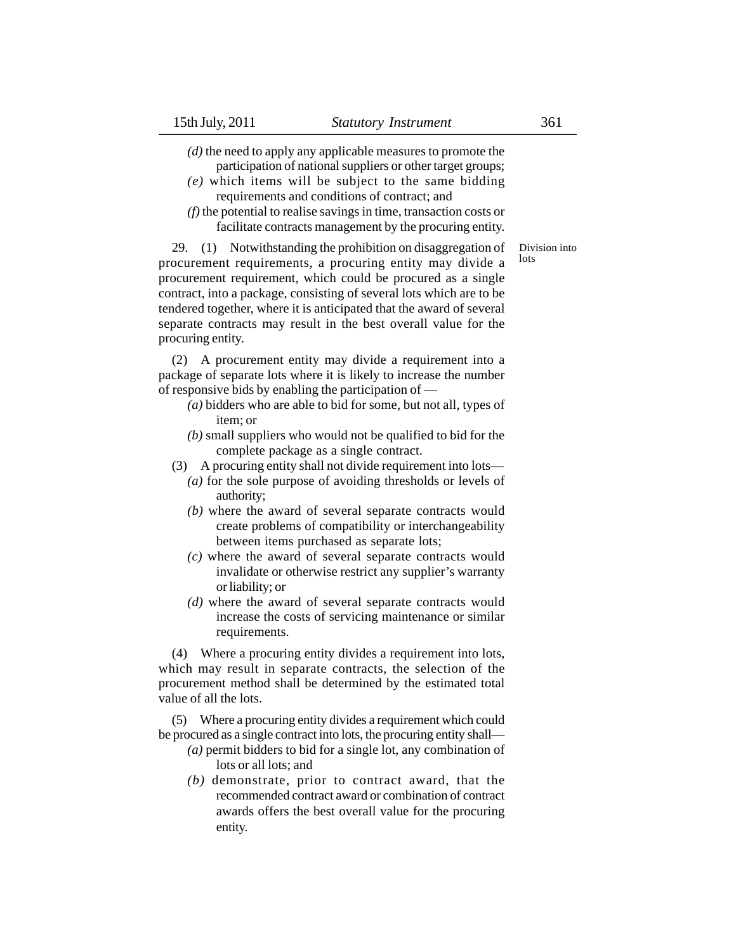*(d)* the need to apply any applicable measures to promote the participation of national suppliers or other target groups;

- *(e)* which items will be subject to the same bidding requirements and conditions of contract; and
- *(f)* the potential to realise savings in time, transaction costs or facilitate contracts management by the procuring entity.

Division into lots

29. (1) Notwithstanding the prohibition on disaggregation of procurement requirements, a procuring entity may divide a procurement requirement, which could be procured as a single contract, into a package, consisting of several lots which are to be tendered together, where it is anticipated that the award of several separate contracts may result in the best overall value for the procuring entity.

(2) A procurement entity may divide a requirement into a package of separate lots where it is likely to increase the number of responsive bids by enabling the participation of —

- *(a)* bidders who are able to bid for some, but not all, types of item; or
- *(b)* small suppliers who would not be qualified to bid for the complete package as a single contract.
- (3) A procuring entity shall not divide requirement into lots—
	- *(a)* for the sole purpose of avoiding thresholds or levels of authority;
	- *(b)* where the award of several separate contracts would create problems of compatibility or interchangeability between items purchased as separate lots;
	- *(c)* where the award of several separate contracts would invalidate or otherwise restrict any supplier's warranty or liability; or
	- *(d)* where the award of several separate contracts would increase the costs of servicing maintenance or similar requirements.

(4) Where a procuring entity divides a requirement into lots, which may result in separate contracts, the selection of the procurement method shall be determined by the estimated total value of all the lots.

(5) Where a procuring entity divides a requirement which could be procured as a single contract into lots, the procuring entity shall—

- *(a)* permit bidders to bid for a single lot, any combination of lots or all lots; and
- *(b)* demonstrate, prior to contract award, that the recommended contract award or combination of contract awards offers the best overall value for the procuring entity.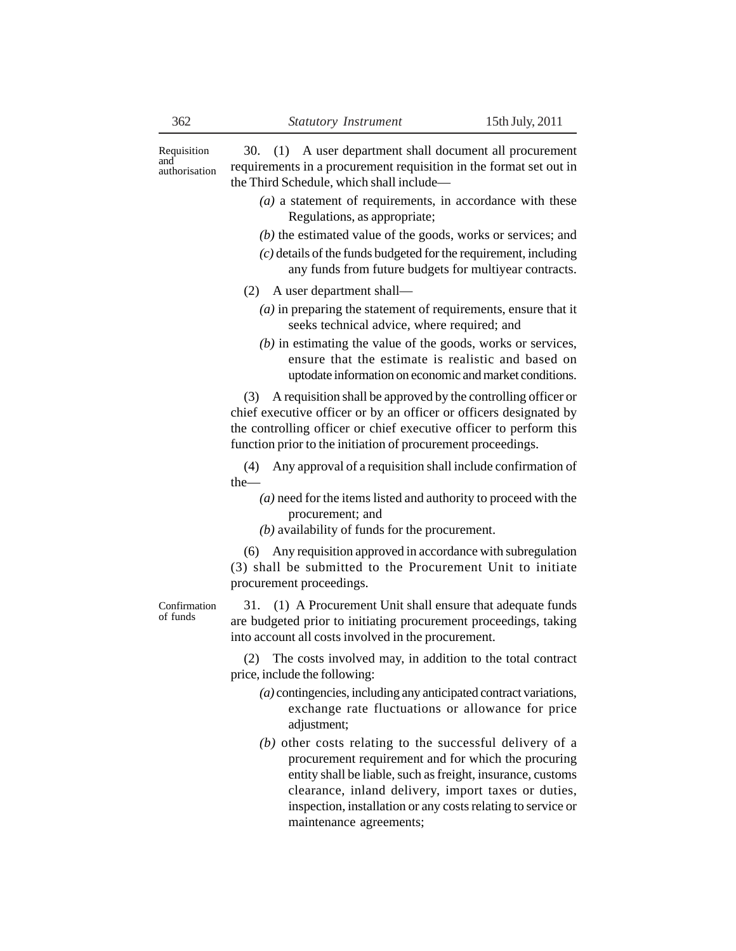30. (1) A user department shall document all procurement requirements in a procurement requisition in the format set out in the Third Schedule, which shall include— Requisition authorisation

- *(a)* a statement of requirements, in accordance with these Regulations, as appropriate;
- *(b)* the estimated value of the goods, works or services; and
- *(c)* details of the funds budgeted for the requirement, including any funds from future budgets for multiyear contracts.
- (2) A user department shall—
	- *(a)* in preparing the statement of requirements, ensure that it seeks technical advice, where required; and
	- *(b)* in estimating the value of the goods, works or services, ensure that the estimate is realistic and based on uptodate information on economic and market conditions.

(3) A requisition shall be approved by the controlling officer or chief executive officer or by an officer or officers designated by the controlling officer or chief executive officer to perform this function prior to the initiation of procurement proceedings.

(4) Any approval of a requisition shall include confirmation of the—

- *(a)* need for the items listed and authority to proceed with the procurement; and
- *(b)* availability of funds for the procurement.

(6) Any requisition approved in accordance with subregulation (3) shall be submitted to the Procurement Unit to initiate procurement proceedings.

Confirmation of funds

31. (1) A Procurement Unit shall ensure that adequate funds are budgeted prior to initiating procurement proceedings, taking into account all costs involved in the procurement.

(2) The costs involved may, in addition to the total contract price, include the following:

- *(a)* contingencies, including any anticipated contract variations, exchange rate fluctuations or allowance for price adjustment;
- *(b)* other costs relating to the successful delivery of a procurement requirement and for which the procuring entity shall be liable, such as freight, insurance, customs clearance, inland delivery, import taxes or duties, inspection, installation or any costs relating to service or maintenance agreements;

and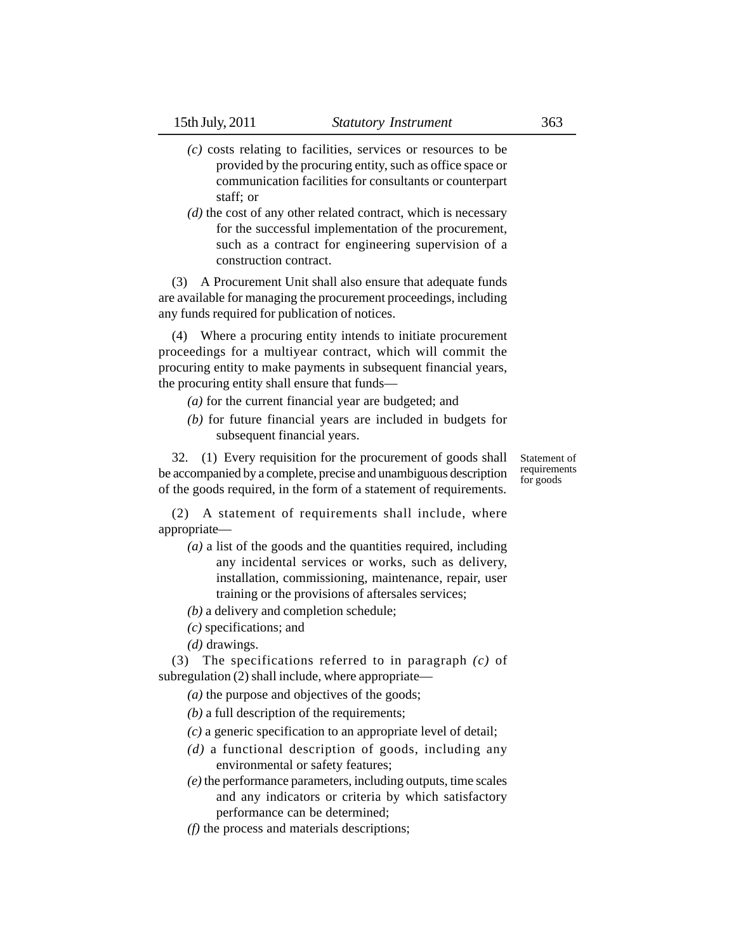- *(c)* costs relating to facilities, services or resources to be provided by the procuring entity, such as office space or communication facilities for consultants or counterpart staff; or
- *(d)* the cost of any other related contract, which is necessary for the successful implementation of the procurement, such as a contract for engineering supervision of a construction contract.

(3) A Procurement Unit shall also ensure that adequate funds are available for managing the procurement proceedings, including any funds required for publication of notices.

(4) Where a procuring entity intends to initiate procurement proceedings for a multiyear contract, which will commit the procuring entity to make payments in subsequent financial years, the procuring entity shall ensure that funds—

- *(a)* for the current financial year are budgeted; and
- *(b)* for future financial years are included in budgets for subsequent financial years.

32. (1) Every requisition for the procurement of goods shall be accompanied by a complete, precise and unambiguous description of the goods required, in the form of a statement of requirements.

Statement of requirements for goods

(2) A statement of requirements shall include, where appropriate—

- *(a)* a list of the goods and the quantities required, including any incidental services or works, such as delivery, installation, commissioning, maintenance, repair, user training or the provisions of aftersales services;
- *(b)* a delivery and completion schedule;
- *(c)* specifications; and
- *(d)* drawings.

(3) The specifications referred to in paragraph *(c)* of subregulation (2) shall include, where appropriate—

- *(a)* the purpose and objectives of the goods;
- *(b)* a full description of the requirements;
- *(c)* a generic specification to an appropriate level of detail;
- *(d)* a functional description of goods, including any environmental or safety features;
- *(e)* the performance parameters, including outputs, time scales and any indicators or criteria by which satisfactory performance can be determined;
- *(f)* the process and materials descriptions;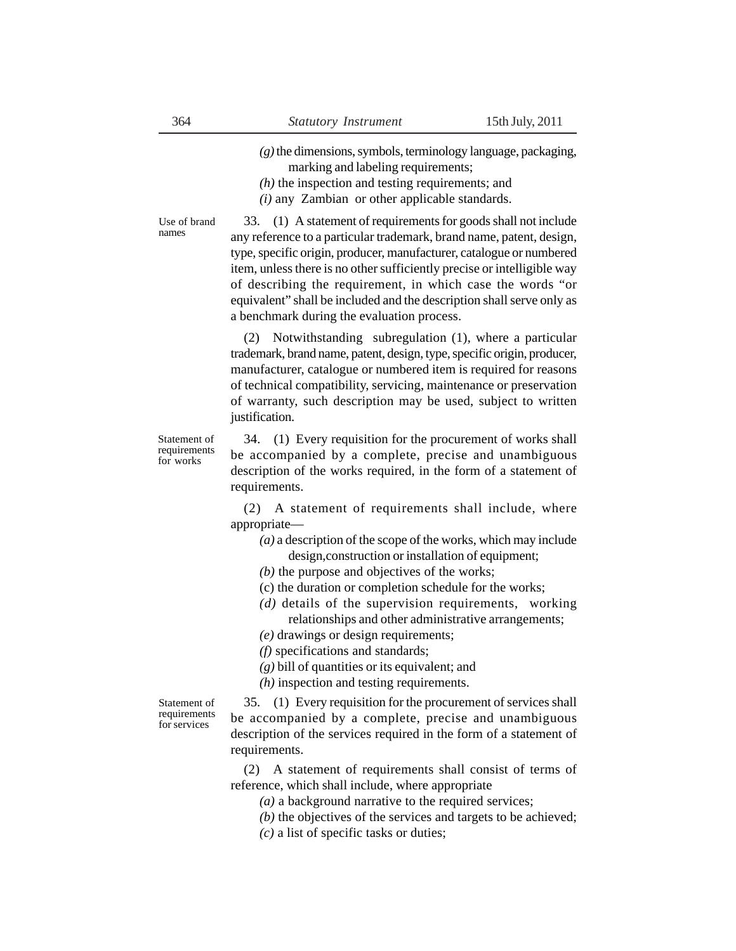*(g)* the dimensions, symbols, terminology language, packaging,

- marking and labeling requirements;
- *(h)* the inspection and testing requirements; and
- *(i)* any Zambian or other applicable standards.

33. (1) A statement of requirements for goods shall not include any reference to a particular trademark, brand name, patent, design, type, specific origin, producer, manufacturer, catalogue or numbered item, unless there is no other sufficiently precise or intelligible way of describing the requirement, in which case the words "or equivalent" shall be included and the description shall serve only as Use of brand names

a benchmark during the evaluation process.

(2) Notwithstanding subregulation (1), where a particular trademark, brand name, patent, design, type, specific origin, producer, manufacturer, catalogue or numbered item is required for reasons of technical compatibility, servicing, maintenance or preservation of warranty, such description may be used, subject to written justification.

Statement of requirements for works

34. (1) Every requisition for the procurement of works shall be accompanied by a complete, precise and unambiguous description of the works required, in the form of a statement of requirements.

(2) A statement of requirements shall include, where appropriate—

- *(a)* a description of the scope of the works, which may include design,construction or installation of equipment;
- *(b)* the purpose and objectives of the works;
- (c) the duration or completion schedule for the works;
- *(d)* details of the supervision requirements, working relationships and other administrative arrangements;
- *(e)* drawings or design requirements;
- *(f)* specifications and standards;
- *(g)* bill of quantities or its equivalent; and
- *(h)* inspection and testing requirements.

Statement of requirements for services

35. (1) Every requisition for the procurement of services shall be accompanied by a complete, precise and unambiguous description of the services required in the form of a statement of requirements.

(2) A statement of requirements shall consist of terms of reference, which shall include, where appropriate

*(a)* a background narrative to the required services;

*(b)* the objectives of the services and targets to be achieved;

*(c)* a list of specific tasks or duties;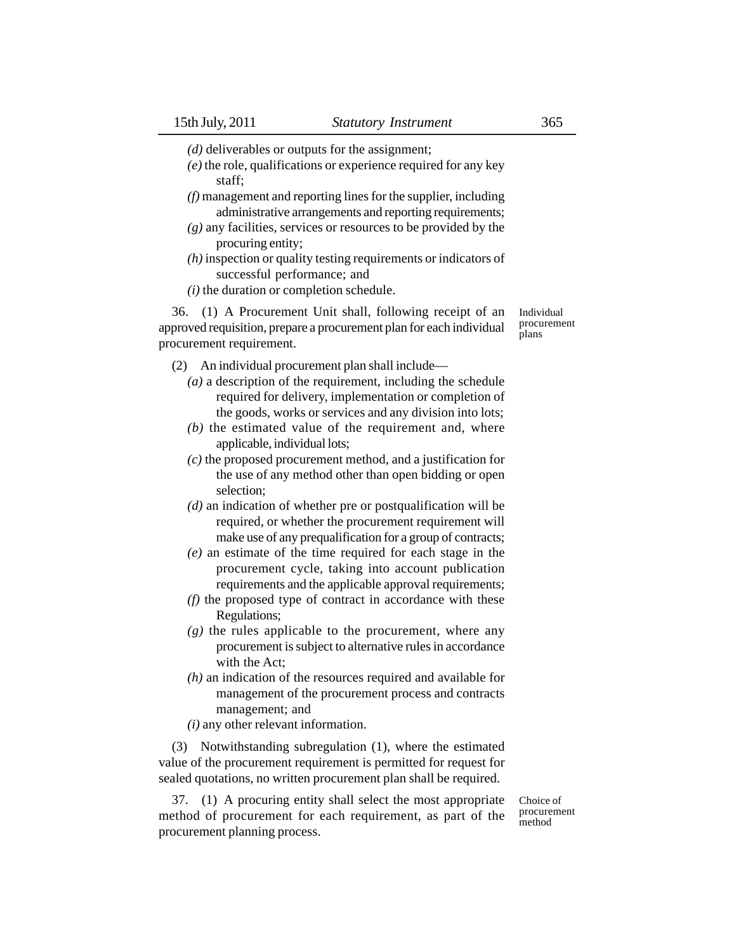- *(d)* deliverables or outputs for the assignment;
- *(e)* the role, qualifications or experience required for any key staff;
- *(f)* management and reporting lines for the supplier, including administrative arrangements and reporting requirements;
- *(g)* any facilities, services or resources to be provided by the procuring entity;
- *(h)* inspection or quality testing requirements or indicators of successful performance; and
- *(i)* the duration or completion schedule.

36. (1) A Procurement Unit shall, following receipt of an approved requisition, prepare a procurement plan for each individual procurement requirement.

(2) An individual procurement plan shall include—

- *(a)* a description of the requirement, including the schedule required for delivery, implementation or completion of the goods, works or services and any division into lots;
- *(b)* the estimated value of the requirement and, where applicable, individual lots;
- *(c)* the proposed procurement method, and a justification for the use of any method other than open bidding or open selection;
- *(d)* an indication of whether pre or postqualification will be required, or whether the procurement requirement will make use of any prequalification for a group of contracts;
- *(e)* an estimate of the time required for each stage in the procurement cycle, taking into account publication requirements and the applicable approval requirements;
- *(f)* the proposed type of contract in accordance with these Regulations;
- *(g)* the rules applicable to the procurement, where any procurement is subject to alternative rules in accordance with the Act;
- *(h)* an indication of the resources required and available for management of the procurement process and contracts management; and
- *(i)* any other relevant information.

(3) Notwithstanding subregulation (1), where the estimated value of the procurement requirement is permitted for request for sealed quotations, no written procurement plan shall be required.

37. (1) A procuring entity shall select the most appropriate method of procurement for each requirement, as part of the procurement planning process.

Choice of procurement method

Individual procurement plans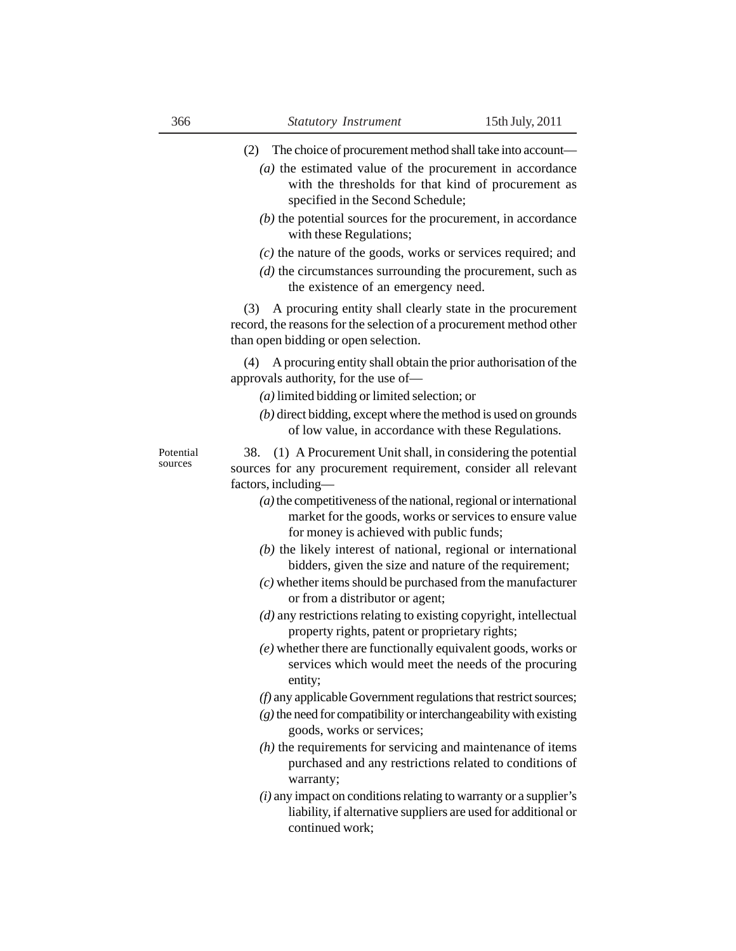- (2) The choice of procurement method shall take into account—
	- *(a)* the estimated value of the procurement in accordance with the thresholds for that kind of procurement as specified in the Second Schedule;
	- *(b)* the potential sources for the procurement, in accordance with these Regulations;
	- *(c)* the nature of the goods, works or services required; and
	- *(d)* the circumstances surrounding the procurement, such as the existence of an emergency need.

(3) A procuring entity shall clearly state in the procurement record, the reasons for the selection of a procurement method other than open bidding or open selection.

(4) A procuring entity shall obtain the prior authorisation of the approvals authority, for the use of—

- *(a)* limited bidding or limited selection; or
- *(b)* direct bidding, except where the method is used on grounds of low value, in accordance with these Regulations.

Potential sources

38. (1) A Procurement Unit shall, in considering the potential sources for any procurement requirement, consider all relevant factors, including—

- *(a)* the competitiveness of the national, regional or international market for the goods, works or services to ensure value for money is achieved with public funds;
- *(b)* the likely interest of national, regional or international bidders, given the size and nature of the requirement;
- *(c)* whether items should be purchased from the manufacturer or from a distributor or agent;
- *(d)* any restrictions relating to existing copyright, intellectual property rights, patent or proprietary rights;
- *(e)* whether there are functionally equivalent goods, works or services which would meet the needs of the procuring entity;
- *(f)* any applicable Government regulations that restrict sources;
- *(g)* the need for compatibility or interchangeability with existing goods, works or services;
- *(h)* the requirements for servicing and maintenance of items purchased and any restrictions related to conditions of warranty;
- *(i)* any impact on conditions relating to warranty or a supplier's liability, if alternative suppliers are used for additional or continued work;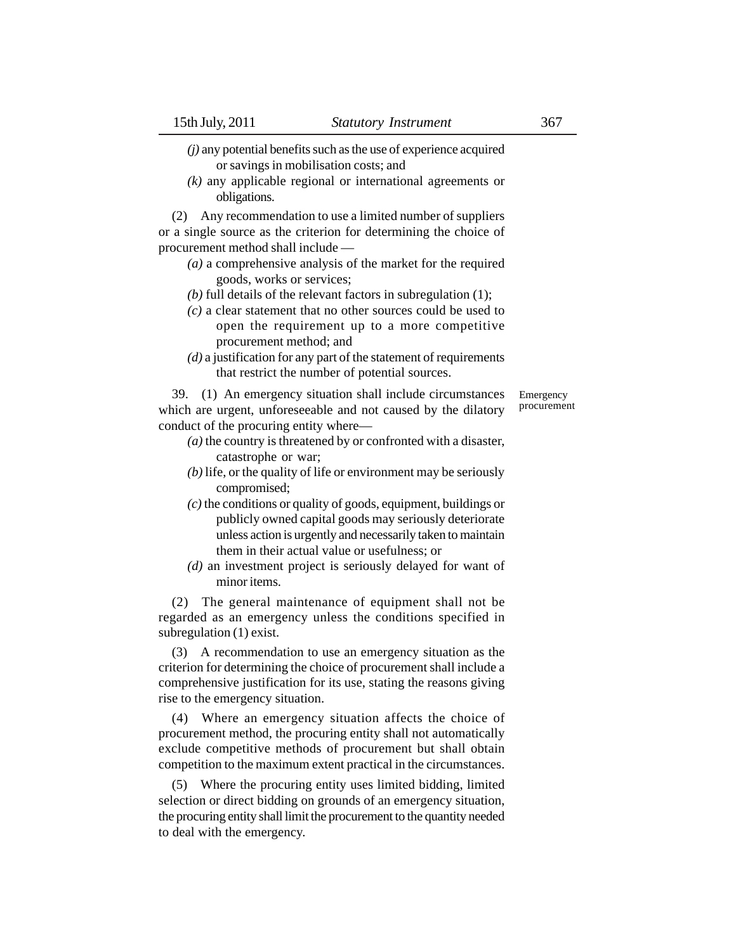*(j)* any potential benefits such as the use of experience acquired or savings in mobilisation costs; and

*(k)* any applicable regional or international agreements or obligations.

(2) Any recommendation to use a limited number of suppliers or a single source as the criterion for determining the choice of procurement method shall include —

- *(a)* a comprehensive analysis of the market for the required goods, works or services;
- *(b)* full details of the relevant factors in subregulation (1);
- *(c)* a clear statement that no other sources could be used to open the requirement up to a more competitive procurement method; and
- *(d)* a justification for any part of the statement of requirements that restrict the number of potential sources.

39. (1) An emergency situation shall include circumstances which are urgent, unforeseeable and not caused by the dilatory conduct of the procuring entity where—

- *(a)* the country is threatened by or confronted with a disaster, catastrophe or war;
- *(b)* life, or the quality of life or environment may be seriously compromised;
- *(c)* the conditions or quality of goods, equipment, buildings or publicly owned capital goods may seriously deteriorate unless action is urgently and necessarily taken to maintain them in their actual value or usefulness; or
- *(d)* an investment project is seriously delayed for want of minor items.

(2) The general maintenance of equipment shall not be regarded as an emergency unless the conditions specified in subregulation (1) exist.

(3) A recommendation to use an emergency situation as the criterion for determining the choice of procurement shall include a comprehensive justification for its use, stating the reasons giving rise to the emergency situation.

(4) Where an emergency situation affects the choice of procurement method, the procuring entity shall not automatically exclude competitive methods of procurement but shall obtain competition to the maximum extent practical in the circumstances.

(5) Where the procuring entity uses limited bidding, limited selection or direct bidding on grounds of an emergency situation, the procuring entity shall limit the procurement to the quantity needed to deal with the emergency.

Emergency procurement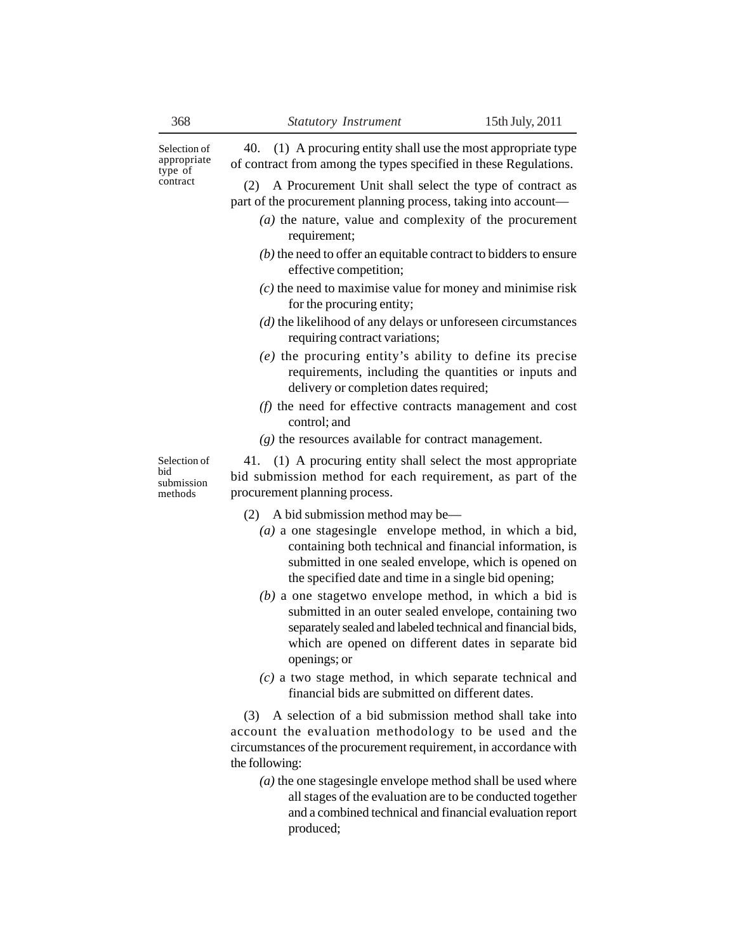Selection of appropriate type of contract

(2) A Procurement Unit shall select the type of contract as part of the procurement planning process, taking into account—

40. (1) A procuring entity shall use the most appropriate type of contract from among the types specified in these Regulations.

- *(a)* the nature, value and complexity of the procurement requirement;
- *(b)* the need to offer an equitable contract to bidders to ensure effective competition;
- *(c)* the need to maximise value for money and minimise risk for the procuring entity;
- *(d)* the likelihood of any delays or unforeseen circumstances requiring contract variations;
- *(e)* the procuring entity's ability to define its precise requirements, including the quantities or inputs and delivery or completion dates required;
- *(f)* the need for effective contracts management and cost control; and
- *(g)* the resources available for contract management.

Selection of bid submission methods

41. (1) A procuring entity shall select the most appropriate bid submission method for each requirement, as part of the procurement planning process.

- (2) A bid submission method may be—
	- *(a)* a one stagesingle envelope method, in which a bid, containing both technical and financial information, is submitted in one sealed envelope, which is opened on the specified date and time in a single bid opening;
	- *(b)* a one stagetwo envelope method, in which a bid is submitted in an outer sealed envelope, containing two separately sealed and labeled technical and financial bids, which are opened on different dates in separate bid openings; or
	- *(c)* a two stage method, in which separate technical and financial bids are submitted on different dates.

(3) A selection of a bid submission method shall take into account the evaluation methodology to be used and the circumstances of the procurement requirement, in accordance with the following:

*(a)* the one stagesingle envelope method shall be used where all stages of the evaluation are to be conducted together and a combined technical and financial evaluation report produced;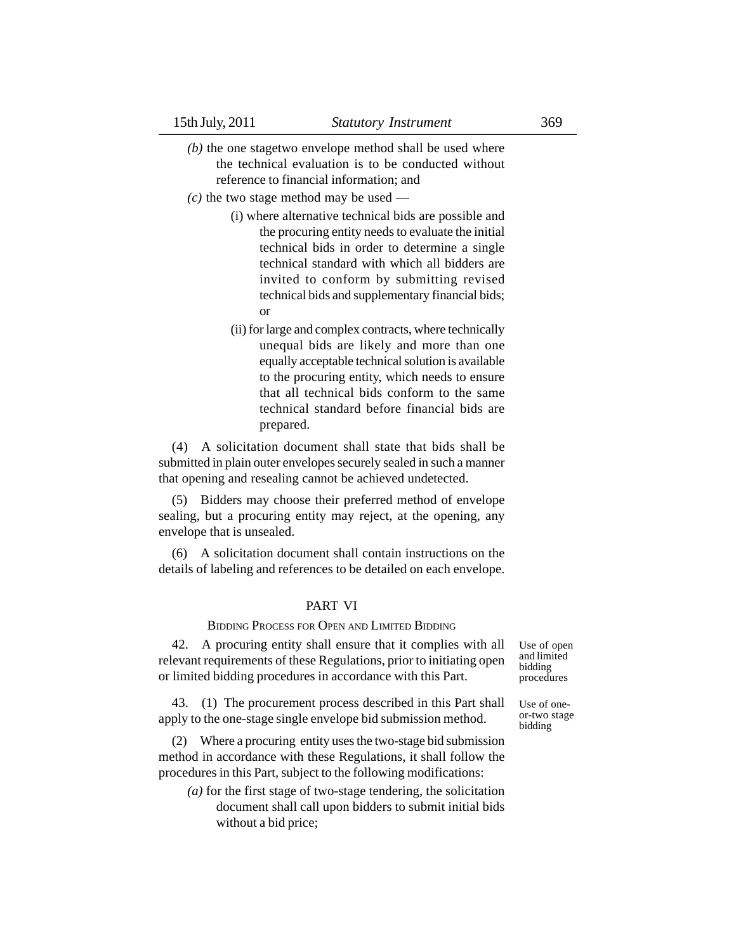- *(b)* the one stagetwo envelope method shall be used where the technical evaluation is to be conducted without reference to financial information; and
- *(c)* the two stage method may be used
	- (i) where alternative technical bids are possible and the procuring entity needs to evaluate the initial technical bids in order to determine a single technical standard with which all bidders are invited to conform by submitting revised technical bids and supplementary financial bids; or
	- (ii) for large and complex contracts, where technically unequal bids are likely and more than one equally acceptable technical solution is available to the procuring entity, which needs to ensure that all technical bids conform to the same technical standard before financial bids are prepared.

(4) A solicitation document shall state that bids shall be submitted in plain outer envelopes securely sealed in such a manner that opening and resealing cannot be achieved undetected.

(5) Bidders may choose their preferred method of envelope sealing, but a procuring entity may reject, at the opening, any envelope that is unsealed.

(6) A solicitation document shall contain instructions on the details of labeling and references to be detailed on each envelope.

## PART VI

#### BIDDING PROCESS FOR OPEN AND LIMITED BIDDING

42. A procuring entity shall ensure that it complies with all relevant requirements of these Regulations, prior to initiating open or limited bidding procedures in accordance with this Part.

43. (1) The procurement process described in this Part shall apply to the one-stage single envelope bid submission method.

(2) Where a procuring entity uses the two-stage bid submission method in accordance with these Regulations, it shall follow the procedures in this Part, subject to the following modifications:

*(a)* for the first stage of two-stage tendering, the solicitation document shall call upon bidders to submit initial bids without a bid price;

Use of open and limited bidding procedures

Use of oneor-two stage bidding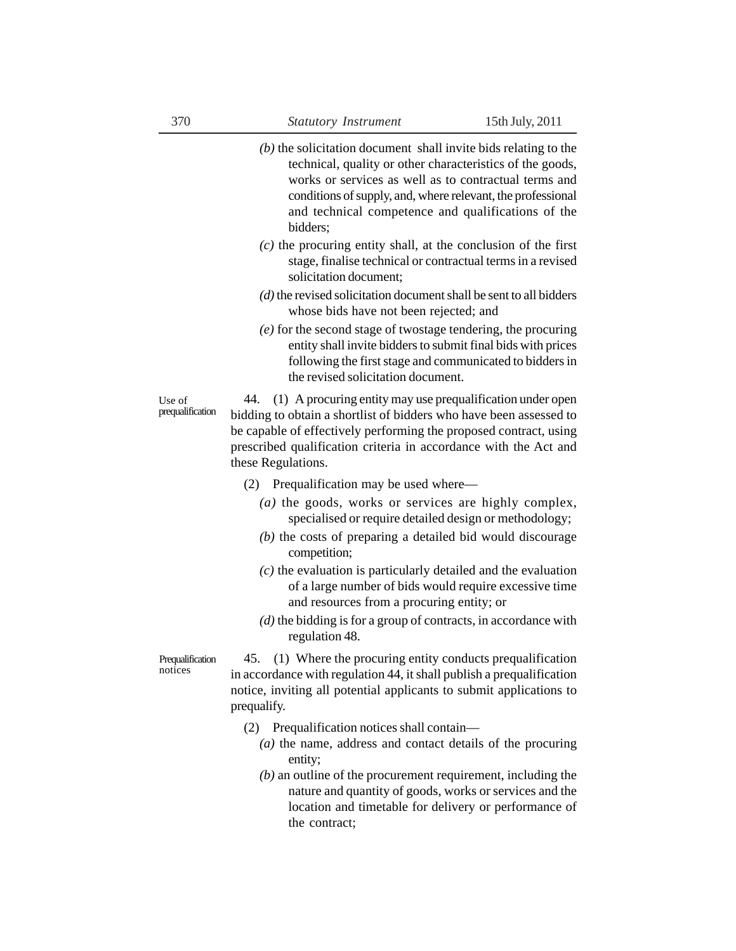- *(b)* the solicitation document shall invite bids relating to the technical, quality or other characteristics of the goods, works or services as well as to contractual terms and conditions of supply, and, where relevant, the professional and technical competence and qualifications of the bidders;
- *(c)* the procuring entity shall, at the conclusion of the first stage, finalise technical or contractual terms in a revised solicitation document;
- *(d)* the revised solicitation document shall be sent to all bidders whose bids have not been rejected; and
- *(e)* for the second stage of twostage tendering, the procuring entity shall invite bidders to submit final bids with prices following the first stage and communicated to bidders in the revised solicitation document.

44. (1) A procuring entity may use prequalification under open bidding to obtain a shortlist of bidders who have been assessed to be capable of effectively performing the proposed contract, using prescribed qualification criteria in accordance with the Act and these Regulations. Use of prequalification

#### (2) Prequalification may be used where—

- *(a)* the goods, works or services are highly complex, specialised or require detailed design or methodology;
- *(b)* the costs of preparing a detailed bid would discourage competition;
- *(c)* the evaluation is particularly detailed and the evaluation of a large number of bids would require excessive time and resources from a procuring entity; or
- *(d)* the bidding is for a group of contracts, in accordance with regulation 48.

Prequalification notices

45. (1) Where the procuring entity conducts prequalification in accordance with regulation 44, it shall publish a prequalification notice, inviting all potential applicants to submit applications to prequalify.

- (2) Prequalification notices shall contain—
	- *(a)* the name, address and contact details of the procuring entity;
	- *(b)* an outline of the procurement requirement, including the nature and quantity of goods, works or services and the location and timetable for delivery or performance of the contract;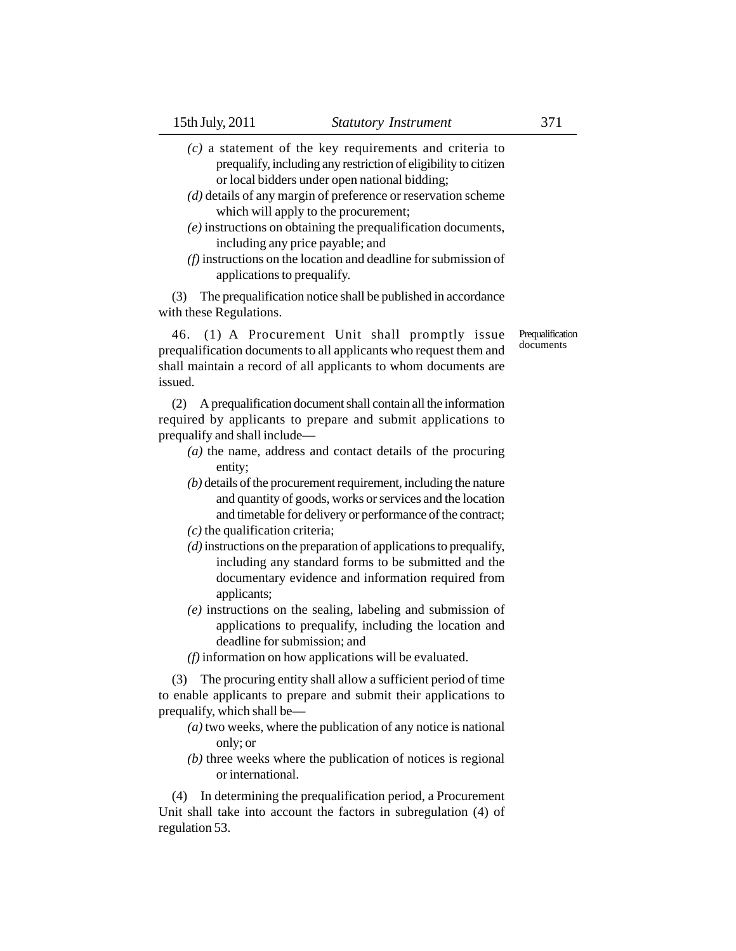- *(c)* a statement of the key requirements and criteria to prequalify, including any restriction of eligibility to citizen or local bidders under open national bidding;
- *(d)* details of any margin of preference or reservation scheme which will apply to the procurement;
- *(e)* instructions on obtaining the prequalification documents, including any price payable; and
- *(f)* instructions on the location and deadline for submission of applications to prequalify.

(3) The prequalification notice shall be published in accordance with these Regulations.

46. (1) A Procurement Unit shall promptly issue prequalification documents to all applicants who request them and shall maintain a record of all applicants to whom documents are issued.

(2) A prequalification document shall contain all the information required by applicants to prepare and submit applications to prequalify and shall include—

- *(a)* the name, address and contact details of the procuring entity;
- *(b)* details of the procurement requirement, including the nature and quantity of goods, works or services and the location and timetable for delivery or performance of the contract;
- *(c)* the qualification criteria;
- *(d)* instructions on the preparation of applications to prequalify, including any standard forms to be submitted and the documentary evidence and information required from applicants;
- *(e)* instructions on the sealing, labeling and submission of applications to prequalify, including the location and deadline for submission; and
- *(f)* information on how applications will be evaluated.

(3) The procuring entity shall allow a sufficient period of time to enable applicants to prepare and submit their applications to prequalify, which shall be—

- *(a)* two weeks, where the publication of any notice is national only; or
- *(b)* three weeks where the publication of notices is regional or international.

(4) In determining the prequalification period, a Procurement Unit shall take into account the factors in subregulation (4) of regulation 53.

**Prequalification** documents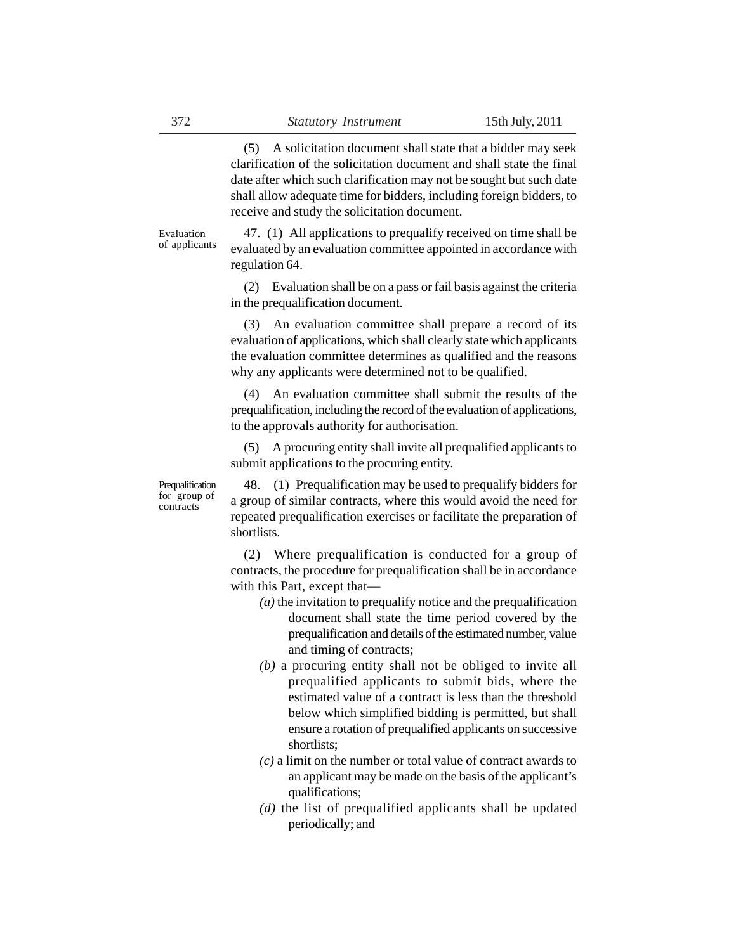(5) A solicitation document shall state that a bidder may seek clarification of the solicitation document and shall state the final date after which such clarification may not be sought but such date shall allow adequate time for bidders, including foreign bidders, to receive and study the solicitation document.

Evaluation of applicants

47. (1) All applications to prequalify received on time shall be evaluated by an evaluation committee appointed in accordance with regulation 64.

(2) Evaluation shall be on a pass or fail basis against the criteria in the prequalification document.

(3) An evaluation committee shall prepare a record of its evaluation of applications, which shall clearly state which applicants the evaluation committee determines as qualified and the reasons why any applicants were determined not to be qualified.

(4) An evaluation committee shall submit the results of the prequalification, including the record of the evaluation of applications, to the approvals authority for authorisation.

(5) A procuring entity shall invite all prequalified applicants to submit applications to the procuring entity.

Prequalification for group of contracts

48. (1) Prequalification may be used to prequalify bidders for a group of similar contracts, where this would avoid the need for repeated prequalification exercises or facilitate the preparation of shortlists.

(2) Where prequalification is conducted for a group of contracts, the procedure for prequalification shall be in accordance with this Part, except that—

- *(a)* the invitation to prequalify notice and the prequalification document shall state the time period covered by the prequalification and details of the estimated number, value and timing of contracts;
- *(b)* a procuring entity shall not be obliged to invite all prequalified applicants to submit bids, where the estimated value of a contract is less than the threshold below which simplified bidding is permitted, but shall ensure a rotation of prequalified applicants on successive shortlists;
- *(c)* a limit on the number or total value of contract awards to an applicant may be made on the basis of the applicant's qualifications;
- *(d)* the list of prequalified applicants shall be updated periodically; and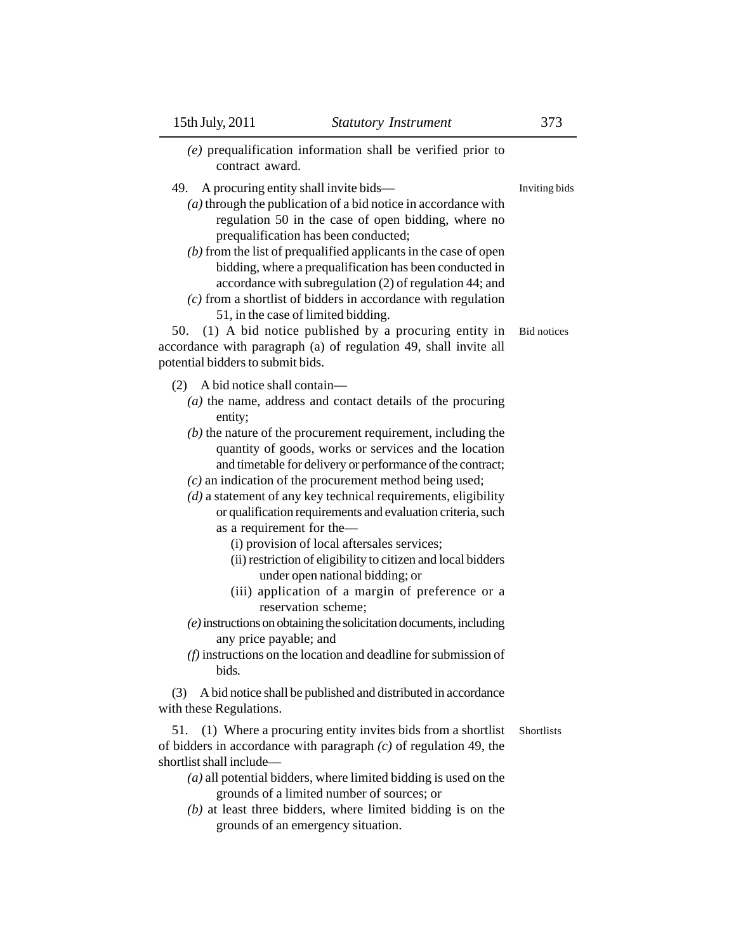| $(e)$ prequalification information shall be verified prior to<br>contract award.                                                                                                                                                                                                                                                                                                                                                                                                                                                                                                                                                                                                                                                                                                                                                                                                                                                                |                                     |
|-------------------------------------------------------------------------------------------------------------------------------------------------------------------------------------------------------------------------------------------------------------------------------------------------------------------------------------------------------------------------------------------------------------------------------------------------------------------------------------------------------------------------------------------------------------------------------------------------------------------------------------------------------------------------------------------------------------------------------------------------------------------------------------------------------------------------------------------------------------------------------------------------------------------------------------------------|-------------------------------------|
| A procuring entity shall invite bids—<br>49.<br>$(a)$ through the publication of a bid notice in accordance with<br>regulation 50 in the case of open bidding, where no<br>prequalification has been conducted;<br>$(b)$ from the list of prequalified applicants in the case of open<br>bidding, where a prequalification has been conducted in<br>accordance with subregulation (2) of regulation 44; and<br>$(c)$ from a shortlist of bidders in accordance with regulation<br>51, in the case of limited bidding.<br>(1) A bid notice published by a procuring entity in<br>50.<br>accordance with paragraph (a) of regulation 49, shall invite all<br>potential bidders to submit bids.                                                                                                                                                                                                                                                    | Inviting bids<br><b>Bid</b> notices |
| A bid notice shall contain-<br>(2)<br>$(a)$ the name, address and contact details of the procuring<br>entity;<br>$(b)$ the nature of the procurement requirement, including the<br>quantity of goods, works or services and the location<br>and timetable for delivery or performance of the contract;<br>$(c)$ an indication of the procurement method being used;<br>$(d)$ a statement of any key technical requirements, eligibility<br>or qualification requirements and evaluation criteria, such<br>as a requirement for the-<br>(i) provision of local aftersales services;<br>(ii) restriction of eligibility to citizen and local bidders<br>under open national bidding; or<br>(iii) application of a margin of preference or a<br>reservation scheme;<br>(e) instructions on obtaining the solicitation documents, including<br>any price payable; and<br>$(f)$ instructions on the location and deadline for submission of<br>bids. |                                     |
| A bid notice shall be published and distributed in accordance<br>(3)<br>with these Regulations.                                                                                                                                                                                                                                                                                                                                                                                                                                                                                                                                                                                                                                                                                                                                                                                                                                                 |                                     |
| 51.<br>(1) Where a procuring entity invites bids from a shortlist<br>of bidders in accordance with paragraph $(c)$ of regulation 49, the<br>shortlist shall include-<br>$(a)$ all potential bidders, where limited bidding is used on the<br>grounds of a limited number of sources; or<br>$(b)$ at least three bidders, where limited bidding is on the                                                                                                                                                                                                                                                                                                                                                                                                                                                                                                                                                                                        | Shortlists                          |

grounds of an emergency situation.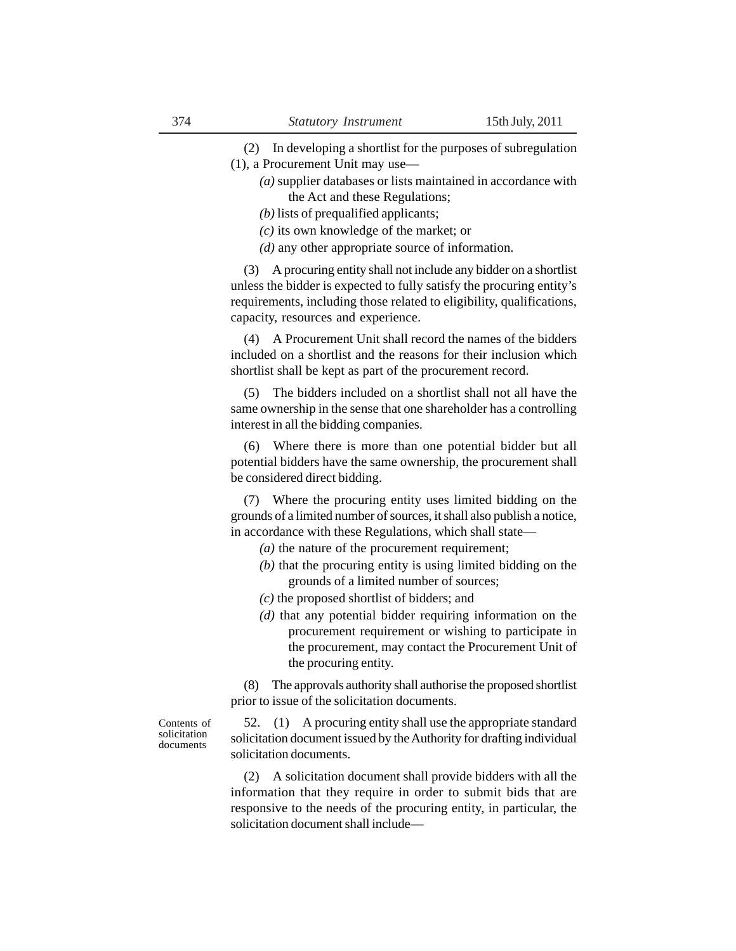(2) In developing a shortlist for the purposes of subregulation (1), a Procurement Unit may use—

- *(a)* supplier databases or lists maintained in accordance with the Act and these Regulations;
- *(b)* lists of prequalified applicants;
- *(c)* its own knowledge of the market; or
- *(d)* any other appropriate source of information.

(3) A procuring entity shall not include any bidder on a shortlist unless the bidder is expected to fully satisfy the procuring entity's requirements, including those related to eligibility, qualifications, capacity, resources and experience.

(4) A Procurement Unit shall record the names of the bidders included on a shortlist and the reasons for their inclusion which shortlist shall be kept as part of the procurement record.

(5) The bidders included on a shortlist shall not all have the same ownership in the sense that one shareholder has a controlling interest in all the bidding companies.

(6) Where there is more than one potential bidder but all potential bidders have the same ownership, the procurement shall be considered direct bidding.

(7) Where the procuring entity uses limited bidding on the grounds of a limited number of sources, it shall also publish a notice, in accordance with these Regulations, which shall state—

- *(a)* the nature of the procurement requirement;
- *(b)* that the procuring entity is using limited bidding on the grounds of a limited number of sources;
- *(c)* the proposed shortlist of bidders; and
- *(d)* that any potential bidder requiring information on the procurement requirement or wishing to participate in the procurement, may contact the Procurement Unit of the procuring entity.

(8) The approvals authority shall authorise the proposed shortlist prior to issue of the solicitation documents.

Contents of solicitation documents

52. (1) A procuring entity shall use the appropriate standard solicitation document issued by the Authority for drafting individual solicitation documents.

(2) A solicitation document shall provide bidders with all the information that they require in order to submit bids that are responsive to the needs of the procuring entity, in particular, the solicitation document shall include—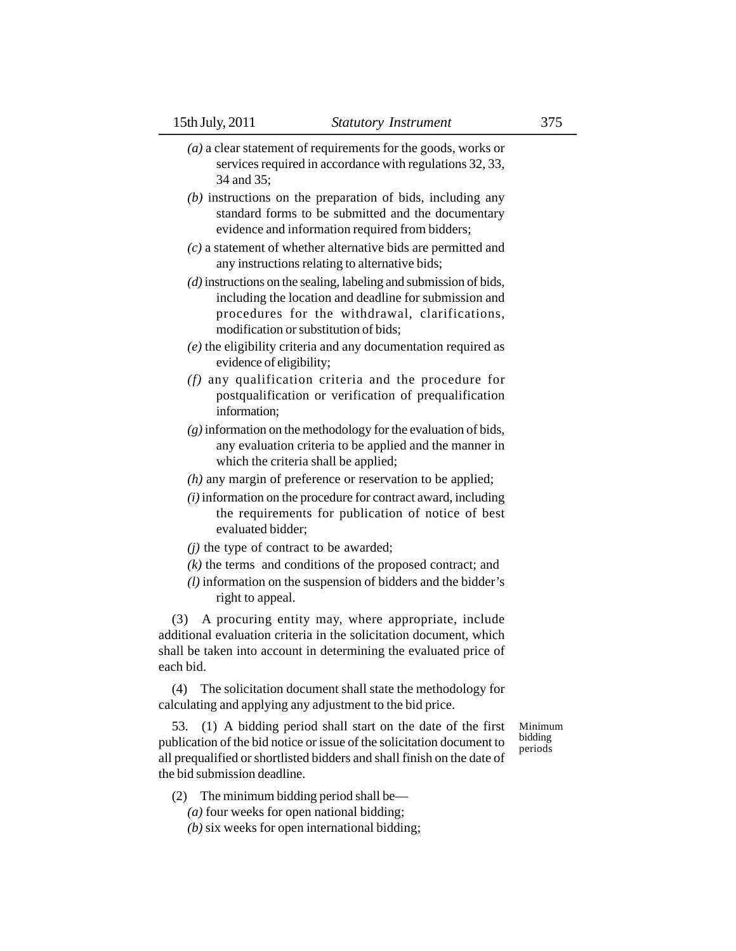- *(a)* a clear statement of requirements for the goods, works or services required in accordance with regulations 32, 33, 34 and 35;
- *(b)* instructions on the preparation of bids, including any standard forms to be submitted and the documentary evidence and information required from bidders;
- *(c)* a statement of whether alternative bids are permitted and any instructions relating to alternative bids;
- *(d)* instructions on the sealing, labeling and submission of bids, including the location and deadline for submission and procedures for the withdrawal, clarifications, modification or substitution of bids;
- *(e)* the eligibility criteria and any documentation required as evidence of eligibility;
- *(f)* any qualification criteria and the procedure for postqualification or verification of prequalification information;
- *(g)* information on the methodology for the evaluation of bids, any evaluation criteria to be applied and the manner in which the criteria shall be applied;
- *(h)* any margin of preference or reservation to be applied;
- *(i)* information on the procedure for contract award, including the requirements for publication of notice of best evaluated bidder;
- *(j)* the type of contract to be awarded;
- *(k)* the terms and conditions of the proposed contract; and
- *(l)* information on the suspension of bidders and the bidder's right to appeal.

(3) A procuring entity may, where appropriate, include additional evaluation criteria in the solicitation document, which shall be taken into account in determining the evaluated price of each bid.

(4) The solicitation document shall state the methodology for calculating and applying any adjustment to the bid price.

> Minimum bidding periods

- 53. (1) A bidding period shall start on the date of the first publication of the bid notice or issue of the solicitation document to all prequalified or shortlisted bidders and shall finish on the date of the bid submission deadline.
	- (2) The minimum bidding period shall be—
		- *(a)* four weeks for open national bidding;
		- *(b)* six weeks for open international bidding;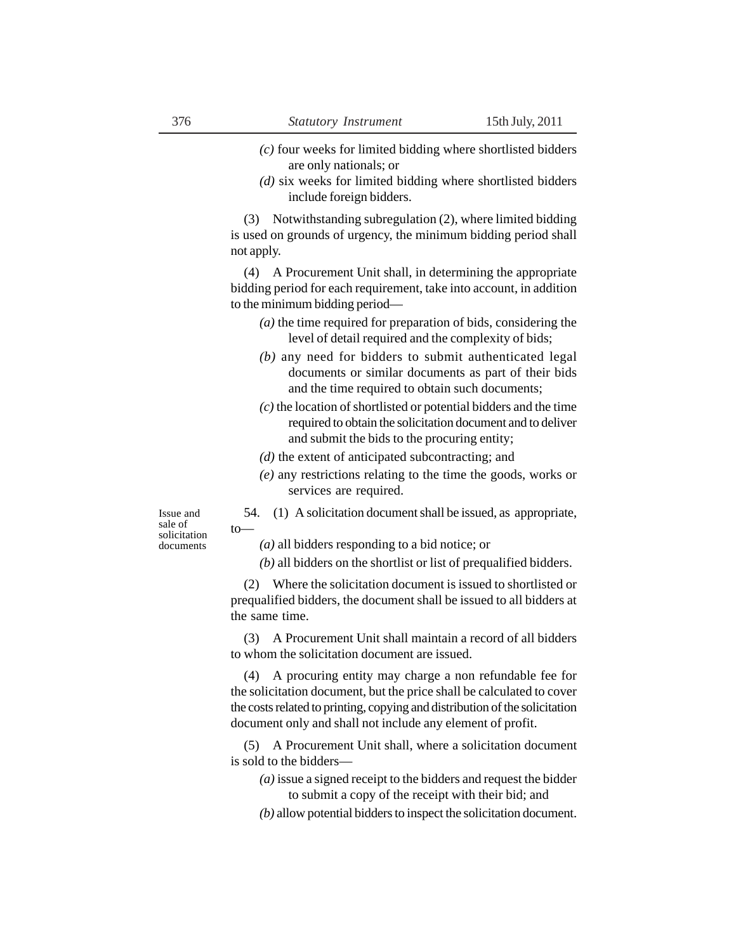- *(c)* four weeks for limited bidding where shortlisted bidders are only nationals; or
- *(d)* six weeks for limited bidding where shortlisted bidders include foreign bidders.

(3) Notwithstanding subregulation (2), where limited bidding is used on grounds of urgency, the minimum bidding period shall not apply.

(4) A Procurement Unit shall, in determining the appropriate bidding period for each requirement, take into account, in addition to the minimum bidding period—

- *(a)* the time required for preparation of bids, considering the level of detail required and the complexity of bids;
- *(b)* any need for bidders to submit authenticated legal documents or similar documents as part of their bids and the time required to obtain such documents;
- *(c)* the location of shortlisted or potential bidders and the time required to obtain the solicitation document and to deliver and submit the bids to the procuring entity;
- *(d)* the extent of anticipated subcontracting; and
- *(e)* any restrictions relating to the time the goods, works or services are required.
- 54. (1) A solicitation document shall be issued, as appropriate, to—

Issue and sale of solicitation documents

- *(a)* all bidders responding to a bid notice; or
- *(b)* all bidders on the shortlist or list of prequalified bidders.

(2) Where the solicitation document is issued to shortlisted or prequalified bidders, the document shall be issued to all bidders at the same time.

(3) A Procurement Unit shall maintain a record of all bidders to whom the solicitation document are issued.

(4) A procuring entity may charge a non refundable fee for the solicitation document, but the price shall be calculated to cover the costs related to printing, copying and distribution of the solicitation document only and shall not include any element of profit.

(5) A Procurement Unit shall, where a solicitation document is sold to the bidders—

- *(a)* issue a signed receipt to the bidders and request the bidder to submit a copy of the receipt with their bid; and
- *(b)* allow potential bidders to inspect the solicitation document.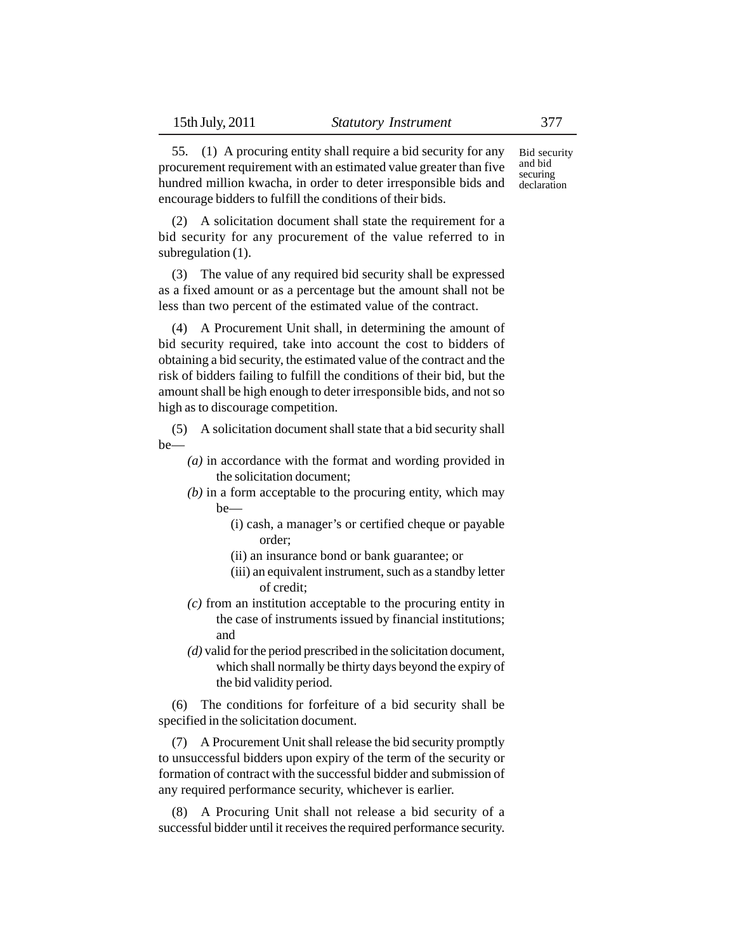55. (1) A procuring entity shall require a bid security for any procurement requirement with an estimated value greater than five hundred million kwacha, in order to deter irresponsible bids and encourage bidders to fulfill the conditions of their bids. Bid security and bid securing declaration

(2) A solicitation document shall state the requirement for a bid security for any procurement of the value referred to in subregulation (1).

(3) The value of any required bid security shall be expressed as a fixed amount or as a percentage but the amount shall not be less than two percent of the estimated value of the contract.

(4) A Procurement Unit shall, in determining the amount of bid security required, take into account the cost to bidders of obtaining a bid security, the estimated value of the contract and the risk of bidders failing to fulfill the conditions of their bid, but the amount shall be high enough to deter irresponsible bids, and not so high as to discourage competition.

(5) A solicitation document shall state that a bid security shall be—

- *(a)* in accordance with the format and wording provided in the solicitation document;
- *(b)* in a form acceptable to the procuring entity, which may be—
	- (i) cash, a manager's or certified cheque or payable order;
	- (ii) an insurance bond or bank guarantee; or
	- (iii) an equivalent instrument, such as a standby letter of credit;
- *(c)* from an institution acceptable to the procuring entity in the case of instruments issued by financial institutions; and
- *(d)* valid for the period prescribed in the solicitation document, which shall normally be thirty days beyond the expiry of the bid validity period.

(6) The conditions for forfeiture of a bid security shall be specified in the solicitation document.

(7) A Procurement Unit shall release the bid security promptly to unsuccessful bidders upon expiry of the term of the security or formation of contract with the successful bidder and submission of any required performance security, whichever is earlier.

(8) A Procuring Unit shall not release a bid security of a successful bidder until it receives the required performance security.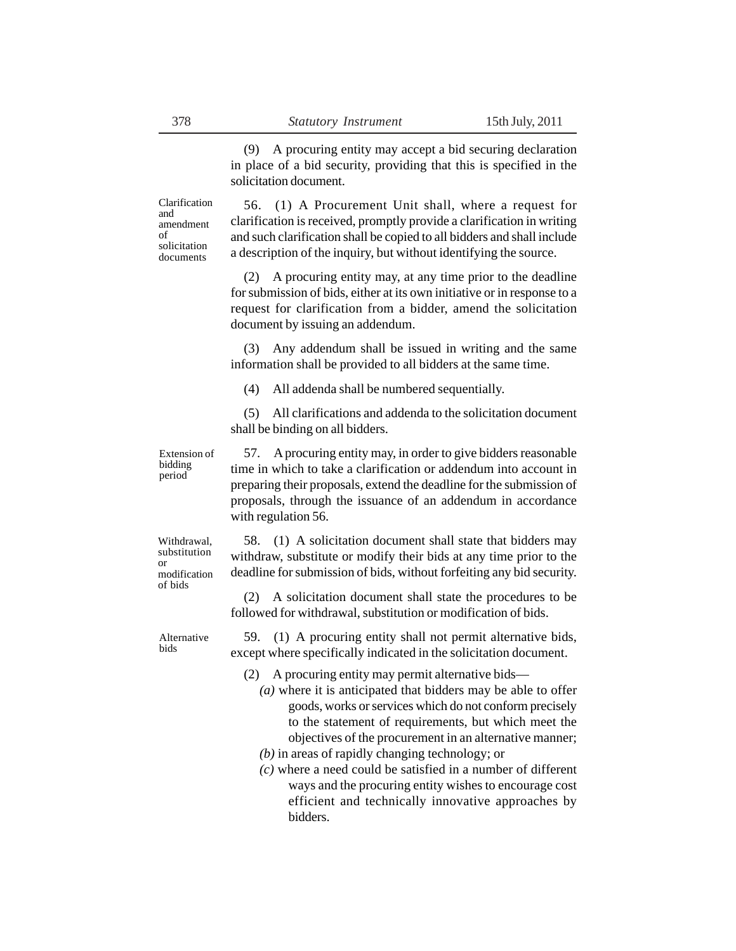(9) A procuring entity may accept a bid securing declaration in place of a bid security, providing that this is specified in the solicitation document.

Clarification and amendment of solicitation documents

56. (1) A Procurement Unit shall, where a request for clarification is received, promptly provide a clarification in writing and such clarification shall be copied to all bidders and shall include a description of the inquiry, but without identifying the source.

(2) A procuring entity may, at any time prior to the deadline for submission of bids, either at its own initiative or in response to a request for clarification from a bidder, amend the solicitation document by issuing an addendum.

(3) Any addendum shall be issued in writing and the same information shall be provided to all bidders at the same time.

(4) All addenda shall be numbered sequentially.

(5) All clarifications and addenda to the solicitation document shall be binding on all bidders.

Extension of bidding period

57. A procuring entity may, in order to give bidders reasonable time in which to take a clarification or addendum into account in preparing their proposals, extend the deadline for the submission of proposals, through the issuance of an addendum in accordance with regulation 56.

Withdrawal, substitution or modification of bids

58. (1) A solicitation document shall state that bidders may withdraw, substitute or modify their bids at any time prior to the deadline for submission of bids, without forfeiting any bid security.

(2) A solicitation document shall state the procedures to be followed for withdrawal, substitution or modification of bids.

Alternative bids

59. (1) A procuring entity shall not permit alternative bids, except where specifically indicated in the solicitation document.

- A procuring entity may permit alternative bids—
	- *(a)* where it is anticipated that bidders may be able to offer goods, works or services which do not conform precisely to the statement of requirements, but which meet the objectives of the procurement in an alternative manner;
	- *(b)* in areas of rapidly changing technology; or
	- *(c)* where a need could be satisfied in a number of different ways and the procuring entity wishes to encourage cost efficient and technically innovative approaches by bidders.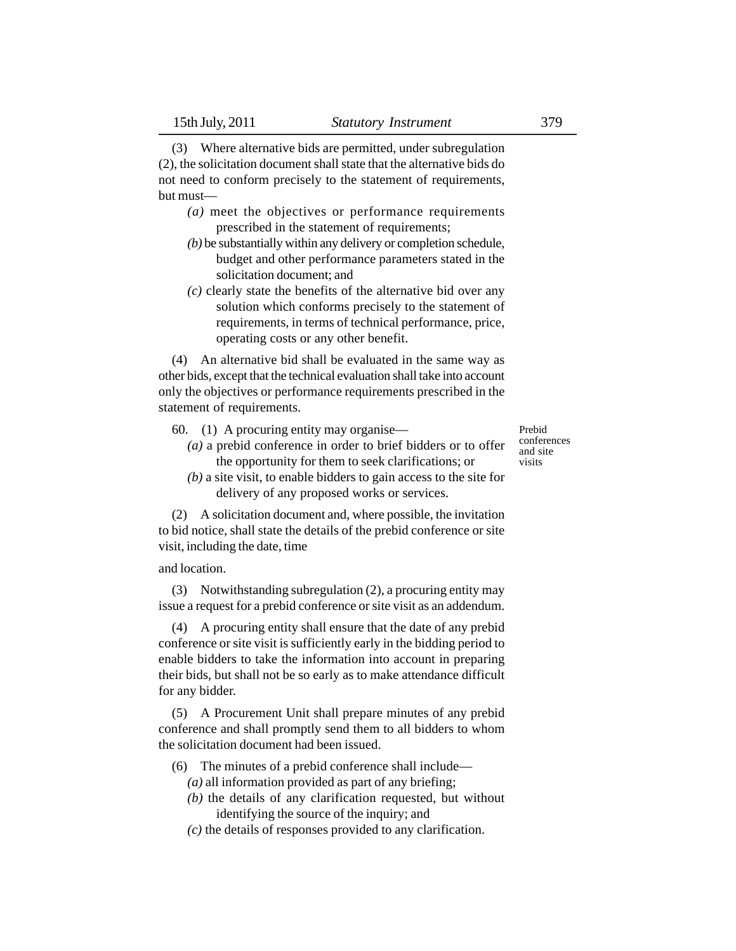(3) Where alternative bids are permitted, under subregulation (2), the solicitation document shall state that the alternative bids do not need to conform precisely to the statement of requirements, but must—

- *(a)* meet the objectives or performance requirements prescribed in the statement of requirements;
- *(b)* be substantially within any delivery or completion schedule, budget and other performance parameters stated in the solicitation document; and
- *(c)* clearly state the benefits of the alternative bid over any solution which conforms precisely to the statement of requirements, in terms of technical performance, price, operating costs or any other benefit.

(4) An alternative bid shall be evaluated in the same way as other bids, except that the technical evaluation shall take into account only the objectives or performance requirements prescribed in the statement of requirements.

- 60. (1) A procuring entity may organise—
	- *(a)* a prebid conference in order to brief bidders or to offer the opportunity for them to seek clarifications; or
	- *(b)* a site visit, to enable bidders to gain access to the site for delivery of any proposed works or services.

(2) A solicitation document and, where possible, the invitation to bid notice, shall state the details of the prebid conference or site visit, including the date, time

and location.

(3) Notwithstanding subregulation (2), a procuring entity may issue a request for a prebid conference or site visit as an addendum.

(4) A procuring entity shall ensure that the date of any prebid conference or site visit is sufficiently early in the bidding period to enable bidders to take the information into account in preparing their bids, but shall not be so early as to make attendance difficult for any bidder.

(5) A Procurement Unit shall prepare minutes of any prebid conference and shall promptly send them to all bidders to whom the solicitation document had been issued.

- (6) The minutes of a prebid conference shall include—
	- *(a)* all information provided as part of any briefing;
	- *(b)* the details of any clarification requested, but without identifying the source of the inquiry; and
	- *(c)* the details of responses provided to any clarification.

Prebid conferences and site visits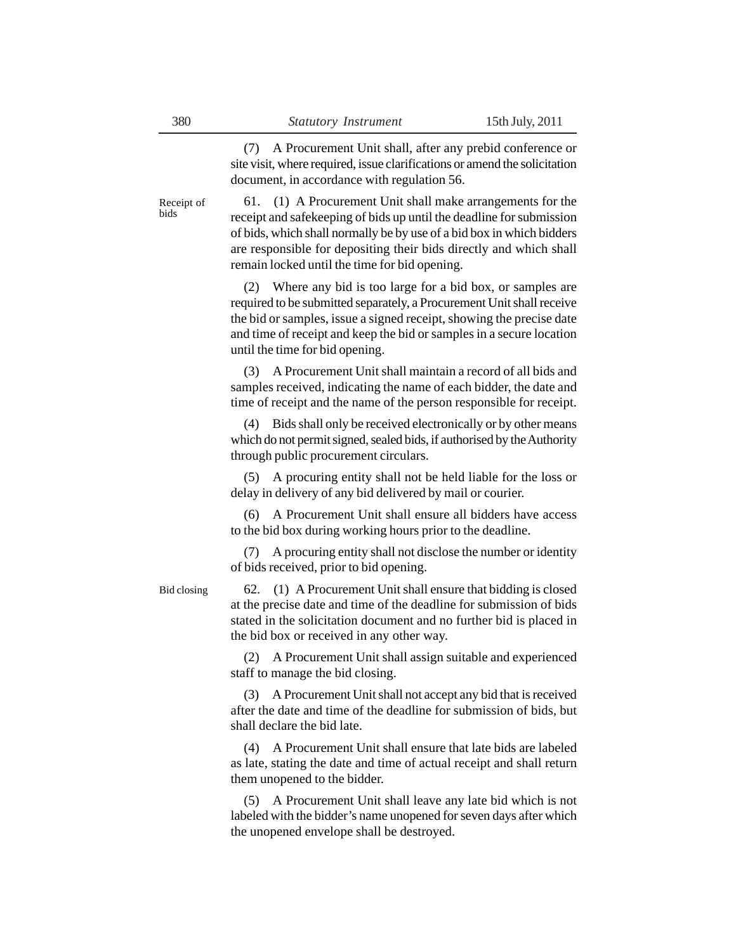(7) A Procurement Unit shall, after any prebid conference or site visit, where required, issue clarifications or amend the solicitation document, in accordance with regulation 56.

61. (1) A Procurement Unit shall make arrangements for the receipt and safekeeping of bids up until the deadline for submission of bids, which shall normally be by use of a bid box in which bidders are responsible for depositing their bids directly and which shall remain locked until the time for bid opening. Receipt of

> (2) Where any bid is too large for a bid box, or samples are required to be submitted separately, a Procurement Unit shall receive the bid or samples, issue a signed receipt, showing the precise date and time of receipt and keep the bid or samples in a secure location until the time for bid opening.

> (3) A Procurement Unit shall maintain a record of all bids and samples received, indicating the name of each bidder, the date and time of receipt and the name of the person responsible for receipt.

> (4) Bids shall only be received electronically or by other means which do not permit signed, sealed bids, if authorised by the Authority through public procurement circulars.

> (5) A procuring entity shall not be held liable for the loss or delay in delivery of any bid delivered by mail or courier.

> (6) A Procurement Unit shall ensure all bidders have access to the bid box during working hours prior to the deadline.

> (7) A procuring entity shall not disclose the number or identity of bids received, prior to bid opening.

Bid closing

62. (1) A Procurement Unit shall ensure that bidding is closed at the precise date and time of the deadline for submission of bids stated in the solicitation document and no further bid is placed in the bid box or received in any other way.

(2) A Procurement Unit shall assign suitable and experienced staff to manage the bid closing.

(3) A Procurement Unit shall not accept any bid that is received after the date and time of the deadline for submission of bids, but shall declare the bid late.

(4) A Procurement Unit shall ensure that late bids are labeled as late, stating the date and time of actual receipt and shall return them unopened to the bidder.

(5) A Procurement Unit shall leave any late bid which is not labeled with the bidder's name unopened for seven days after which the unopened envelope shall be destroyed.

bids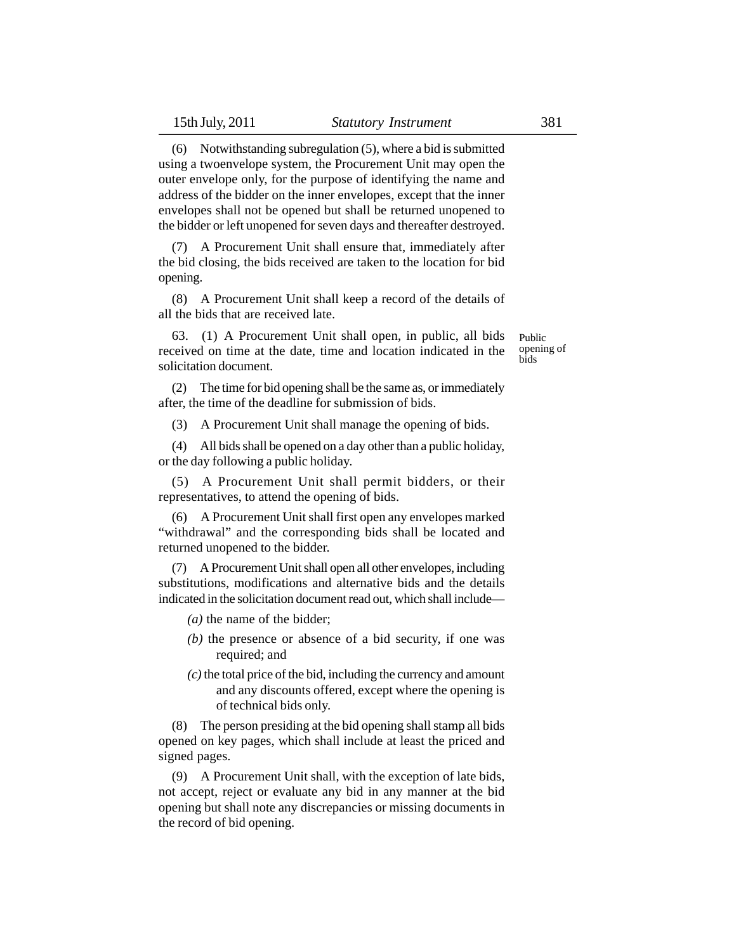(6) Notwithstanding subregulation (5), where a bid is submitted using a twoenvelope system, the Procurement Unit may open the outer envelope only, for the purpose of identifying the name and address of the bidder on the inner envelopes, except that the inner envelopes shall not be opened but shall be returned unopened to the bidder or left unopened for seven days and thereafter destroyed.

(7) A Procurement Unit shall ensure that, immediately after the bid closing, the bids received are taken to the location for bid opening.

(8) A Procurement Unit shall keep a record of the details of all the bids that are received late.

63. (1) A Procurement Unit shall open, in public, all bids received on time at the date, time and location indicated in the solicitation document.

Public opening of bids

(2) The time for bid opening shall be the same as, or immediately after, the time of the deadline for submission of bids.

(3) A Procurement Unit shall manage the opening of bids.

(4) All bids shall be opened on a day other than a public holiday, or the day following a public holiday.

(5) A Procurement Unit shall permit bidders, or their representatives, to attend the opening of bids.

(6) A Procurement Unit shall first open any envelopes marked "withdrawal" and the corresponding bids shall be located and returned unopened to the bidder.

(7) A Procurement Unit shall open all other envelopes, including substitutions, modifications and alternative bids and the details indicated in the solicitation document read out, which shall include—

*(a)* the name of the bidder;

- *(b)* the presence or absence of a bid security, if one was required; and
- *(c)* the total price of the bid, including the currency and amount and any discounts offered, except where the opening is of technical bids only.

(8) The person presiding at the bid opening shall stamp all bids opened on key pages, which shall include at least the priced and signed pages.

(9) A Procurement Unit shall, with the exception of late bids, not accept, reject or evaluate any bid in any manner at the bid opening but shall note any discrepancies or missing documents in the record of bid opening.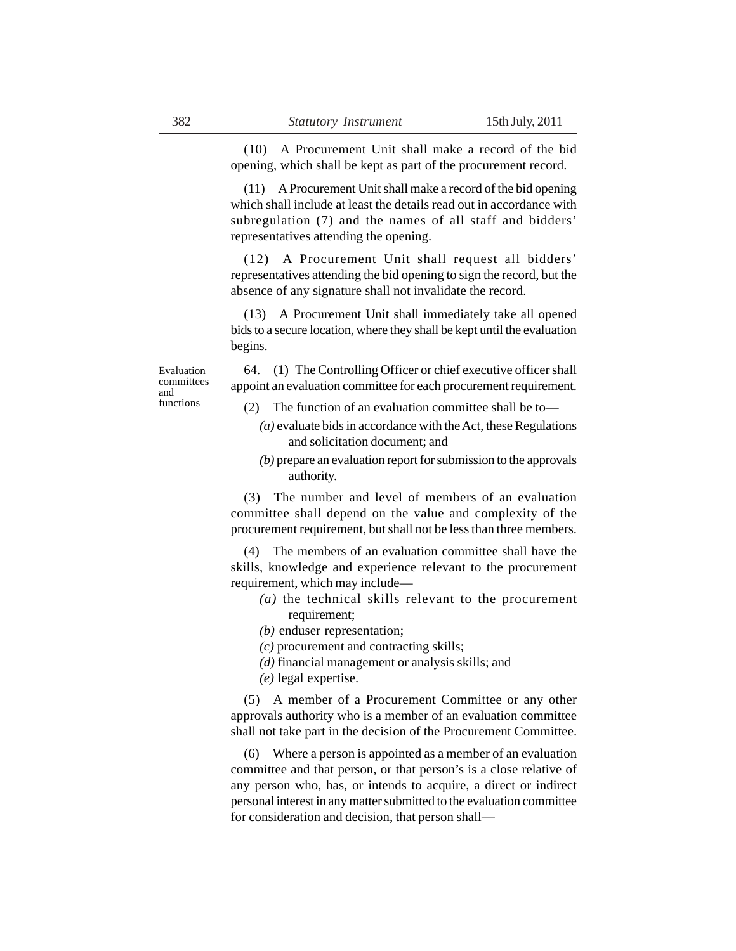(10) A Procurement Unit shall make a record of the bid opening, which shall be kept as part of the procurement record.

(11) A Procurement Unit shall make a record of the bid opening which shall include at least the details read out in accordance with subregulation (7) and the names of all staff and bidders' representatives attending the opening.

(12) A Procurement Unit shall request all bidders' representatives attending the bid opening to sign the record, but the absence of any signature shall not invalidate the record.

(13) A Procurement Unit shall immediately take all opened bids to a secure location, where they shall be kept until the evaluation begins.

Evaluation committees and functions

64. (1) The Controlling Officer or chief executive officer shall appoint an evaluation committee for each procurement requirement.

- (2) The function of an evaluation committee shall be to—
	- *(a)* evaluate bids in accordance with the Act, these Regulations and solicitation document; and
	- *(b)* prepare an evaluation report for submission to the approvals authority.

(3) The number and level of members of an evaluation committee shall depend on the value and complexity of the procurement requirement, but shall not be less than three members.

(4) The members of an evaluation committee shall have the skills, knowledge and experience relevant to the procurement requirement, which may include—

- *(a)* the technical skills relevant to the procurement requirement;
- *(b)* enduser representation;
- *(c)* procurement and contracting skills;
- *(d)* financial management or analysis skills; and
- *(e)* legal expertise.

(5) A member of a Procurement Committee or any other approvals authority who is a member of an evaluation committee shall not take part in the decision of the Procurement Committee.

(6) Where a person is appointed as a member of an evaluation committee and that person, or that person's is a close relative of any person who, has, or intends to acquire, a direct or indirect personal interest in any matter submitted to the evaluation committee for consideration and decision, that person shall—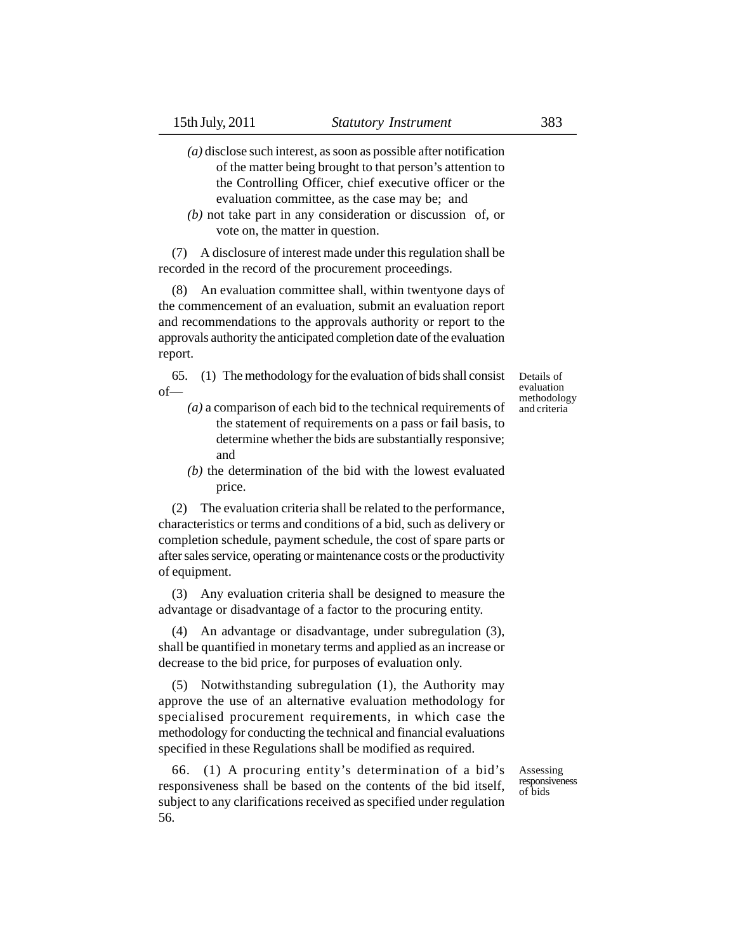- *(a)* disclose such interest, as soon as possible after notification of the matter being brought to that person's attention to the Controlling Officer, chief executive officer or the evaluation committee, as the case may be; and
- *(b)* not take part in any consideration or discussion of, or vote on, the matter in question.

(7) A disclosure of interest made under this regulation shall be recorded in the record of the procurement proceedings.

(8) An evaluation committee shall, within twentyone days of the commencement of an evaluation, submit an evaluation report and recommendations to the approvals authority or report to the approvals authority the anticipated completion date of the evaluation report.

65. (1) The methodology for the evaluation of bids shall consist of—

- *(a)* a comparison of each bid to the technical requirements of the statement of requirements on a pass or fail basis, to determine whether the bids are substantially responsive; and
- *(b)* the determination of the bid with the lowest evaluated price.

(2) The evaluation criteria shall be related to the performance, characteristics or terms and conditions of a bid, such as delivery or completion schedule, payment schedule, the cost of spare parts or after sales service, operating or maintenance costs or the productivity of equipment.

(3) Any evaluation criteria shall be designed to measure the advantage or disadvantage of a factor to the procuring entity.

(4) An advantage or disadvantage, under subregulation (3), shall be quantified in monetary terms and applied as an increase or decrease to the bid price, for purposes of evaluation only.

(5) Notwithstanding subregulation (1), the Authority may approve the use of an alternative evaluation methodology for specialised procurement requirements, in which case the methodology for conducting the technical and financial evaluations specified in these Regulations shall be modified as required.

66. (1) A procuring entity's determination of a bid's responsiveness shall be based on the contents of the bid itself, subject to any clarifications received as specified under regulation 56.

Assessing responsiveness of bids

Details of evaluation methodology and criteria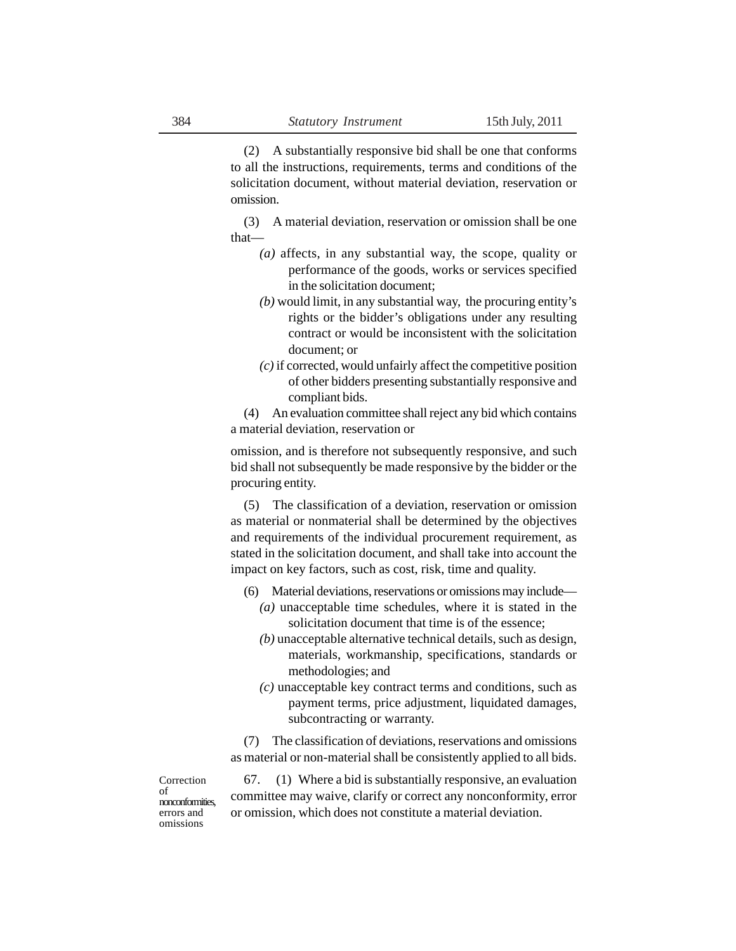(2) A substantially responsive bid shall be one that conforms to all the instructions, requirements, terms and conditions of the solicitation document, without material deviation, reservation or omission.

(3) A material deviation, reservation or omission shall be one that—

- *(a)* affects, in any substantial way, the scope, quality or performance of the goods, works or services specified in the solicitation document;
- *(b)* would limit, in any substantial way, the procuring entity's rights or the bidder's obligations under any resulting contract or would be inconsistent with the solicitation document; or
- *(c)* if corrected, would unfairly affect the competitive position of other bidders presenting substantially responsive and compliant bids.

(4) An evaluation committee shall reject any bid which contains a material deviation, reservation or

omission, and is therefore not subsequently responsive, and such bid shall not subsequently be made responsive by the bidder or the procuring entity.

(5) The classification of a deviation, reservation or omission as material or nonmaterial shall be determined by the objectives and requirements of the individual procurement requirement, as stated in the solicitation document, and shall take into account the impact on key factors, such as cost, risk, time and quality.

- (6) Material deviations, reservations or omissions may include—
	- *(a)* unacceptable time schedules, where it is stated in the solicitation document that time is of the essence;
	- *(b)* unacceptable alternative technical details, such as design, materials, workmanship, specifications, standards or methodologies; and
	- *(c)* unacceptable key contract terms and conditions, such as payment terms, price adjustment, liquidated damages, subcontracting or warranty.

(7) The classification of deviations, reservations and omissions as material or non-material shall be consistently applied to all bids.

Correction of nonconformities, errors and omissions

67. (1) Where a bid is substantially responsive, an evaluation committee may waive, clarify or correct any nonconformity, error or omission, which does not constitute a material deviation.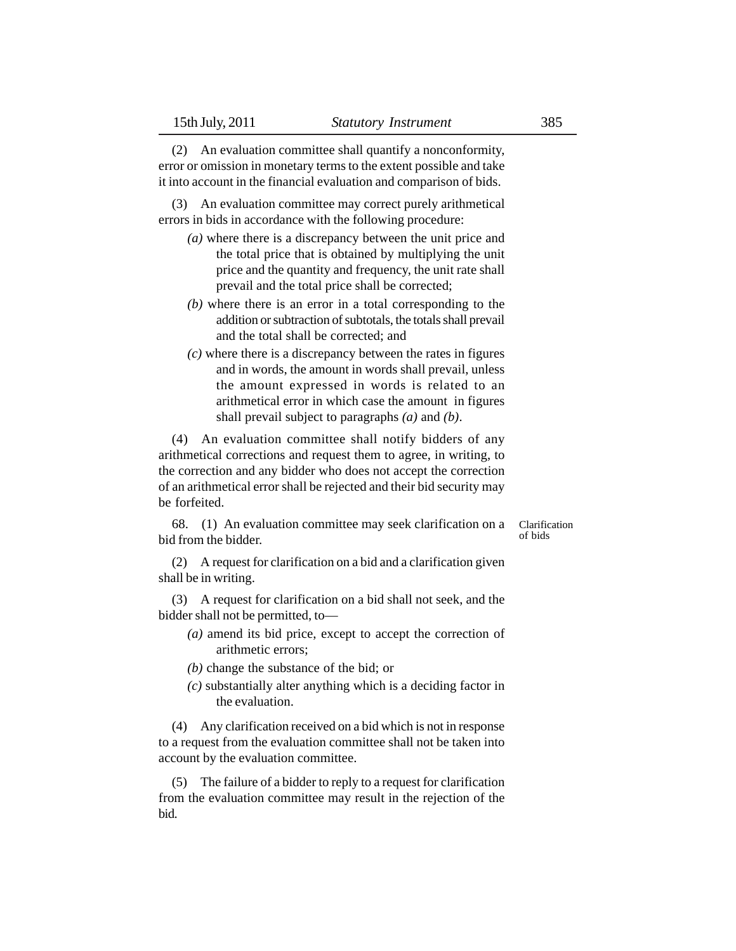(2) An evaluation committee shall quantify a nonconformity, error or omission in monetary terms to the extent possible and take it into account in the financial evaluation and comparison of bids.

(3) An evaluation committee may correct purely arithmetical errors in bids in accordance with the following procedure:

- *(a)* where there is a discrepancy between the unit price and the total price that is obtained by multiplying the unit price and the quantity and frequency, the unit rate shall prevail and the total price shall be corrected;
- *(b)* where there is an error in a total corresponding to the addition or subtraction of subtotals, the totals shall prevail and the total shall be corrected; and
- *(c)* where there is a discrepancy between the rates in figures and in words, the amount in words shall prevail, unless the amount expressed in words is related to an arithmetical error in which case the amount in figures shall prevail subject to paragraphs *(a)* and *(b)*.

(4) An evaluation committee shall notify bidders of any arithmetical corrections and request them to agree, in writing, to the correction and any bidder who does not accept the correction of an arithmetical error shall be rejected and their bid security may be forfeited.

68. (1) An evaluation committee may seek clarification on a bid from the bidder.

Clarification of bids

(2) A request for clarification on a bid and a clarification given shall be in writing.

(3) A request for clarification on a bid shall not seek, and the bidder shall not be permitted, to—

- *(a)* amend its bid price, except to accept the correction of arithmetic errors;
- *(b)* change the substance of the bid; or
- *(c)* substantially alter anything which is a deciding factor in the evaluation.

(4) Any clarification received on a bid which is not in response to a request from the evaluation committee shall not be taken into account by the evaluation committee.

(5) The failure of a bidder to reply to a request for clarification from the evaluation committee may result in the rejection of the bid.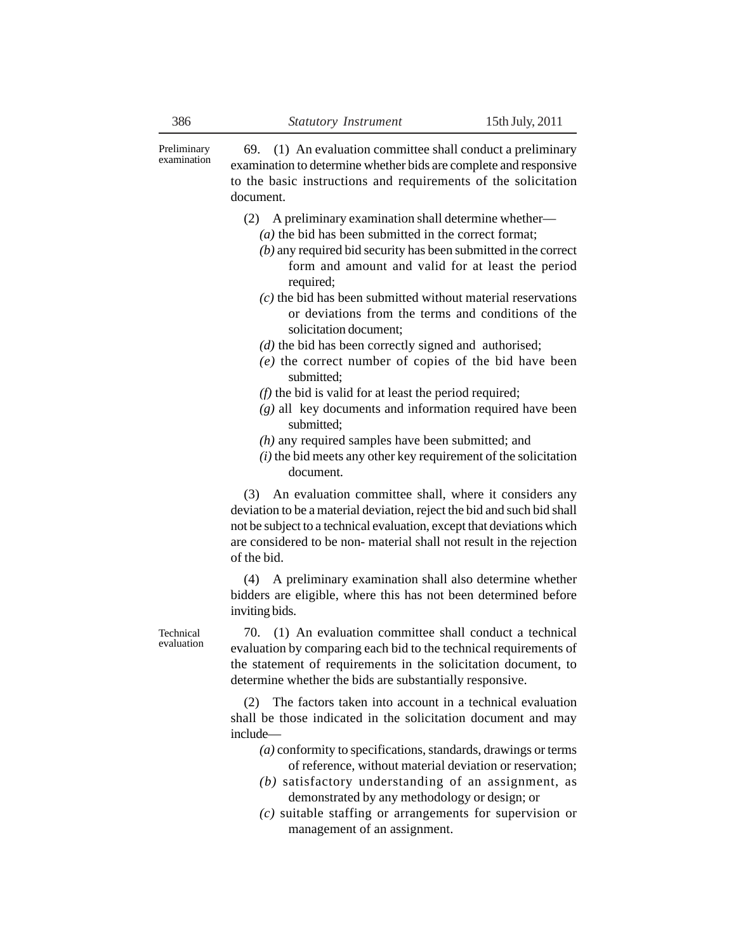Preliminary examination

69. (1) An evaluation committee shall conduct a preliminary examination to determine whether bids are complete and responsive to the basic instructions and requirements of the solicitation document.

- (2) A preliminary examination shall determine whether— *(a)* the bid has been submitted in the correct format;
	- *(b)* any required bid security has been submitted in the correct form and amount and valid for at least the period required;
	- *(c)* the bid has been submitted without material reservations or deviations from the terms and conditions of the solicitation document;
	- *(d)* the bid has been correctly signed and authorised;
	- *(e)* the correct number of copies of the bid have been submitted;
	- *(f)* the bid is valid for at least the period required;
	- *(g)* all key documents and information required have been submitted;
	- *(h)* any required samples have been submitted; and
	- *(i)* the bid meets any other key requirement of the solicitation document.

(3) An evaluation committee shall, where it considers any deviation to be a material deviation, reject the bid and such bid shall not be subject to a technical evaluation, except that deviations which are considered to be non- material shall not result in the rejection of the bid.

(4) A preliminary examination shall also determine whether bidders are eligible, where this has not been determined before inviting bids.

Technical evaluation

70. (1) An evaluation committee shall conduct a technical evaluation by comparing each bid to the technical requirements of the statement of requirements in the solicitation document, to determine whether the bids are substantially responsive.

(2) The factors taken into account in a technical evaluation shall be those indicated in the solicitation document and may include—

- *(a)* conformity to specifications, standards, drawings or terms of reference, without material deviation or reservation;
- *(b)* satisfactory understanding of an assignment, as demonstrated by any methodology or design; or
- *(c)* suitable staffing or arrangements for supervision or management of an assignment.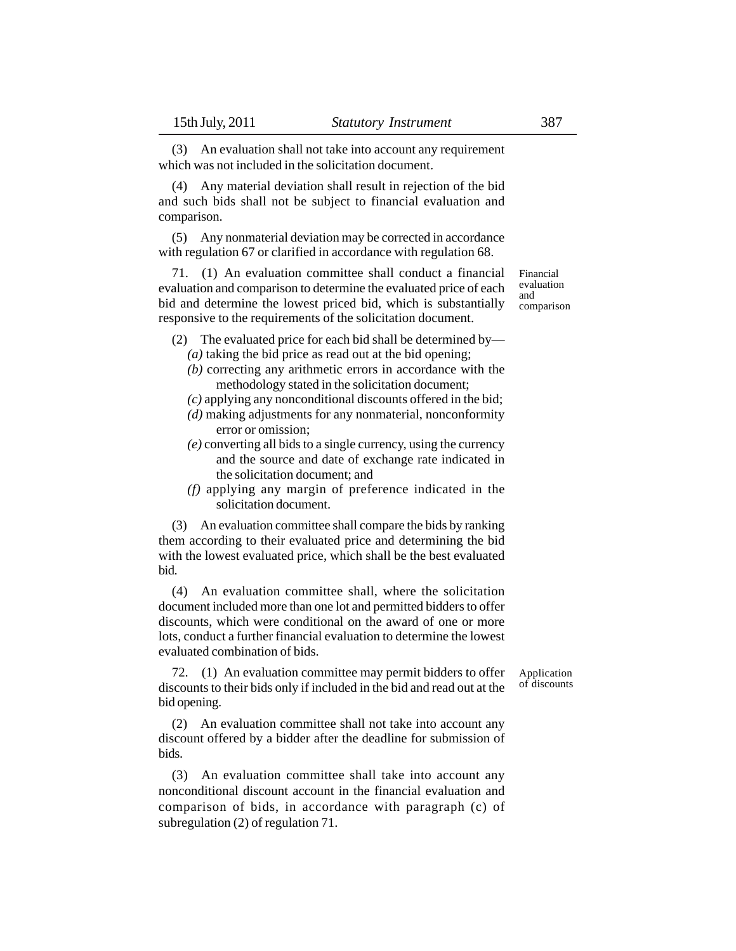(3) An evaluation shall not take into account any requirement which was not included in the solicitation document.

(4) Any material deviation shall result in rejection of the bid and such bids shall not be subject to financial evaluation and comparison.

(5) Any nonmaterial deviation may be corrected in accordance with regulation 67 or clarified in accordance with regulation 68.

71. (1) An evaluation committee shall conduct a financial evaluation and comparison to determine the evaluated price of each bid and determine the lowest priced bid, which is substantially responsive to the requirements of the solicitation document.

- (2) The evaluated price for each bid shall be determined by— *(a)* taking the bid price as read out at the bid opening;
	- *(b)* correcting any arithmetic errors in accordance with the methodology stated in the solicitation document;
	- *(c)* applying any nonconditional discounts offered in the bid;
	- *(d)* making adjustments for any nonmaterial, nonconformity error or omission;
	- *(e)* converting all bids to a single currency, using the currency and the source and date of exchange rate indicated in the solicitation document; and
	- *(f)* applying any margin of preference indicated in the solicitation document.

(3) An evaluation committee shall compare the bids by ranking them according to their evaluated price and determining the bid with the lowest evaluated price, which shall be the best evaluated bid.

(4) An evaluation committee shall, where the solicitation document included more than one lot and permitted bidders to offer discounts, which were conditional on the award of one or more lots, conduct a further financial evaluation to determine the lowest evaluated combination of bids.

72. (1) An evaluation committee may permit bidders to offer discounts to their bids only if included in the bid and read out at the bid opening.

(2) An evaluation committee shall not take into account any discount offered by a bidder after the deadline for submission of bids.

(3) An evaluation committee shall take into account any nonconditional discount account in the financial evaluation and comparison of bids, in accordance with paragraph (c) of subregulation (2) of regulation 71.

Application of discounts

Financial evaluation and comparison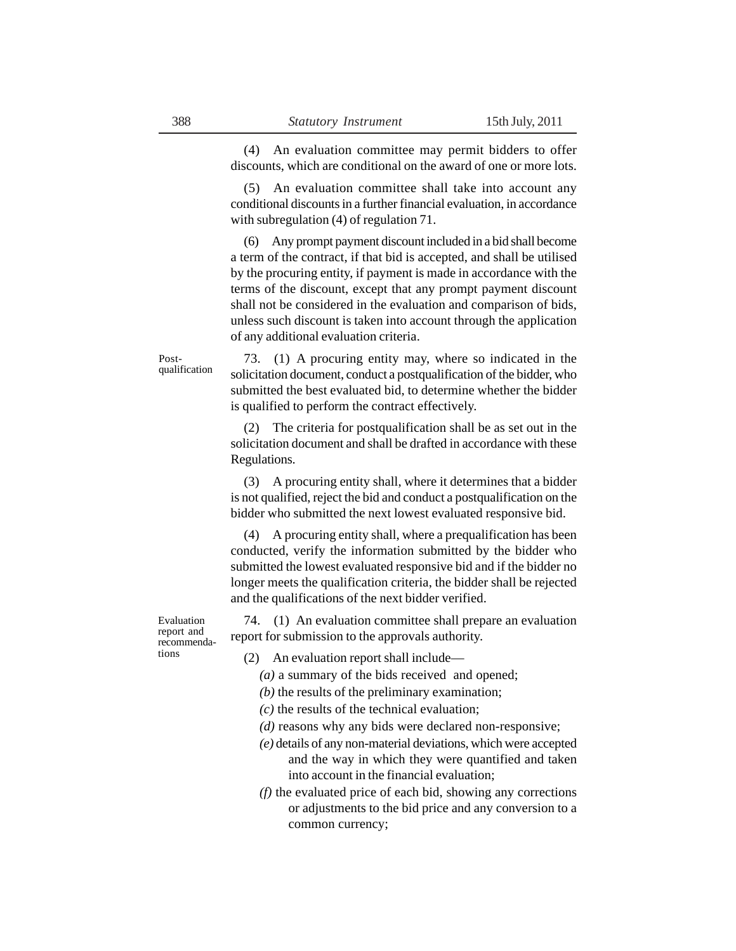(4) An evaluation committee may permit bidders to offer discounts, which are conditional on the award of one or more lots.

(5) An evaluation committee shall take into account any conditional discounts in a further financial evaluation, in accordance with subregulation (4) of regulation 71.

(6) Any prompt payment discount included in a bid shall become a term of the contract, if that bid is accepted, and shall be utilised by the procuring entity, if payment is made in accordance with the terms of the discount, except that any prompt payment discount shall not be considered in the evaluation and comparison of bids, unless such discount is taken into account through the application of any additional evaluation criteria.

73. (1) A procuring entity may, where so indicated in the solicitation document, conduct a postqualification of the bidder, who submitted the best evaluated bid, to determine whether the bidder is qualified to perform the contract effectively. Postqualification

> (2) The criteria for postqualification shall be as set out in the solicitation document and shall be drafted in accordance with these Regulations.

> (3) A procuring entity shall, where it determines that a bidder is not qualified, reject the bid and conduct a postqualification on the bidder who submitted the next lowest evaluated responsive bid.

> (4) A procuring entity shall, where a prequalification has been conducted, verify the information submitted by the bidder who submitted the lowest evaluated responsive bid and if the bidder no longer meets the qualification criteria, the bidder shall be rejected and the qualifications of the next bidder verified.

Evaluation report and recommendations

74. (1) An evaluation committee shall prepare an evaluation report for submission to the approvals authority.

(2) An evaluation report shall include—

- *(a)* a summary of the bids received and opened;
- *(b)* the results of the preliminary examination;
- *(c)* the results of the technical evaluation;
- *(d)* reasons why any bids were declared non-responsive;
- *(e)* details of any non-material deviations, which were accepted and the way in which they were quantified and taken into account in the financial evaluation;
- *(f)* the evaluated price of each bid, showing any corrections or adjustments to the bid price and any conversion to a common currency;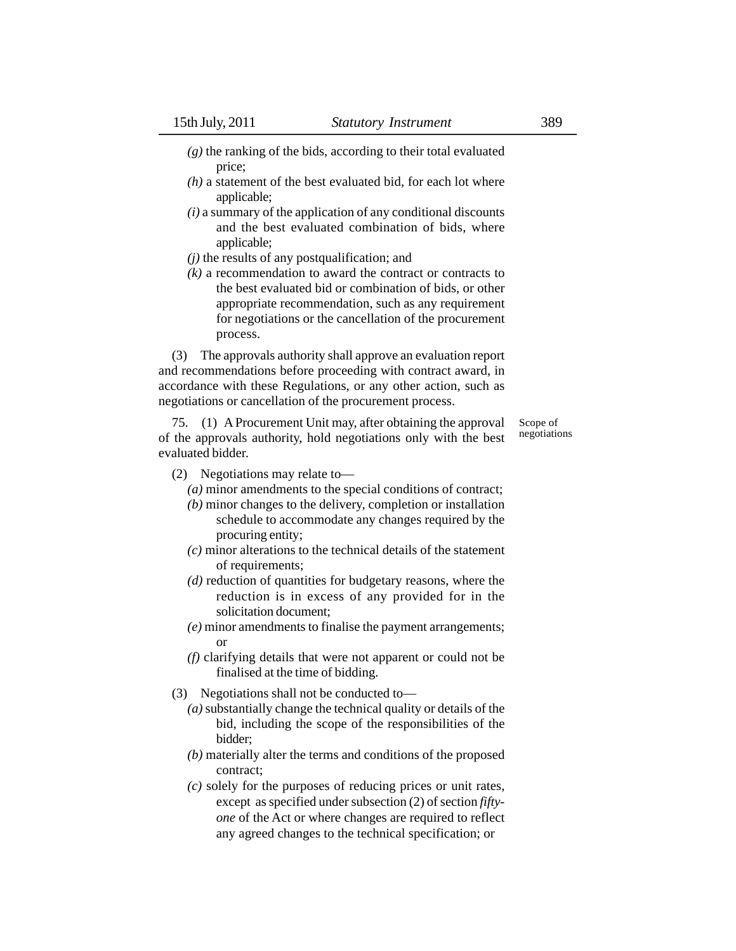- *(g)* the ranking of the bids, according to their total evaluated price;
- *(h)* a statement of the best evaluated bid, for each lot where applicable;
- *(i)* a summary of the application of any conditional discounts and the best evaluated combination of bids, where applicable;
- *(j)* the results of any postqualification; and
- *(k)* a recommendation to award the contract or contracts to the best evaluated bid or combination of bids, or other appropriate recommendation, such as any requirement for negotiations or the cancellation of the procurement process.

(3) The approvals authority shall approve an evaluation report and recommendations before proceeding with contract award, in accordance with these Regulations, or any other action, such as negotiations or cancellation of the procurement process.

75. (1) A Procurement Unit may, after obtaining the approval of the approvals authority, hold negotiations only with the best evaluated bidder.

Scope of negotiations

- (2) Negotiations may relate to—
	- *(a)* minor amendments to the special conditions of contract;
	- *(b)* minor changes to the delivery, completion or installation schedule to accommodate any changes required by the procuring entity;
	- *(c)* minor alterations to the technical details of the statement of requirements;
	- *(d)* reduction of quantities for budgetary reasons, where the reduction is in excess of any provided for in the solicitation document;
	- *(e)* minor amendments to finalise the payment arrangements; or
	- *(f)* clarifying details that were not apparent or could not be finalised at the time of bidding.
- (3) Negotiations shall not be conducted to—
	- *(a)* substantially change the technical quality or details of the bid, including the scope of the responsibilities of the bidder;
	- *(b)* materially alter the terms and conditions of the proposed contract;
	- *(c)* solely for the purposes of reducing prices or unit rates, except as specified under subsection (2) of section *fiftyone* of the Act or where changes are required to reflect any agreed changes to the technical specification; or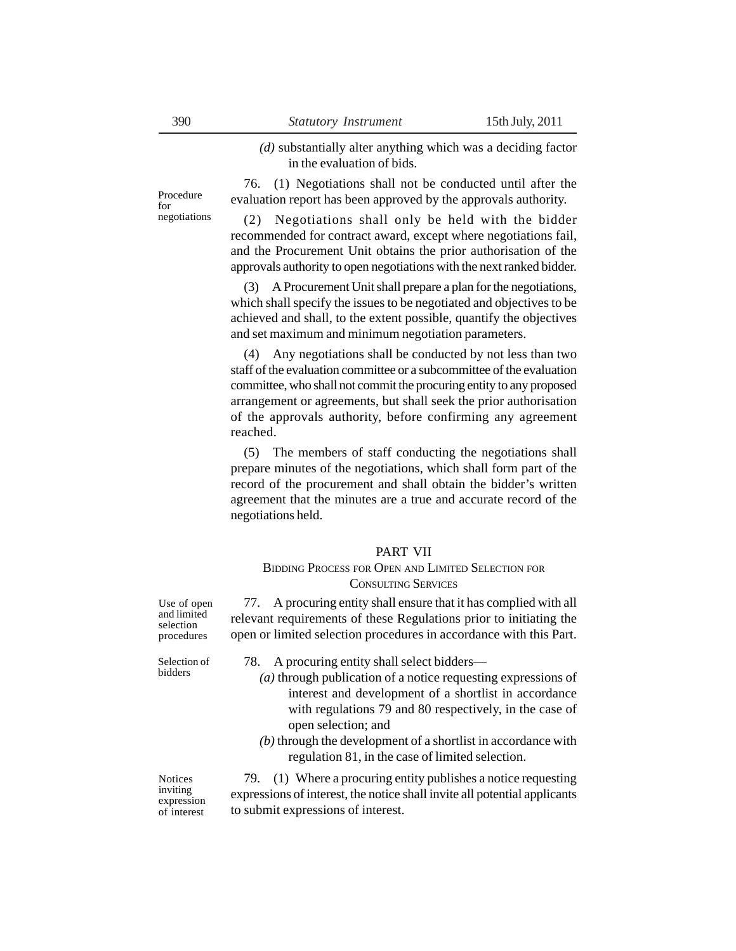*(d)* substantially alter anything which was a deciding factor in the evaluation of bids.

76. (1) Negotiations shall not be conducted until after the evaluation report has been approved by the approvals authority.

(2) Negotiations shall only be held with the bidder recommended for contract award, except where negotiations fail, and the Procurement Unit obtains the prior authorisation of the approvals authority to open negotiations with the next ranked bidder.

(3) A Procurement Unit shall prepare a plan for the negotiations, which shall specify the issues to be negotiated and objectives to be achieved and shall, to the extent possible, quantify the objectives and set maximum and minimum negotiation parameters.

(4) Any negotiations shall be conducted by not less than two staff of the evaluation committee or a subcommittee of the evaluation committee, who shall not commit the procuring entity to any proposed arrangement or agreements, but shall seek the prior authorisation of the approvals authority, before confirming any agreement reached.

(5) The members of staff conducting the negotiations shall prepare minutes of the negotiations, which shall form part of the record of the procurement and shall obtain the bidder's written agreement that the minutes are a true and accurate record of the negotiations held.

#### PART VII

## BIDDING PROCESS FOR OPEN AND LIMITED SELECTION FOR CONSULTING SERVICES

77. A procuring entity shall ensure that it has complied with all relevant requirements of these Regulations prior to initiating the open or limited selection procedures in accordance with this Part.

Selection of bidders

- 78. A procuring entity shall select bidders—
	- *(a)* through publication of a notice requesting expressions of interest and development of a shortlist in accordance with regulations 79 and 80 respectively, in the case of open selection; and
	- *(b)* through the development of a shortlist in accordance with regulation 81, in the case of limited selection.

Notices inviting expression of interest

79. (1) Where a procuring entity publishes a notice requesting expressions of interest, the notice shall invite all potential applicants to submit expressions of interest.

for negotiations

Procedure

Use of open and limited

selection procedures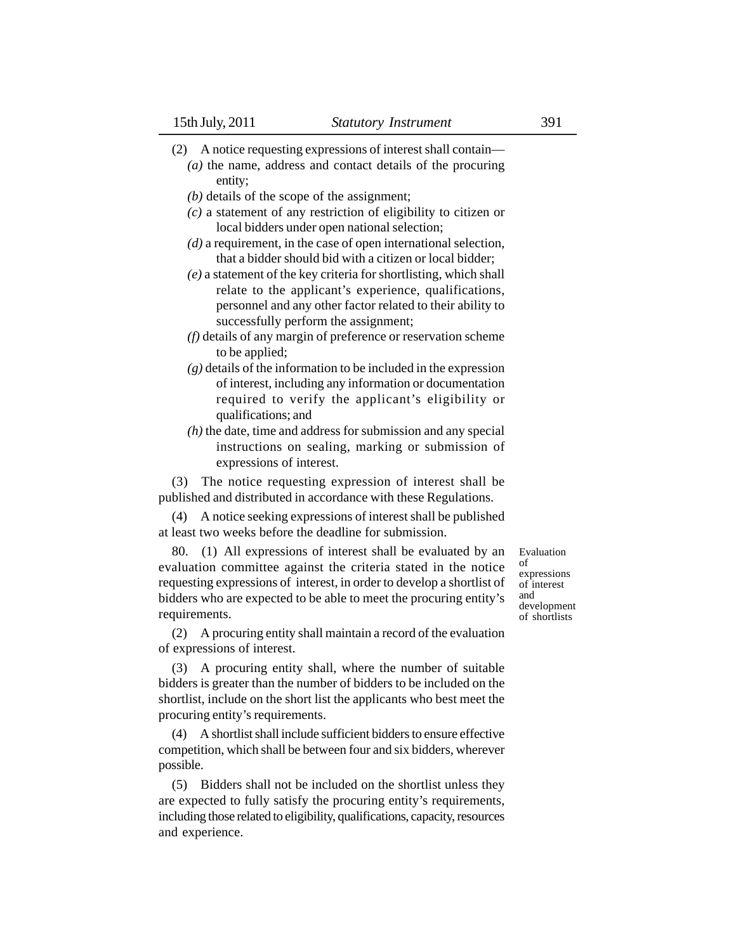- (2) A notice requesting expressions of interest shall contain—
	- *(a)* the name, address and contact details of the procuring entity;
	- *(b)* details of the scope of the assignment;
	- *(c)* a statement of any restriction of eligibility to citizen or local bidders under open national selection;
	- *(d)* a requirement, in the case of open international selection, that a bidder should bid with a citizen or local bidder;
	- *(e)* a statement of the key criteria for shortlisting, which shall relate to the applicant's experience, qualifications, personnel and any other factor related to their ability to successfully perform the assignment;
	- *(f)* details of any margin of preference or reservation scheme to be applied;
	- *(g)* details of the information to be included in the expression of interest, including any information or documentation required to verify the applicant's eligibility or qualifications; and
	- *(h)* the date, time and address for submission and any special instructions on sealing, marking or submission of expressions of interest.

(3) The notice requesting expression of interest shall be published and distributed in accordance with these Regulations.

(4) A notice seeking expressions of interest shall be published at least two weeks before the deadline for submission.

80. (1) All expressions of interest shall be evaluated by an evaluation committee against the criteria stated in the notice requesting expressions of interest, in order to develop a shortlist of bidders who are expected to be able to meet the procuring entity's requirements.

(2) A procuring entity shall maintain a record of the evaluation of expressions of interest.

(3) A procuring entity shall, where the number of suitable bidders is greater than the number of bidders to be included on the shortlist, include on the short list the applicants who best meet the procuring entity's requirements.

(4) A shortlist shall include sufficient bidders to ensure effective competition, which shall be between four and six bidders, wherever possible.

(5) Bidders shall not be included on the shortlist unless they are expected to fully satisfy the procuring entity's requirements, including those related to eligibility, qualifications, capacity, resources and experience.

Evaluation of expressions of interest and development of shortlists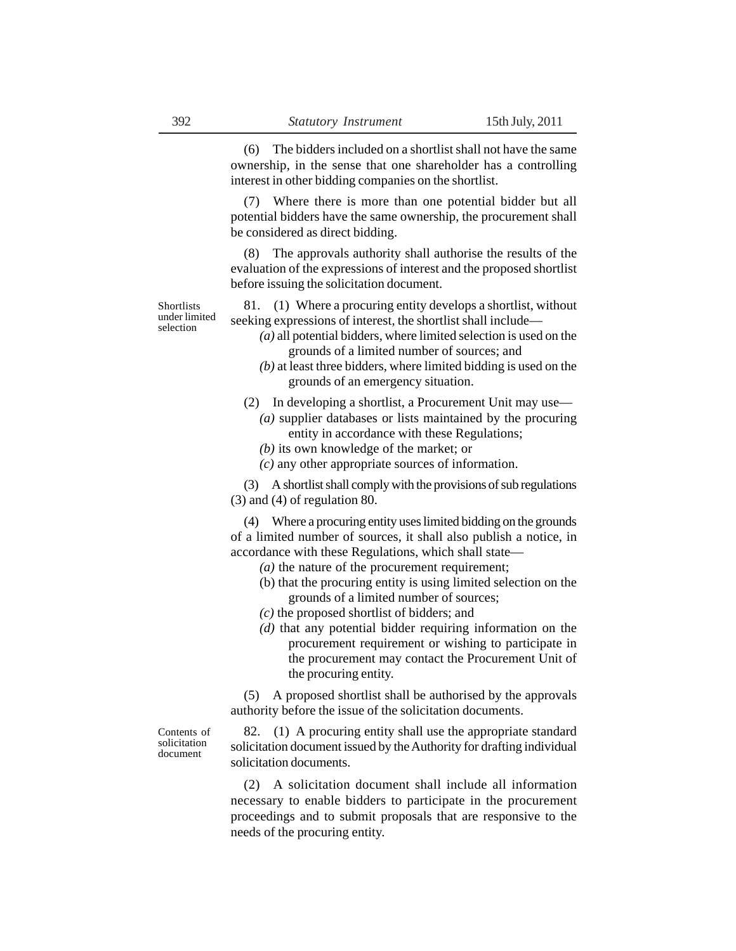(6) The bidders included on a shortlist shall not have the same ownership, in the sense that one shareholder has a controlling interest in other bidding companies on the shortlist.

Where there is more than one potential bidder but all potential bidders have the same ownership, the procurement shall be considered as direct bidding.

(8) The approvals authority shall authorise the results of the evaluation of the expressions of interest and the proposed shortlist before issuing the solicitation document.

**Shortlists** under limited selection

81. (1) Where a procuring entity develops a shortlist, without seeking expressions of interest, the shortlist shall include—

- *(a)* all potential bidders, where limited selection is used on the grounds of a limited number of sources; and
- *(b)* at least three bidders, where limited bidding is used on the grounds of an emergency situation.
- (2) In developing a shortlist, a Procurement Unit may use—
	- *(a)* supplier databases or lists maintained by the procuring entity in accordance with these Regulations;
	- *(b)* its own knowledge of the market; or
	- *(c)* any other appropriate sources of information.

(3) A shortlist shall comply with the provisions of sub regulations (3) and (4) of regulation 80.

(4) Where a procuring entity uses limited bidding on the grounds of a limited number of sources, it shall also publish a notice, in accordance with these Regulations, which shall state—

- *(a)* the nature of the procurement requirement;
- (b) that the procuring entity is using limited selection on the grounds of a limited number of sources;
- *(c)* the proposed shortlist of bidders; and
- *(d)* that any potential bidder requiring information on the procurement requirement or wishing to participate in the procurement may contact the Procurement Unit of the procuring entity.

(5) A proposed shortlist shall be authorised by the approvals authority before the issue of the solicitation documents.

Contents of solicitation document

82. (1) A procuring entity shall use the appropriate standard solicitation document issued by the Authority for drafting individual solicitation documents.

(2) A solicitation document shall include all information necessary to enable bidders to participate in the procurement proceedings and to submit proposals that are responsive to the needs of the procuring entity.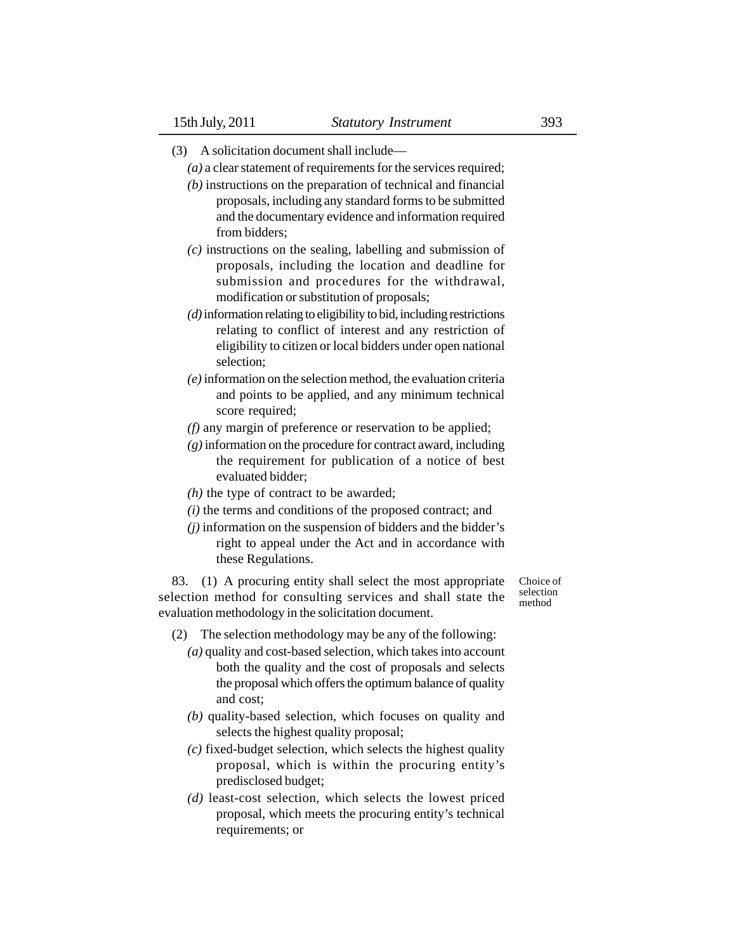- (3) A solicitation document shall include—
	- *(a)* a clear statement of requirements for the services required;
	- *(b)* instructions on the preparation of technical and financial proposals, including any standard forms to be submitted and the documentary evidence and information required from bidders;
	- *(c)* instructions on the sealing, labelling and submission of proposals, including the location and deadline for submission and procedures for the withdrawal, modification or substitution of proposals;
	- *(d)* information relating to eligibility to bid, including restrictions relating to conflict of interest and any restriction of eligibility to citizen or local bidders under open national selection;
	- *(e)* information on the selection method, the evaluation criteria and points to be applied, and any minimum technical score required;
	- *(f)* any margin of preference or reservation to be applied;
	- *(g)* information on the procedure for contract award, including the requirement for publication of a notice of best evaluated bidder;
	- *(h)* the type of contract to be awarded;
	- *(i)* the terms and conditions of the proposed contract; and
	- *(j)* information on the suspension of bidders and the bidder's right to appeal under the Act and in accordance with these Regulations.

83. (1) A procuring entity shall select the most appropriate selection method for consulting services and shall state the evaluation methodology in the solicitation document.

Choice of selection method

- (2) The selection methodology may be any of the following:
	- *(a)* quality and cost-based selection, which takes into account both the quality and the cost of proposals and selects the proposal which offers the optimum balance of quality and cost;
	- *(b)* quality-based selection, which focuses on quality and selects the highest quality proposal;
	- *(c)* fixed-budget selection, which selects the highest quality proposal, which is within the procuring entity's predisclosed budget;
	- *(d)* least-cost selection, which selects the lowest priced proposal, which meets the procuring entity's technical requirements; or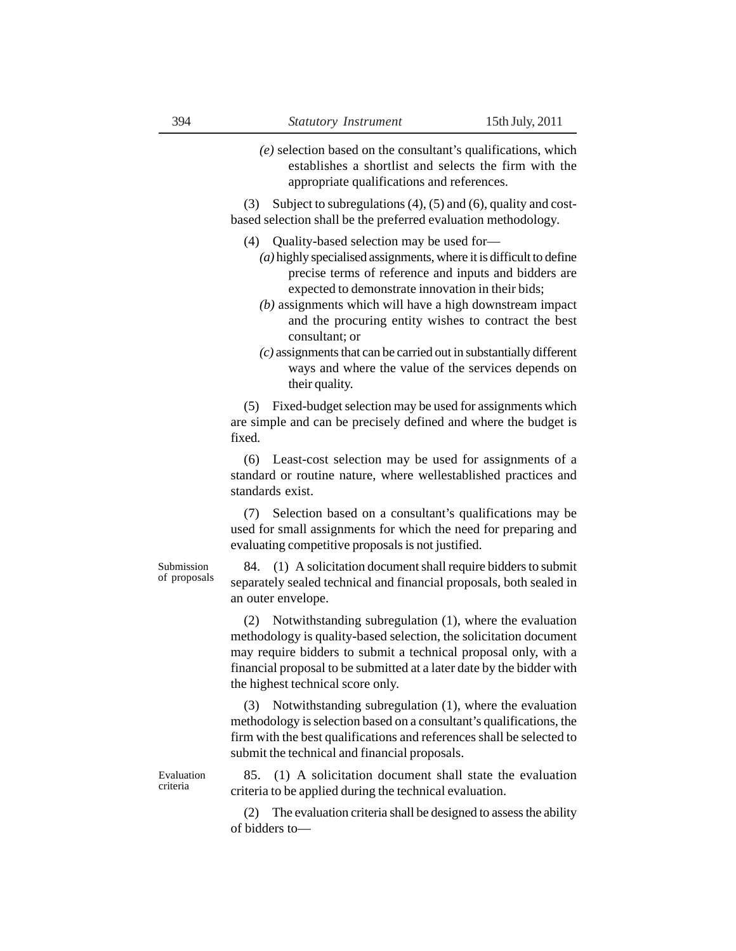*(e)* selection based on the consultant's qualifications, which establishes a shortlist and selects the firm with the appropriate qualifications and references.

(3) Subject to subregulations (4), (5) and (6), quality and costbased selection shall be the preferred evaluation methodology.

- (4) Quality-based selection may be used for—
	- *(a)* highly specialised assignments, where it is difficult to define precise terms of reference and inputs and bidders are expected to demonstrate innovation in their bids;
	- *(b)* assignments which will have a high downstream impact and the procuring entity wishes to contract the best consultant; or
	- *(c)* assignments that can be carried out in substantially different ways and where the value of the services depends on their quality.

(5) Fixed-budget selection may be used for assignments which are simple and can be precisely defined and where the budget is fixed.

(6) Least-cost selection may be used for assignments of a standard or routine nature, where wellestablished practices and standards exist.

(7) Selection based on a consultant's qualifications may be used for small assignments for which the need for preparing and evaluating competitive proposals is not justified.

Submission of proposals

84. (1) A solicitation document shall require bidders to submit separately sealed technical and financial proposals, both sealed in an outer envelope.

(2) Notwithstanding subregulation (1), where the evaluation methodology is quality-based selection, the solicitation document may require bidders to submit a technical proposal only, with a financial proposal to be submitted at a later date by the bidder with the highest technical score only.

(3) Notwithstanding subregulation (1), where the evaluation methodology is selection based on a consultant's qualifications, the firm with the best qualifications and references shall be selected to submit the technical and financial proposals.

Evaluation criteria

85. (1) A solicitation document shall state the evaluation criteria to be applied during the technical evaluation.

(2) The evaluation criteria shall be designed to assess the ability of bidders to—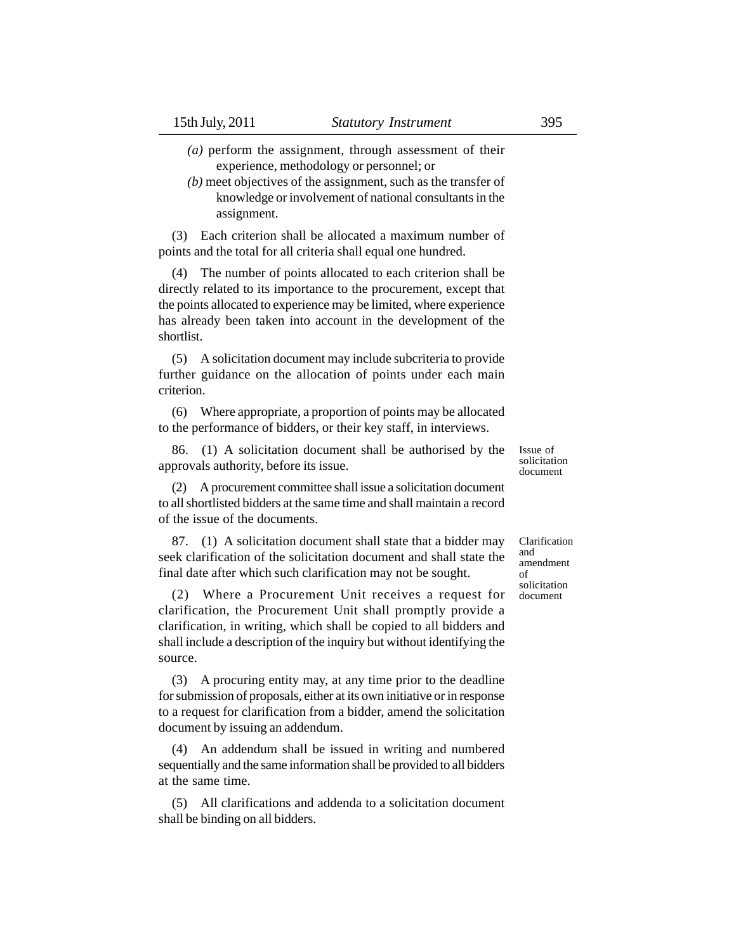- *(a)* perform the assignment, through assessment of their experience, methodology or personnel; or
- *(b)* meet objectives of the assignment, such as the transfer of knowledge or involvement of national consultants in the assignment.

(3) Each criterion shall be allocated a maximum number of points and the total for all criteria shall equal one hundred.

(4) The number of points allocated to each criterion shall be directly related to its importance to the procurement, except that the points allocated to experience may be limited, where experience has already been taken into account in the development of the shortlist.

(5) A solicitation document may include subcriteria to provide further guidance on the allocation of points under each main criterion.

(6) Where appropriate, a proportion of points may be allocated to the performance of bidders, or their key staff, in interviews.

86. (1) A solicitation document shall be authorised by the approvals authority, before its issue.

(2) A procurement committee shall issue a solicitation document to all shortlisted bidders at the same time and shall maintain a record of the issue of the documents.

87. (1) A solicitation document shall state that a bidder may seek clarification of the solicitation document and shall state the final date after which such clarification may not be sought.

(2) Where a Procurement Unit receives a request for clarification, the Procurement Unit shall promptly provide a clarification, in writing, which shall be copied to all bidders and shall include a description of the inquiry but without identifying the source.

(3) A procuring entity may, at any time prior to the deadline for submission of proposals, either at its own initiative or in response to a request for clarification from a bidder, amend the solicitation document by issuing an addendum.

(4) An addendum shall be issued in writing and numbered sequentially and the same information shall be provided to all bidders at the same time.

(5) All clarifications and addenda to a solicitation document shall be binding on all bidders.

Issue of solicitation document

Clarification and amendment of solicitation document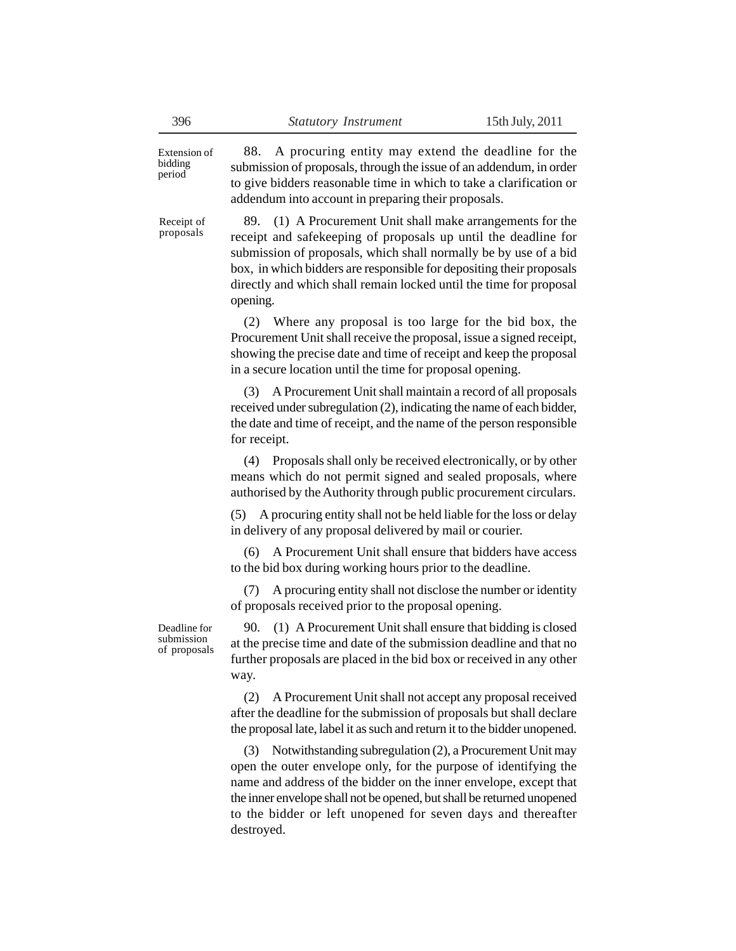Extension of bidding period

Receipt of proposals

88. A procuring entity may extend the deadline for the submission of proposals, through the issue of an addendum, in order to give bidders reasonable time in which to take a clarification or addendum into account in preparing their proposals.

89. (1) A Procurement Unit shall make arrangements for the receipt and safekeeping of proposals up until the deadline for submission of proposals, which shall normally be by use of a bid box, in which bidders are responsible for depositing their proposals directly and which shall remain locked until the time for proposal opening.

(2) Where any proposal is too large for the bid box, the Procurement Unit shall receive the proposal, issue a signed receipt, showing the precise date and time of receipt and keep the proposal in a secure location until the time for proposal opening.

(3) A Procurement Unit shall maintain a record of all proposals received under subregulation (2), indicating the name of each bidder, the date and time of receipt, and the name of the person responsible for receipt.

(4) Proposals shall only be received electronically, or by other means which do not permit signed and sealed proposals, where authorised by the Authority through public procurement circulars.

(5) A procuring entity shall not be held liable for the loss or delay in delivery of any proposal delivered by mail or courier.

(6) A Procurement Unit shall ensure that bidders have access to the bid box during working hours prior to the deadline.

(7) A procuring entity shall not disclose the number or identity of proposals received prior to the proposal opening.

Deadline for submission of proposals

90. (1) A Procurement Unit shall ensure that bidding is closed at the precise time and date of the submission deadline and that no further proposals are placed in the bid box or received in any other way.

(2) A Procurement Unit shall not accept any proposal received after the deadline for the submission of proposals but shall declare the proposal late, label it as such and return it to the bidder unopened.

(3) Notwithstanding subregulation (2), a Procurement Unit may open the outer envelope only, for the purpose of identifying the name and address of the bidder on the inner envelope, except that the inner envelope shall not be opened, but shall be returned unopened to the bidder or left unopened for seven days and thereafter destroyed.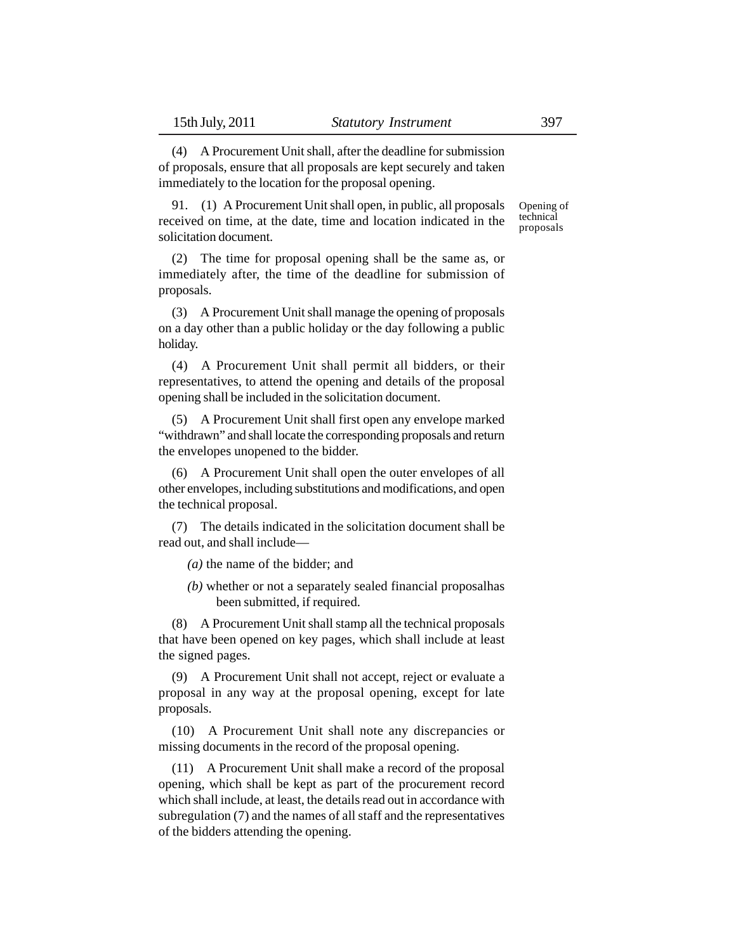(4) A Procurement Unit shall, after the deadline for submission of proposals, ensure that all proposals are kept securely and taken immediately to the location for the proposal opening.

91. (1) A Procurement Unit shall open, in public, all proposals received on time, at the date, time and location indicated in the solicitation document. Opening of technical proposals

(2) The time for proposal opening shall be the same as, or immediately after, the time of the deadline for submission of proposals.

(3) A Procurement Unit shall manage the opening of proposals on a day other than a public holiday or the day following a public holiday.

(4) A Procurement Unit shall permit all bidders, or their representatives, to attend the opening and details of the proposal opening shall be included in the solicitation document.

(5) A Procurement Unit shall first open any envelope marked "withdrawn" and shall locate the corresponding proposals and return the envelopes unopened to the bidder.

(6) A Procurement Unit shall open the outer envelopes of all other envelopes, including substitutions and modifications, and open the technical proposal.

(7) The details indicated in the solicitation document shall be read out, and shall include—

*(a)* the name of the bidder; and

*(b)* whether or not a separately sealed financial proposalhas been submitted, if required.

(8) A Procurement Unit shall stamp all the technical proposals that have been opened on key pages, which shall include at least the signed pages.

(9) A Procurement Unit shall not accept, reject or evaluate a proposal in any way at the proposal opening, except for late proposals.

(10) A Procurement Unit shall note any discrepancies or missing documents in the record of the proposal opening.

(11) A Procurement Unit shall make a record of the proposal opening, which shall be kept as part of the procurement record which shall include, at least, the details read out in accordance with subregulation (7) and the names of all staff and the representatives of the bidders attending the opening.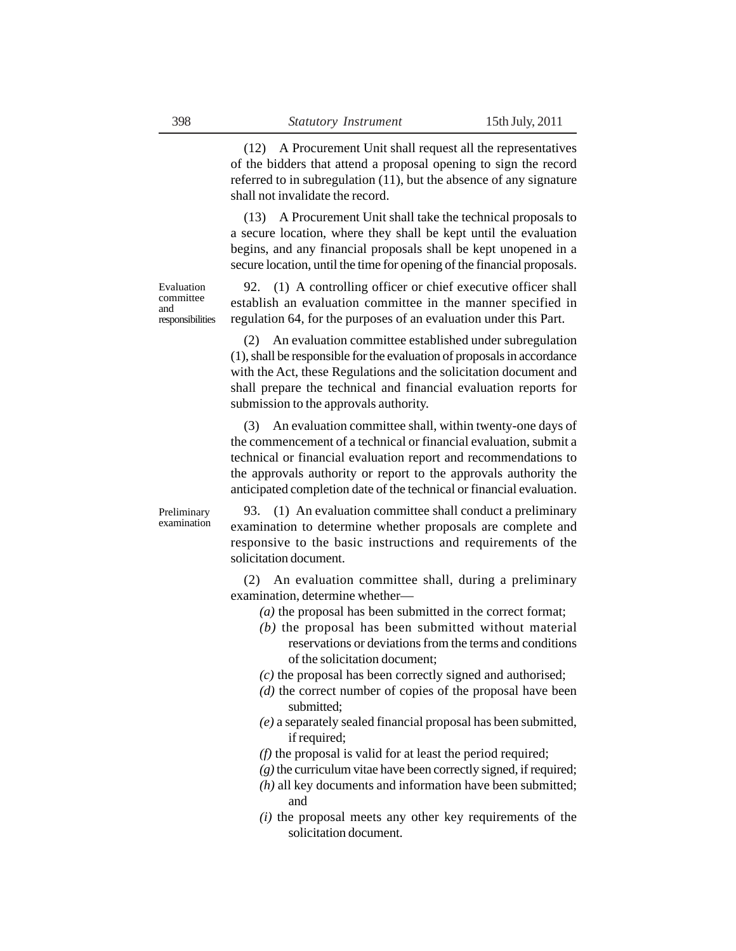(12) A Procurement Unit shall request all the representatives of the bidders that attend a proposal opening to sign the record referred to in subregulation (11), but the absence of any signature shall not invalidate the record.

(13) A Procurement Unit shall take the technical proposals to a secure location, where they shall be kept until the evaluation begins, and any financial proposals shall be kept unopened in a secure location, until the time for opening of the financial proposals.

Evaluation committee and responsibilities

92. (1) A controlling officer or chief executive officer shall establish an evaluation committee in the manner specified in regulation 64, for the purposes of an evaluation under this Part.

(2) An evaluation committee established under subregulation (1), shall be responsible for the evaluation of proposals in accordance with the Act, these Regulations and the solicitation document and shall prepare the technical and financial evaluation reports for submission to the approvals authority.

(3) An evaluation committee shall, within twenty-one days of the commencement of a technical or financial evaluation, submit a technical or financial evaluation report and recommendations to the approvals authority or report to the approvals authority the anticipated completion date of the technical or financial evaluation.

Preliminary examination

93. (1) An evaluation committee shall conduct a preliminary examination to determine whether proposals are complete and responsive to the basic instructions and requirements of the solicitation document.

(2) An evaluation committee shall, during a preliminary examination, determine whether—

- *(a)* the proposal has been submitted in the correct format;
- *(b)* the proposal has been submitted without material reservations or deviations from the terms and conditions of the solicitation document;
- *(c)* the proposal has been correctly signed and authorised;
- *(d)* the correct number of copies of the proposal have been submitted;
- *(e)* a separately sealed financial proposal has been submitted, if required;
- *(f)* the proposal is valid for at least the period required;
- *(g)* the curriculum vitae have been correctly signed, if required;
- *(h)* all key documents and information have been submitted; and
- *(i)* the proposal meets any other key requirements of the solicitation document.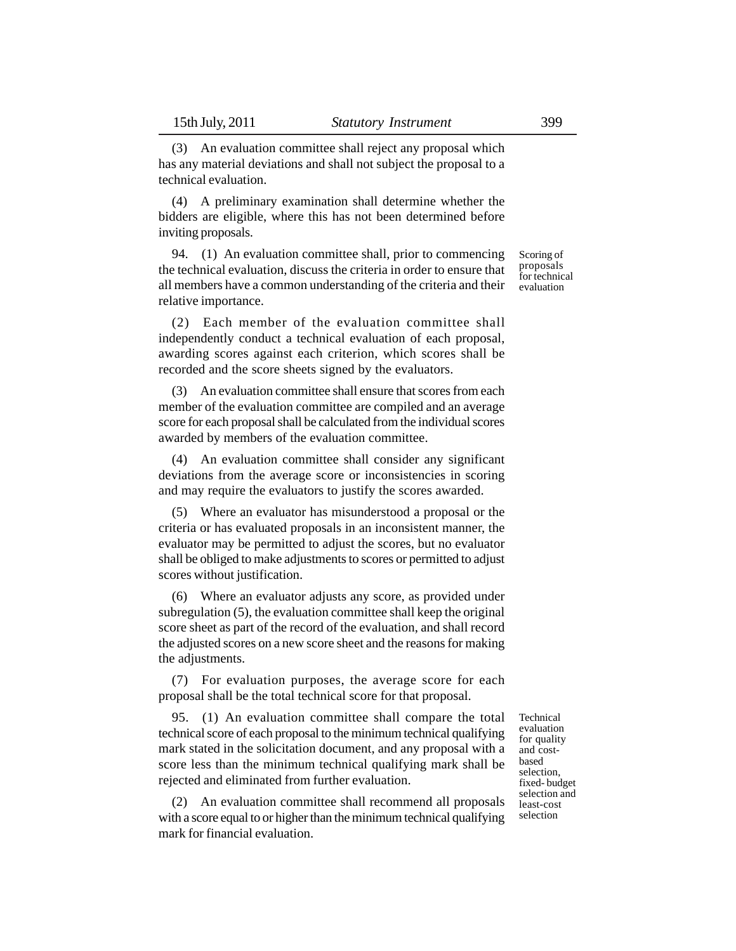(3) An evaluation committee shall reject any proposal which has any material deviations and shall not subject the proposal to a technical evaluation.

(4) A preliminary examination shall determine whether the bidders are eligible, where this has not been determined before inviting proposals.

94. (1) An evaluation committee shall, prior to commencing the technical evaluation, discuss the criteria in order to ensure that all members have a common understanding of the criteria and their relative importance.

(2) Each member of the evaluation committee shall independently conduct a technical evaluation of each proposal, awarding scores against each criterion, which scores shall be recorded and the score sheets signed by the evaluators.

(3) An evaluation committee shall ensure that scores from each member of the evaluation committee are compiled and an average score for each proposal shall be calculated from the individual scores awarded by members of the evaluation committee.

(4) An evaluation committee shall consider any significant deviations from the average score or inconsistencies in scoring and may require the evaluators to justify the scores awarded.

(5) Where an evaluator has misunderstood a proposal or the criteria or has evaluated proposals in an inconsistent manner, the evaluator may be permitted to adjust the scores, but no evaluator shall be obliged to make adjustments to scores or permitted to adjust scores without justification.

(6) Where an evaluator adjusts any score, as provided under subregulation (5), the evaluation committee shall keep the original score sheet as part of the record of the evaluation, and shall record the adjusted scores on a new score sheet and the reasons for making the adjustments.

(7) For evaluation purposes, the average score for each proposal shall be the total technical score for that proposal.

95. (1) An evaluation committee shall compare the total technical score of each proposal to the minimum technical qualifying mark stated in the solicitation document, and any proposal with a score less than the minimum technical qualifying mark shall be rejected and eliminated from further evaluation.

(2) An evaluation committee shall recommend all proposals with a score equal to or higher than the minimum technical qualifying mark for financial evaluation.

Technical evaluation for quality and costbased selection, fixed- budget selection and least-cost selection

Scoring of proposals for technical evaluation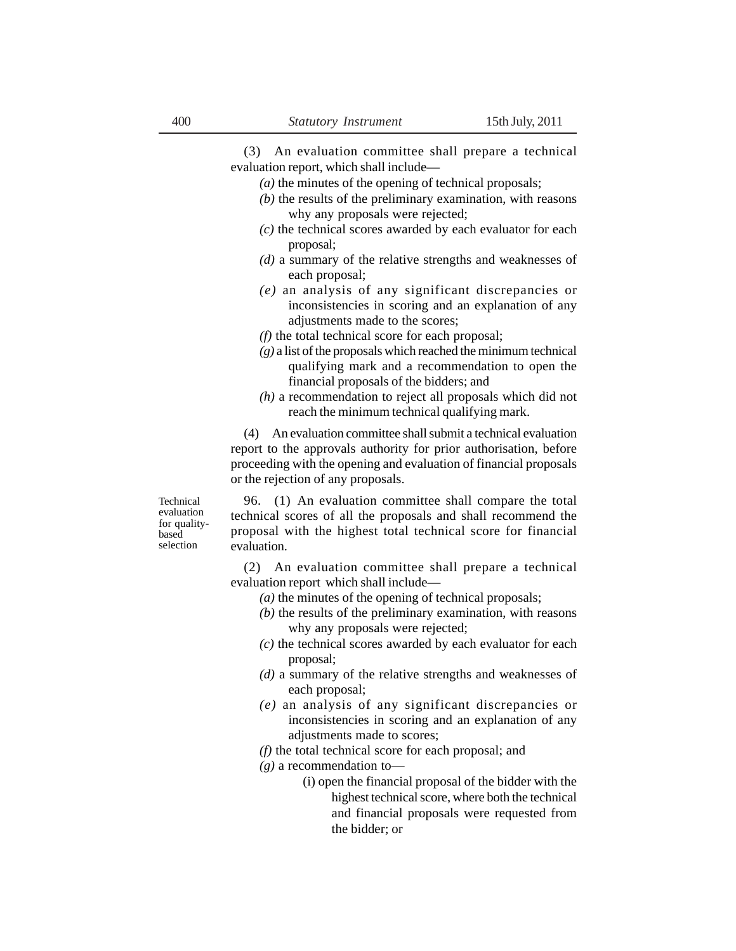(3) An evaluation committee shall prepare a technical evaluation report, which shall include—

- *(a)* the minutes of the opening of technical proposals;
- *(b)* the results of the preliminary examination, with reasons why any proposals were rejected;
- *(c)* the technical scores awarded by each evaluator for each proposal;
- *(d)* a summary of the relative strengths and weaknesses of each proposal;
- *(e)* an analysis of any significant discrepancies or inconsistencies in scoring and an explanation of any adjustments made to the scores;
- *(f)* the total technical score for each proposal;
- *(g)* a list of the proposals which reached the minimum technical qualifying mark and a recommendation to open the financial proposals of the bidders; and
- *(h)* a recommendation to reject all proposals which did not reach the minimum technical qualifying mark.

(4) An evaluation committee shall submit a technical evaluation report to the approvals authority for prior authorisation, before proceeding with the opening and evaluation of financial proposals or the rejection of any proposals.

Technical evaluation for qualitybased selection

96. (1) An evaluation committee shall compare the total technical scores of all the proposals and shall recommend the proposal with the highest total technical score for financial evaluation.

(2) An evaluation committee shall prepare a technical evaluation report which shall include—

- *(a)* the minutes of the opening of technical proposals;
- *(b)* the results of the preliminary examination, with reasons why any proposals were rejected;
- *(c)* the technical scores awarded by each evaluator for each proposal;
- *(d)* a summary of the relative strengths and weaknesses of each proposal;
- *(e)* an analysis of any significant discrepancies or inconsistencies in scoring and an explanation of any adjustments made to scores;
- *(f)* the total technical score for each proposal; and
- *(g)* a recommendation to—
	- (i) open the financial proposal of the bidder with the highest technical score, where both the technical and financial proposals were requested from the bidder; or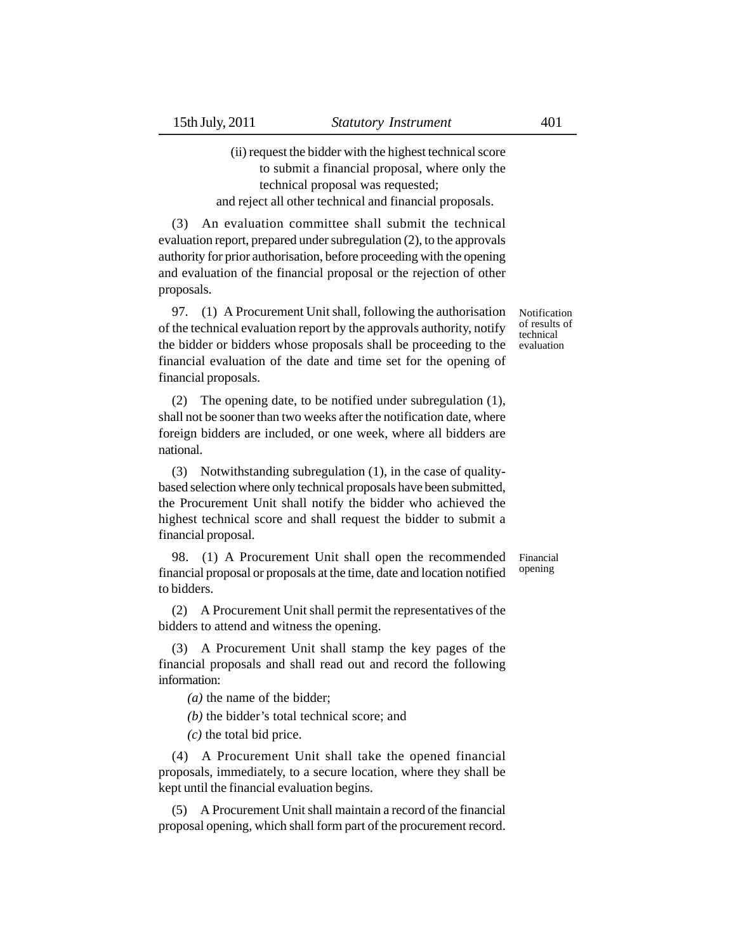# (ii) request the bidder with the highest technical score to submit a financial proposal, where only the technical proposal was requested; and reject all other technical and financial proposals.

(3) An evaluation committee shall submit the technical evaluation report, prepared under subregulation (2), to the approvals authority for prior authorisation, before proceeding with the opening and evaluation of the financial proposal or the rejection of other proposals.

97. (1) A Procurement Unit shall, following the authorisation of the technical evaluation report by the approvals authority, notify the bidder or bidders whose proposals shall be proceeding to the financial evaluation of the date and time set for the opening of financial proposals.

(2) The opening date, to be notified under subregulation (1), shall not be sooner than two weeks after the notification date, where foreign bidders are included, or one week, where all bidders are national.

(3) Notwithstanding subregulation (1), in the case of qualitybased selection where only technical proposals have been submitted, the Procurement Unit shall notify the bidder who achieved the highest technical score and shall request the bidder to submit a financial proposal.

98. (1) A Procurement Unit shall open the recommended financial proposal or proposals at the time, date and location notified to bidders.

(2) A Procurement Unit shall permit the representatives of the bidders to attend and witness the opening.

(3) A Procurement Unit shall stamp the key pages of the financial proposals and shall read out and record the following information:

*(a)* the name of the bidder;

*(b)* the bidder's total technical score; and

*(c)* the total bid price.

(4) A Procurement Unit shall take the opened financial proposals, immediately, to a secure location, where they shall be kept until the financial evaluation begins.

(5) A Procurement Unit shall maintain a record of the financial proposal opening, which shall form part of the procurement record. Notification of results of technical evaluation

Financial opening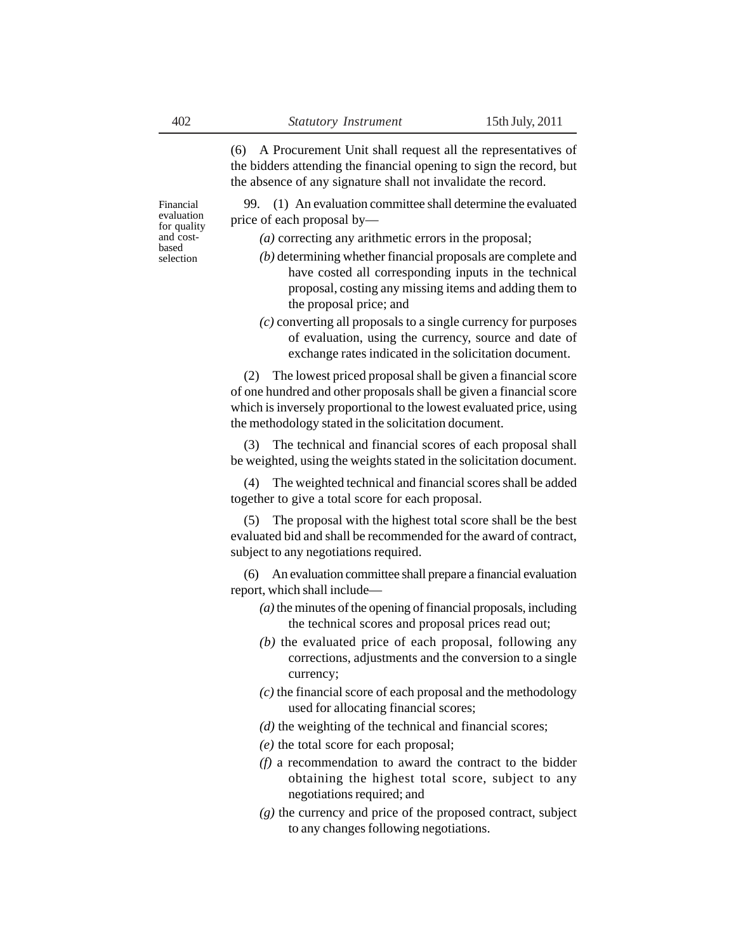(6) A Procurement Unit shall request all the representatives of the bidders attending the financial opening to sign the record, but the absence of any signature shall not invalidate the record.

99. (1) An evaluation committee shall determine the evaluated price of each proposal by—

*(a)* correcting any arithmetic errors in the proposal;

- *(b)* determining whether financial proposals are complete and have costed all corresponding inputs in the technical proposal, costing any missing items and adding them to the proposal price; and
- *(c)* converting all proposals to a single currency for purposes of evaluation, using the currency, source and date of exchange rates indicated in the solicitation document.

(2) The lowest priced proposal shall be given a financial score of one hundred and other proposals shall be given a financial score which is inversely proportional to the lowest evaluated price, using the methodology stated in the solicitation document.

(3) The technical and financial scores of each proposal shall be weighted, using the weights stated in the solicitation document.

(4) The weighted technical and financial scores shall be added together to give a total score for each proposal.

(5) The proposal with the highest total score shall be the best evaluated bid and shall be recommended for the award of contract, subject to any negotiations required.

(6) An evaluation committee shall prepare a financial evaluation report, which shall include—

- *(a)* the minutes of the opening of financial proposals, including the technical scores and proposal prices read out;
- *(b)* the evaluated price of each proposal, following any corrections, adjustments and the conversion to a single currency;
- *(c)* the financial score of each proposal and the methodology used for allocating financial scores;
- *(d)* the weighting of the technical and financial scores;
- *(e)* the total score for each proposal;
- *(f)* a recommendation to award the contract to the bidder obtaining the highest total score, subject to any negotiations required; and
- *(g)* the currency and price of the proposed contract, subject to any changes following negotiations.

Financial evaluation for quality and costbased selection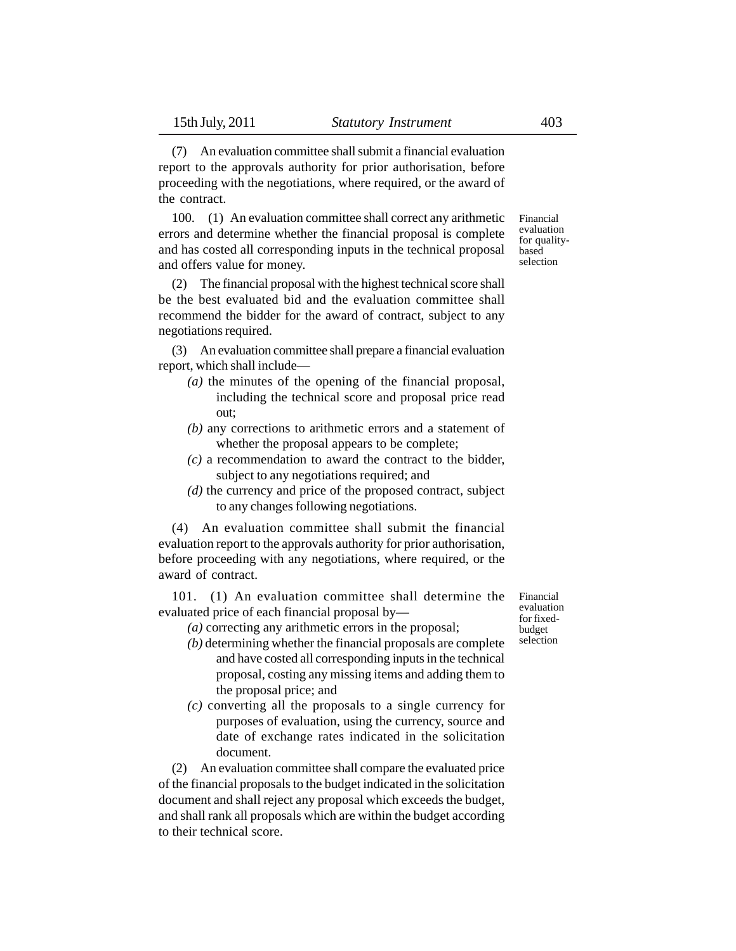(7) An evaluation committee shall submit a financial evaluation report to the approvals authority for prior authorisation, before proceeding with the negotiations, where required, or the award of the contract.

100. (1) An evaluation committee shall correct any arithmetic errors and determine whether the financial proposal is complete and has costed all corresponding inputs in the technical proposal and offers value for money.

(2) The financial proposal with the highest technical score shall be the best evaluated bid and the evaluation committee shall recommend the bidder for the award of contract, subject to any negotiations required.

(3) An evaluation committee shall prepare a financial evaluation report, which shall include—

- *(a)* the minutes of the opening of the financial proposal, including the technical score and proposal price read out;
- *(b)* any corrections to arithmetic errors and a statement of whether the proposal appears to be complete;
- *(c)* a recommendation to award the contract to the bidder, subject to any negotiations required; and
- *(d)* the currency and price of the proposed contract, subject to any changes following negotiations.

(4) An evaluation committee shall submit the financial evaluation report to the approvals authority for prior authorisation, before proceeding with any negotiations, where required, or the award of contract.

101. (1) An evaluation committee shall determine the evaluated price of each financial proposal by—

*(a)* correcting any arithmetic errors in the proposal;

- *(b)* determining whether the financial proposals are complete and have costed all corresponding inputs in the technical proposal, costing any missing items and adding them to the proposal price; and
- *(c)* converting all the proposals to a single currency for purposes of evaluation, using the currency, source and date of exchange rates indicated in the solicitation document.

(2) An evaluation committee shall compare the evaluated price of the financial proposals to the budget indicated in the solicitation document and shall reject any proposal which exceeds the budget, and shall rank all proposals which are within the budget according to their technical score.

Financial evaluation for fixedbudget selection

Financial evaluation for qualitybased selection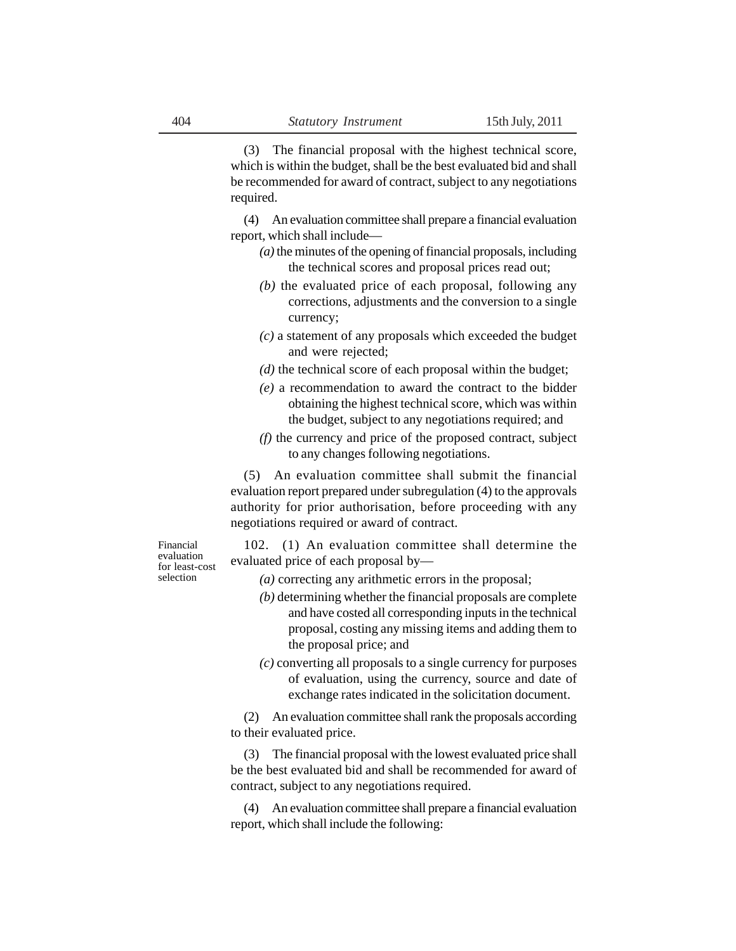(3) The financial proposal with the highest technical score, which is within the budget, shall be the best evaluated bid and shall be recommended for award of contract, subject to any negotiations required.

(4) An evaluation committee shall prepare a financial evaluation report, which shall include—

- *(a)* the minutes of the opening of financial proposals, including the technical scores and proposal prices read out;
- *(b)* the evaluated price of each proposal, following any corrections, adjustments and the conversion to a single currency;
- *(c)* a statement of any proposals which exceeded the budget and were rejected;
- *(d)* the technical score of each proposal within the budget;
- *(e)* a recommendation to award the contract to the bidder obtaining the highest technical score, which was within the budget, subject to any negotiations required; and
- *(f)* the currency and price of the proposed contract, subject to any changes following negotiations.

(5) An evaluation committee shall submit the financial evaluation report prepared under subregulation (4) to the approvals authority for prior authorisation, before proceeding with any negotiations required or award of contract.

Financial evaluation for least-cost selection

102. (1) An evaluation committee shall determine the evaluated price of each proposal by—

- *(a)* correcting any arithmetic errors in the proposal;
- *(b)* determining whether the financial proposals are complete and have costed all corresponding inputs in the technical proposal, costing any missing items and adding them to the proposal price; and
- *(c)* converting all proposals to a single currency for purposes of evaluation, using the currency, source and date of exchange rates indicated in the solicitation document.

(2) An evaluation committee shall rank the proposals according to their evaluated price.

(3) The financial proposal with the lowest evaluated price shall be the best evaluated bid and shall be recommended for award of contract, subject to any negotiations required.

(4) An evaluation committee shall prepare a financial evaluation report, which shall include the following: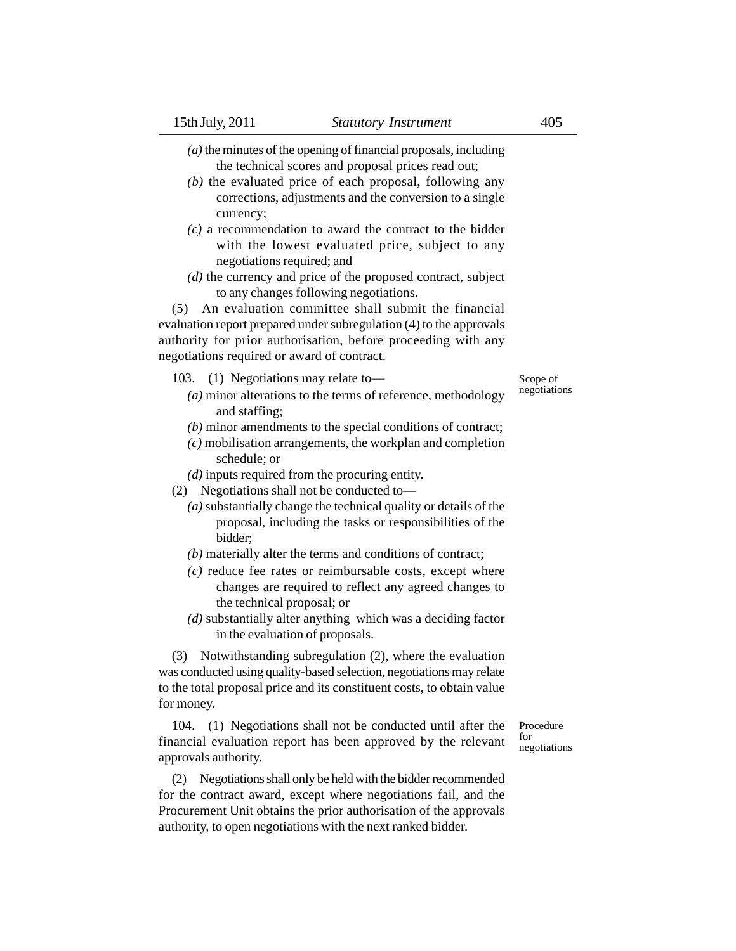*(a)* the minutes of the opening of financial proposals, including the technical scores and proposal prices read out;

- *(b)* the evaluated price of each proposal, following any corrections, adjustments and the conversion to a single currency;
- *(c)* a recommendation to award the contract to the bidder with the lowest evaluated price, subject to any negotiations required; and
- *(d)* the currency and price of the proposed contract, subject to any changes following negotiations.

(5) An evaluation committee shall submit the financial evaluation report prepared under subregulation (4) to the approvals authority for prior authorisation, before proceeding with any negotiations required or award of contract.

- 103. (1) Negotiations may relate to—
	- *(a)* minor alterations to the terms of reference, methodology and staffing;
	- *(b)* minor amendments to the special conditions of contract;
	- *(c)* mobilisation arrangements, the workplan and completion schedule; or
	- *(d)* inputs required from the procuring entity.
- (2) Negotiations shall not be conducted to—
	- *(a)* substantially change the technical quality or details of the proposal, including the tasks or responsibilities of the bidder;
	- *(b)* materially alter the terms and conditions of contract;
	- *(c)* reduce fee rates or reimbursable costs, except where changes are required to reflect any agreed changes to the technical proposal; or
	- *(d)* substantially alter anything which was a deciding factor in the evaluation of proposals.

(3) Notwithstanding subregulation (2), where the evaluation was conducted using quality-based selection, negotiations may relate to the total proposal price and its constituent costs, to obtain value for money.

104. (1) Negotiations shall not be conducted until after the financial evaluation report has been approved by the relevant approvals authority.

(2) Negotiations shall only be held with the bidder recommended for the contract award, except where negotiations fail, and the Procurement Unit obtains the prior authorisation of the approvals authority, to open negotiations with the next ranked bidder.

Procedure for negotiations

Scope of negotiations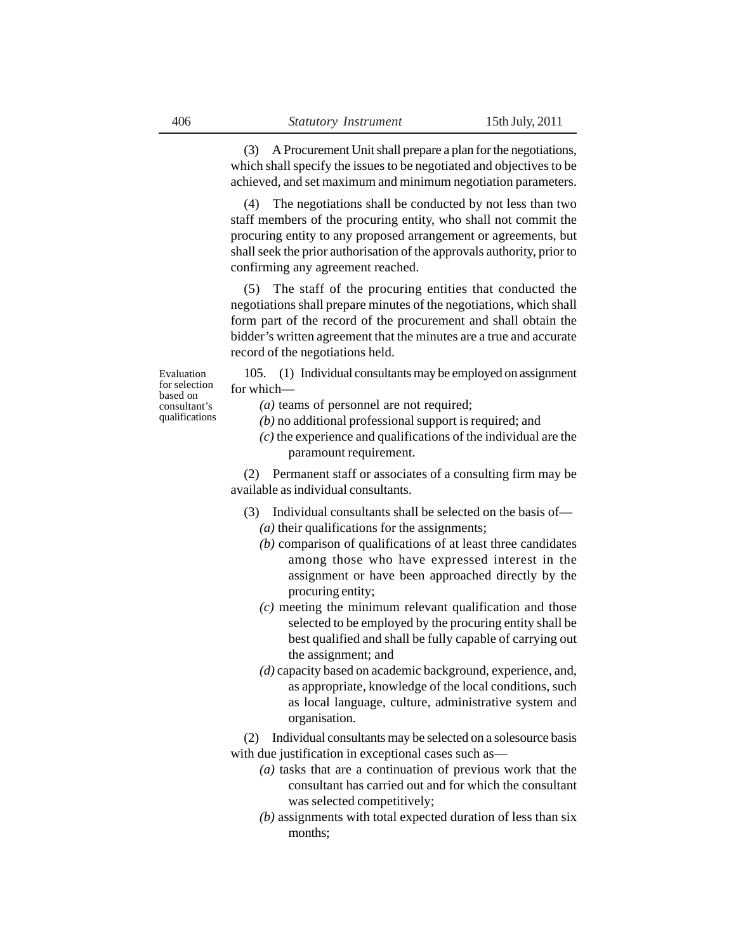(3) A Procurement Unit shall prepare a plan for the negotiations, which shall specify the issues to be negotiated and objectives to be achieved, and set maximum and minimum negotiation parameters.

(4) The negotiations shall be conducted by not less than two staff members of the procuring entity, who shall not commit the procuring entity to any proposed arrangement or agreements, but shall seek the prior authorisation of the approvals authority, prior to confirming any agreement reached.

(5) The staff of the procuring entities that conducted the negotiations shall prepare minutes of the negotiations, which shall form part of the record of the procurement and shall obtain the bidder's written agreement that the minutes are a true and accurate record of the negotiations held.

Evaluation for selection based on consultant's qualifications

105. (1) Individual consultants may be employed on assignment for which—

- *(a)* teams of personnel are not required;
- *(b)* no additional professional support is required; and
- *(c)* the experience and qualifications of the individual are the paramount requirement.

(2) Permanent staff or associates of a consulting firm may be available as individual consultants.

- (3) Individual consultants shall be selected on the basis of— *(a)* their qualifications for the assignments;
	- *(b)* comparison of qualifications of at least three candidates among those who have expressed interest in the assignment or have been approached directly by the procuring entity;
	- *(c)* meeting the minimum relevant qualification and those selected to be employed by the procuring entity shall be best qualified and shall be fully capable of carrying out the assignment; and
	- *(d)* capacity based on academic background, experience, and, as appropriate, knowledge of the local conditions, such as local language, culture, administrative system and organisation.

(2) Individual consultants may be selected on a solesource basis with due justification in exceptional cases such as—

- *(a)* tasks that are a continuation of previous work that the consultant has carried out and for which the consultant was selected competitively;
- *(b)* assignments with total expected duration of less than six months;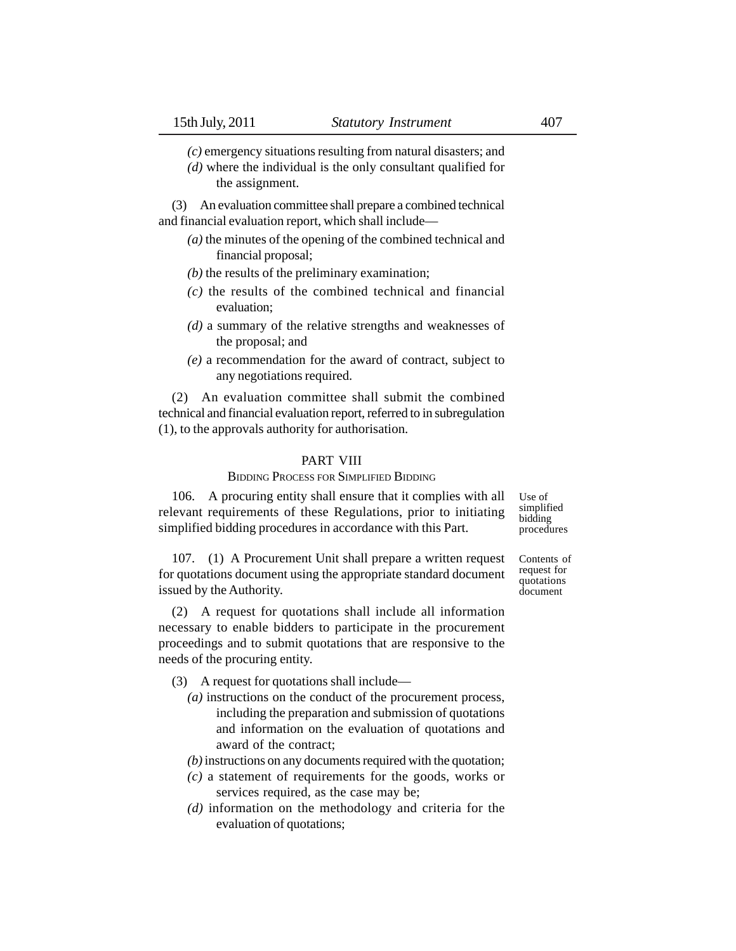*(c)* emergency situations resulting from natural disasters; and

*(d)* where the individual is the only consultant qualified for the assignment.

(3) An evaluation committee shall prepare a combined technical and financial evaluation report, which shall include—

- *(a)* the minutes of the opening of the combined technical and financial proposal;
- *(b)* the results of the preliminary examination;
- *(c)* the results of the combined technical and financial evaluation;
- *(d)* a summary of the relative strengths and weaknesses of the proposal; and
- *(e)* a recommendation for the award of contract, subject to any negotiations required.

(2) An evaluation committee shall submit the combined technical and financial evaluation report, referred to in subregulation (1), to the approvals authority for authorisation.

### PART VIII

## BIDDING PROCESS FOR SIMPLIFIED BIDDING

106. A procuring entity shall ensure that it complies with all relevant requirements of these Regulations, prior to initiating simplified bidding procedures in accordance with this Part.

Use of simplified bidding procedures

Contents of request for quotations document

107. (1) A Procurement Unit shall prepare a written request for quotations document using the appropriate standard document issued by the Authority.

(2) A request for quotations shall include all information necessary to enable bidders to participate in the procurement proceedings and to submit quotations that are responsive to the needs of the procuring entity.

- (3) A request for quotations shall include—
	- *(a)* instructions on the conduct of the procurement process, including the preparation and submission of quotations and information on the evaluation of quotations and award of the contract;

*(b)* instructions on any documents required with the quotation;

- *(c)* a statement of requirements for the goods, works or services required, as the case may be;
- *(d)* information on the methodology and criteria for the evaluation of quotations;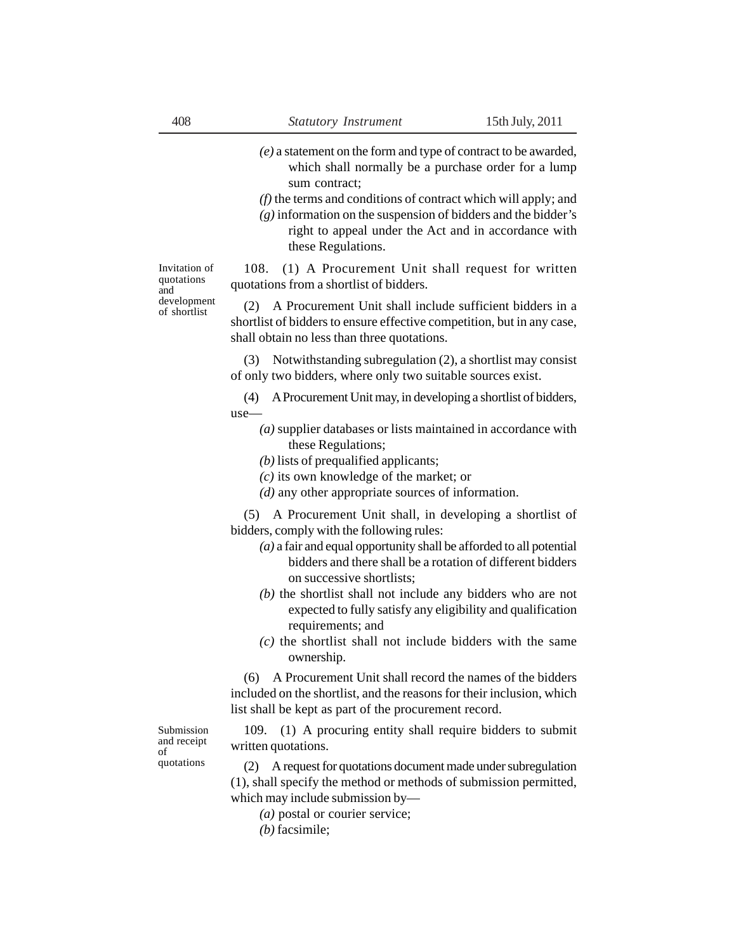- *(e)* a statement on the form and type of contract to be awarded, which shall normally be a purchase order for a lump sum contract:
- *(f)* the terms and conditions of contract which will apply; and
- $(g)$  information on the suspension of bidders and the bidder's right to appeal under the Act and in accordance with these Regulations.

108. (1) A Procurement Unit shall request for written quotations from a shortlist of bidders.

(2) A Procurement Unit shall include sufficient bidders in a shortlist of bidders to ensure effective competition, but in any case, shall obtain no less than three quotations.

(3) Notwithstanding subregulation (2), a shortlist may consist of only two bidders, where only two suitable sources exist.

(4) A Procurement Unit may, in developing a shortlist of bidders, use—

- *(a)* supplier databases or lists maintained in accordance with these Regulations;
- *(b)* lists of prequalified applicants;
- *(c)* its own knowledge of the market; or
- *(d)* any other appropriate sources of information.

(5) A Procurement Unit shall, in developing a shortlist of bidders, comply with the following rules:

- *(a)* a fair and equal opportunity shall be afforded to all potential bidders and there shall be a rotation of different bidders on successive shortlists;
- *(b)* the shortlist shall not include any bidders who are not expected to fully satisfy any eligibility and qualification requirements; and
- *(c)* the shortlist shall not include bidders with the same ownership.

(6) A Procurement Unit shall record the names of the bidders included on the shortlist, and the reasons for their inclusion, which list shall be kept as part of the procurement record.

Submission and receipt of quotations

109. (1) A procuring entity shall require bidders to submit written quotations.

(2) A request for quotations document made under subregulation (1), shall specify the method or methods of submission permitted, which may include submission by—

- *(a)* postal or courier service;
- *(b)* facsimile;

Invitation of quotations and development of shortlist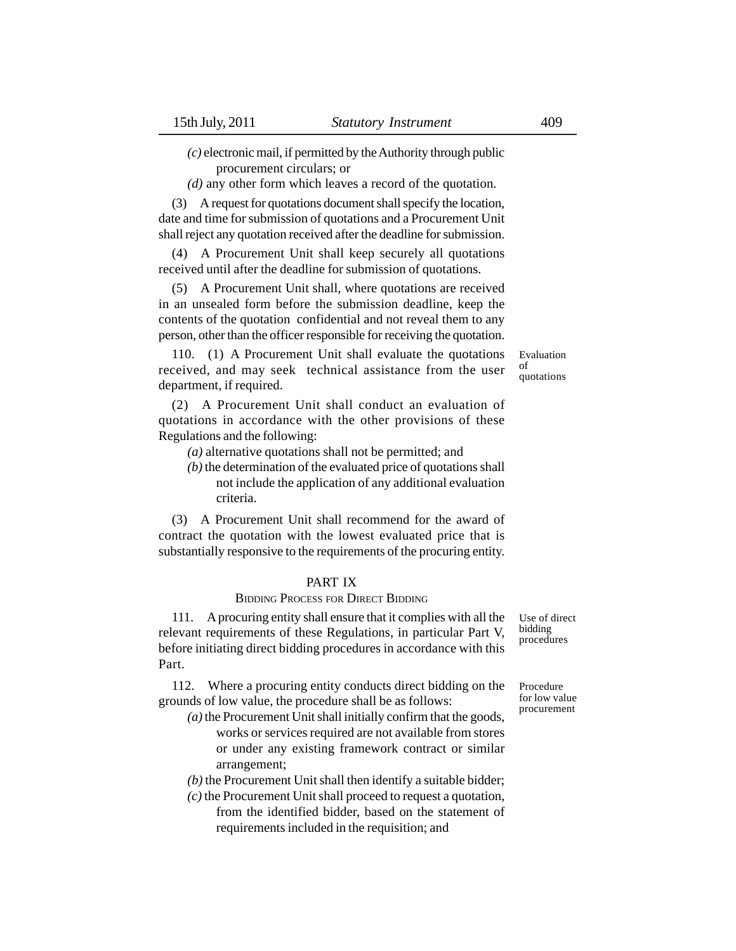*(c)* electronic mail, if permitted by the Authority through public

procurement circulars; or

*(d)* any other form which leaves a record of the quotation.

(3) A request for quotations document shall specify the location, date and time for submission of quotations and a Procurement Unit shall reject any quotation received after the deadline for submission.

(4) A Procurement Unit shall keep securely all quotations received until after the deadline for submission of quotations.

(5) A Procurement Unit shall, where quotations are received in an unsealed form before the submission deadline, keep the contents of the quotation confidential and not reveal them to any person, other than the officer responsible for receiving the quotation.

110. (1) A Procurement Unit shall evaluate the quotations received, and may seek technical assistance from the user department, if required.

(2) A Procurement Unit shall conduct an evaluation of quotations in accordance with the other provisions of these Regulations and the following:

*(a)* alternative quotations shall not be permitted; and

*(b)* the determination of the evaluated price of quotations shall not include the application of any additional evaluation criteria.

(3) A Procurement Unit shall recommend for the award of contract the quotation with the lowest evaluated price that is substantially responsive to the requirements of the procuring entity.

### PART IX

### BIDDING PROCESS FOR DIRECT BIDDING

111. A procuring entity shall ensure that it complies with all the relevant requirements of these Regulations, in particular Part V, before initiating direct bidding procedures in accordance with this Part.

112. Where a procuring entity conducts direct bidding on the grounds of low value, the procedure shall be as follows:

*(a)* the Procurement Unit shall initially confirm that the goods, works or services required are not available from stores or under any existing framework contract or similar arrangement;

*(b)* the Procurement Unit shall then identify a suitable bidder;

*(c)* the Procurement Unit shall proceed to request a quotation, from the identified bidder, based on the statement of requirements included in the requisition; and

Use of direct bidding procedures

Procedure for low value procurement

Evaluation of quotations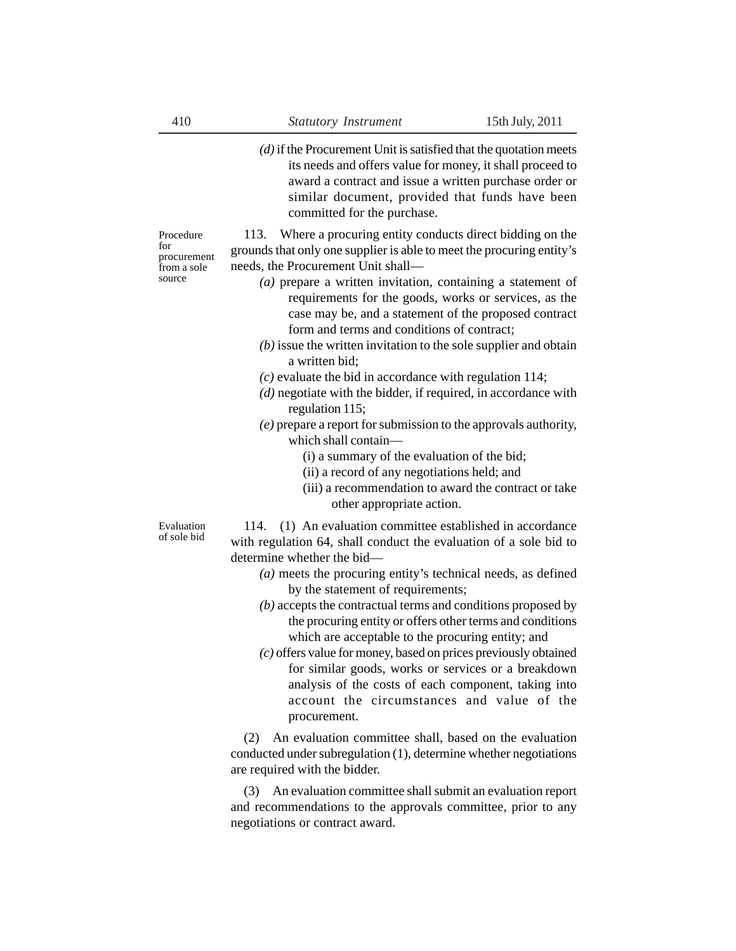*(d)* if the Procurement Unit is satisfied that the quotation meets its needs and offers value for money, it shall proceed to award a contract and issue a written purchase order or similar document, provided that funds have been committed for the purchase.

113. Where a procuring entity conducts direct bidding on the grounds that only one supplier is able to meet the procuring entity's needs, the Procurement Unit shall—

- *(a)* prepare a written invitation, containing a statement of requirements for the goods, works or services, as the case may be, and a statement of the proposed contract form and terms and conditions of contract;
- *(b)* issue the written invitation to the sole supplier and obtain a written bid;
- *(c)* evaluate the bid in accordance with regulation 114;
- *(d)* negotiate with the bidder, if required, in accordance with regulation 115;

*(e)* prepare a report for submission to the approvals authority, which shall contain—

- (i) a summary of the evaluation of the bid;
- (ii) a record of any negotiations held; and
- (iii) a recommendation to award the contract or take other appropriate action.

Evaluation of sole bid

114. (1) An evaluation committee established in accordance with regulation 64, shall conduct the evaluation of a sole bid to determine whether the bid—

- *(a)* meets the procuring entity's technical needs, as defined by the statement of requirements;
- *(b)* accepts the contractual terms and conditions proposed by the procuring entity or offers other terms and conditions which are acceptable to the procuring entity; and
- *(c)* offers value for money, based on prices previously obtained for similar goods, works or services or a breakdown analysis of the costs of each component, taking into account the circumstances and value of the procurement.

(2) An evaluation committee shall, based on the evaluation conducted under subregulation (1), determine whether negotiations are required with the bidder.

(3) An evaluation committee shall submit an evaluation report and recommendations to the approvals committee, prior to any negotiations or contract award.

Procedure for

procurement from a sole source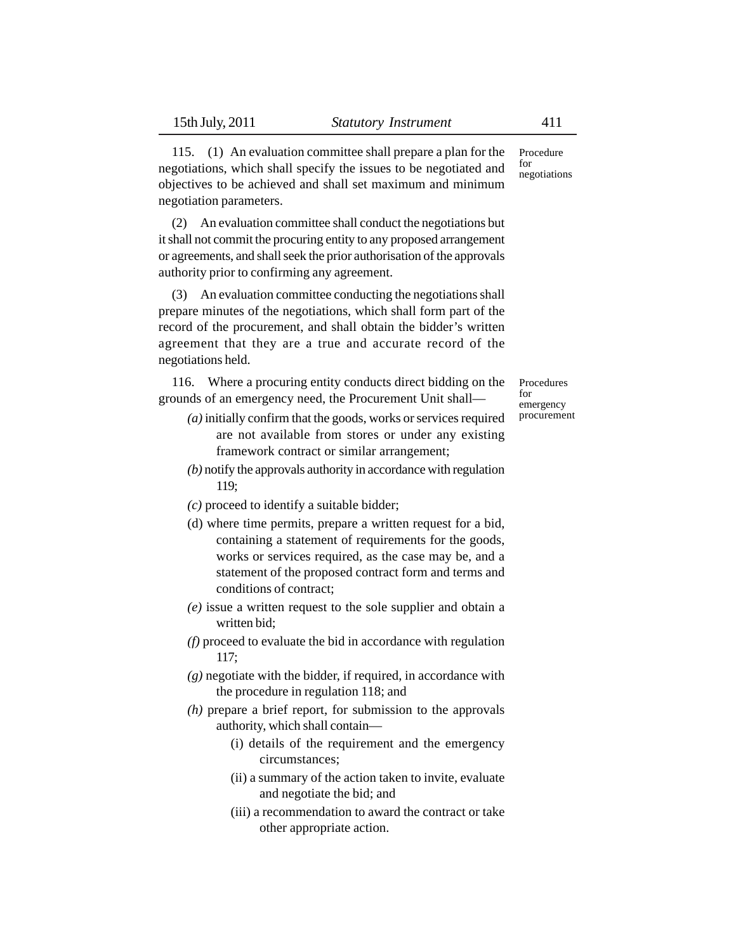115. (1) An evaluation committee shall prepare a plan for the negotiations, which shall specify the issues to be negotiated and objectives to be achieved and shall set maximum and minimum negotiation parameters.

(2) An evaluation committee shall conduct the negotiations but it shall not commit the procuring entity to any proposed arrangement or agreements, and shall seek the prior authorisation of the approvals authority prior to confirming any agreement.

(3) An evaluation committee conducting the negotiations shall prepare minutes of the negotiations, which shall form part of the record of the procurement, and shall obtain the bidder's written agreement that they are a true and accurate record of the negotiations held.

116. Where a procuring entity conducts direct bidding on the grounds of an emergency need, the Procurement Unit shall—

- *(a)* initially confirm that the goods, works or services required are not available from stores or under any existing framework contract or similar arrangement;
- *(b)* notify the approvals authority in accordance with regulation 119;
- *(c)* proceed to identify a suitable bidder;
- (d) where time permits, prepare a written request for a bid, containing a statement of requirements for the goods, works or services required, as the case may be, and a statement of the proposed contract form and terms and conditions of contract;
- *(e)* issue a written request to the sole supplier and obtain a written bid;
- *(f)* proceed to evaluate the bid in accordance with regulation 117;
- *(g)* negotiate with the bidder, if required, in accordance with the procedure in regulation 118; and
- *(h)* prepare a brief report, for submission to the approvals authority, which shall contain—
	- (i) details of the requirement and the emergency circumstances;
	- (ii) a summary of the action taken to invite, evaluate and negotiate the bid; and
	- (iii) a recommendation to award the contract or take other appropriate action.

Procedure  $f_{\Omega}r$ negotiations

Procedures for emergency procurement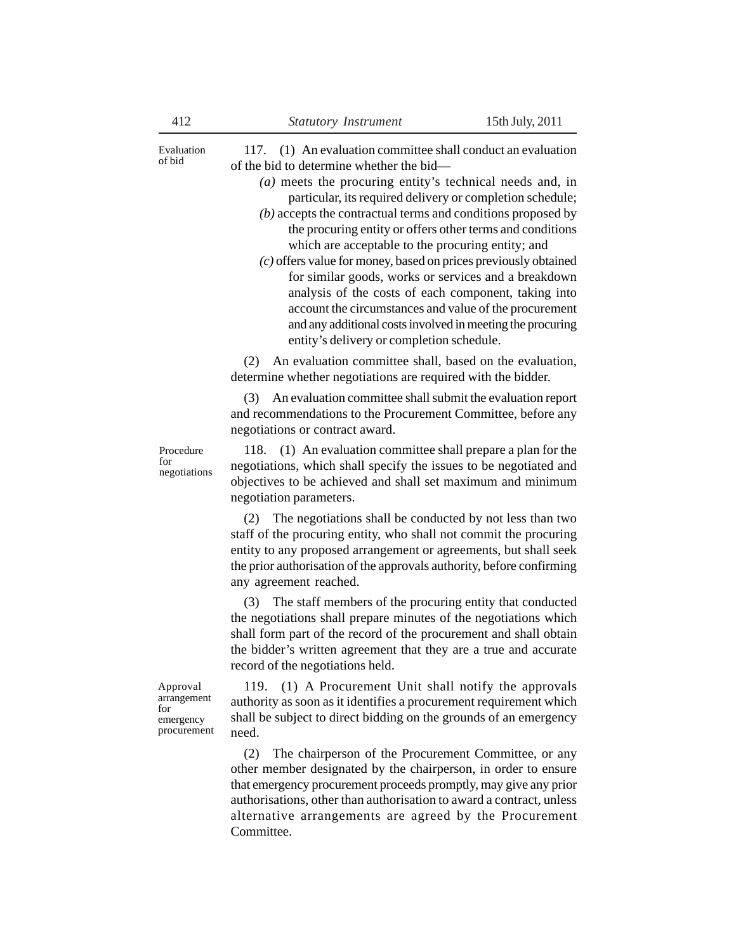| Evaluation<br>of bid                                       | 117. (1) An evaluation committee shall conduct an evaluation<br>of the bid to determine whether the bid—<br>$(a)$ meets the procuring entity's technical needs and, in<br>particular, its required delivery or completion schedule;<br>$(b)$ accepts the contractual terms and conditions proposed by<br>the procuring entity or offers other terms and conditions<br>which are acceptable to the procuring entity; and<br>$(c)$ offers value for money, based on prices previously obtained<br>for similar goods, works or services and a breakdown<br>analysis of the costs of each component, taking into<br>account the circumstances and value of the procurement<br>and any additional costs involved in meeting the procuring<br>entity's delivery or completion schedule. |
|------------------------------------------------------------|-----------------------------------------------------------------------------------------------------------------------------------------------------------------------------------------------------------------------------------------------------------------------------------------------------------------------------------------------------------------------------------------------------------------------------------------------------------------------------------------------------------------------------------------------------------------------------------------------------------------------------------------------------------------------------------------------------------------------------------------------------------------------------------|
|                                                            | An evaluation committee shall, based on the evaluation,<br>(2)<br>determine whether negotiations are required with the bidder.                                                                                                                                                                                                                                                                                                                                                                                                                                                                                                                                                                                                                                                    |
|                                                            | An evaluation committee shall submit the evaluation report<br>(3)<br>and recommendations to the Procurement Committee, before any<br>negotiations or contract award.                                                                                                                                                                                                                                                                                                                                                                                                                                                                                                                                                                                                              |
| Procedure<br>for<br>negotiations                           | 118. (1) An evaluation committee shall prepare a plan for the<br>negotiations, which shall specify the issues to be negotiated and<br>objectives to be achieved and shall set maximum and minimum<br>negotiation parameters.                                                                                                                                                                                                                                                                                                                                                                                                                                                                                                                                                      |
|                                                            | The negotiations shall be conducted by not less than two<br>(2)<br>staff of the procuring entity, who shall not commit the procuring<br>entity to any proposed arrangement or agreements, but shall seek<br>the prior authorisation of the approvals authority, before confirming<br>any agreement reached.                                                                                                                                                                                                                                                                                                                                                                                                                                                                       |
|                                                            | The staff members of the procuring entity that conducted<br>(3)<br>the negotiations shall prepare minutes of the negotiations which<br>shall form part of the record of the procurement and shall obtain<br>the bidder's written agreement that they are a true and accurate<br>record of the negotiations held.                                                                                                                                                                                                                                                                                                                                                                                                                                                                  |
| Approval<br>arrangement<br>for<br>emergency<br>procurement | (1) A Procurement Unit shall notify the approvals<br>119.<br>authority as soon as it identifies a procurement requirement which<br>shall be subject to direct bidding on the grounds of an emergency<br>need.                                                                                                                                                                                                                                                                                                                                                                                                                                                                                                                                                                     |
|                                                            | The chairperson of the Procurement Committee, or any<br>(2)<br>other member designated by the chairperson, in order to ensure<br>that emergency procurement proceeds promptly, may give any prior<br>authorisations, other than authorisation to award a contract, unless<br>alternative arrangements are agreed by the Procurement                                                                                                                                                                                                                                                                                                                                                                                                                                               |

Committee.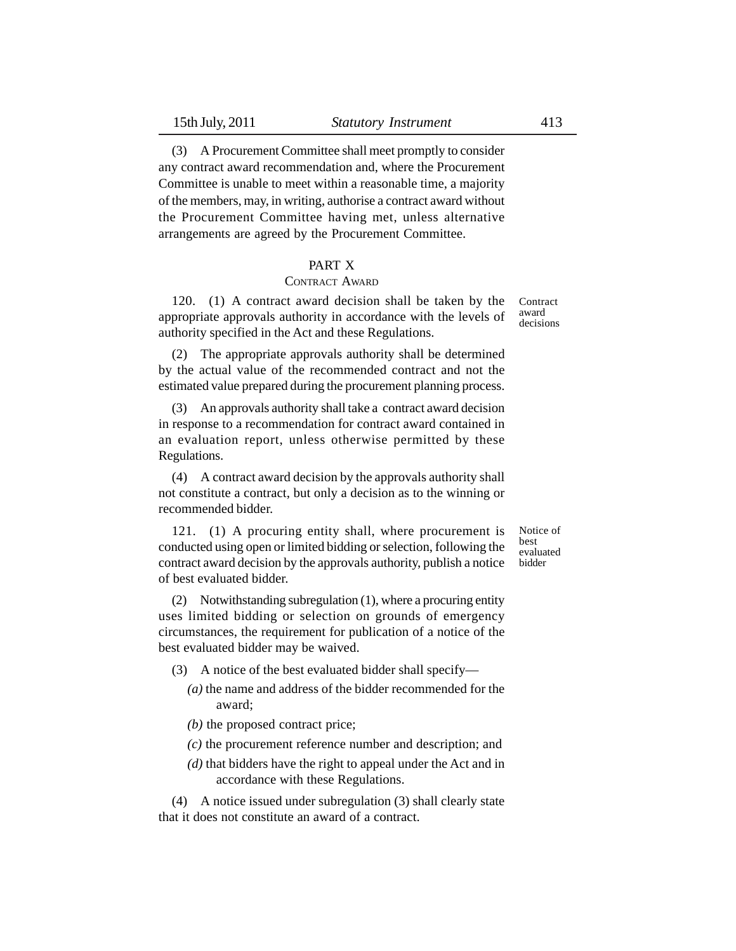(3) A Procurement Committee shall meet promptly to consider any contract award recommendation and, where the Procurement Committee is unable to meet within a reasonable time, a majority of the members, may, in writing, authorise a contract award without the Procurement Committee having met, unless alternative arrangements are agreed by the Procurement Committee.

### PART X

### CONTRACT AWARD

120. (1) A contract award decision shall be taken by the appropriate approvals authority in accordance with the levels of authority specified in the Act and these Regulations.

(2) The appropriate approvals authority shall be determined by the actual value of the recommended contract and not the estimated value prepared during the procurement planning process.

(3) An approvals authority shall take a contract award decision in response to a recommendation for contract award contained in an evaluation report, unless otherwise permitted by these Regulations.

(4) A contract award decision by the approvals authority shall not constitute a contract, but only a decision as to the winning or recommended bidder.

121. (1) A procuring entity shall, where procurement is conducted using open or limited bidding or selection, following the contract award decision by the approvals authority, publish a notice of best evaluated bidder.

(2) Notwithstanding subregulation (1), where a procuring entity uses limited bidding or selection on grounds of emergency circumstances, the requirement for publication of a notice of the best evaluated bidder may be waived.

- (3) A notice of the best evaluated bidder shall specify—
	- *(a)* the name and address of the bidder recommended for the award;
	- *(b)* the proposed contract price;
	- *(c)* the procurement reference number and description; and
	- *(d)* that bidders have the right to appeal under the Act and in accordance with these Regulations.

(4) A notice issued under subregulation (3) shall clearly state that it does not constitute an award of a contract.

Notice of best evaluated bidder

Contract award decisions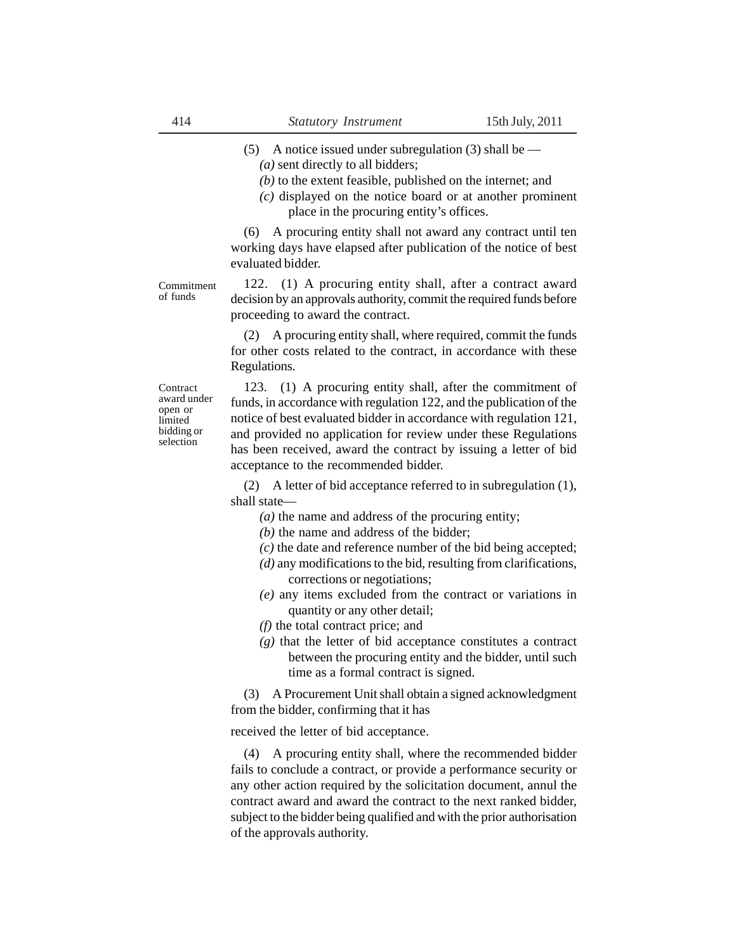- (5) A notice issued under subregulation (3) shall be
	- *(a)* sent directly to all bidders;
	- *(b)* to the extent feasible, published on the internet; and
	- *(c)* displayed on the notice board or at another prominent place in the procuring entity's offices.

(6) A procuring entity shall not award any contract until ten working days have elapsed after publication of the notice of best evaluated bidder.

Commitment of funds

122. (1) A procuring entity shall, after a contract award decision by an approvals authority, commit the required funds before proceeding to award the contract.

(2) A procuring entity shall, where required, commit the funds for other costs related to the contract, in accordance with these Regulations.

**Contract** award under open or limited bidding or selection

123. (1) A procuring entity shall, after the commitment of funds, in accordance with regulation 122, and the publication of the notice of best evaluated bidder in accordance with regulation 121, and provided no application for review under these Regulations has been received, award the contract by issuing a letter of bid acceptance to the recommended bidder.

(2) A letter of bid acceptance referred to in subregulation (1), shall state—

- *(a)* the name and address of the procuring entity;
- *(b)* the name and address of the bidder;
- *(c)* the date and reference number of the bid being accepted;
- *(d)* any modifications to the bid, resulting from clarifications, corrections or negotiations;
- *(e)* any items excluded from the contract or variations in quantity or any other detail;
- *(f)* the total contract price; and
- *(g)* that the letter of bid acceptance constitutes a contract between the procuring entity and the bidder, until such time as a formal contract is signed.

(3) A Procurement Unit shall obtain a signed acknowledgment from the bidder, confirming that it has

received the letter of bid acceptance.

(4) A procuring entity shall, where the recommended bidder fails to conclude a contract, or provide a performance security or any other action required by the solicitation document, annul the contract award and award the contract to the next ranked bidder, subject to the bidder being qualified and with the prior authorisation of the approvals authority.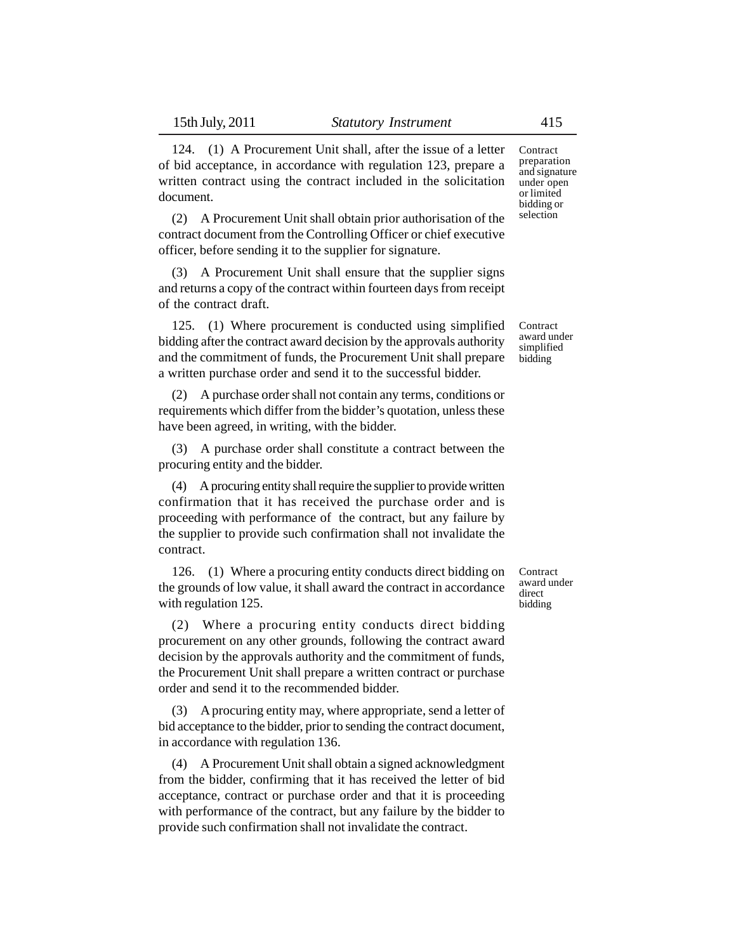document.

124. (1) A Procurement Unit shall, after the issue of a letter of bid acceptance, in accordance with regulation 123, prepare a written contract using the contract included in the solicitation

(2) A Procurement Unit shall obtain prior authorisation of the contract document from the Controlling Officer or chief executive officer, before sending it to the supplier for signature.

(3) A Procurement Unit shall ensure that the supplier signs and returns a copy of the contract within fourteen days from receipt of the contract draft.

125. (1) Where procurement is conducted using simplified bidding after the contract award decision by the approvals authority and the commitment of funds, the Procurement Unit shall prepare a written purchase order and send it to the successful bidder.

(2) A purchase order shall not contain any terms, conditions or requirements which differ from the bidder's quotation, unless these have been agreed, in writing, with the bidder.

(3) A purchase order shall constitute a contract between the procuring entity and the bidder.

(4) A procuring entity shall require the supplier to provide written confirmation that it has received the purchase order and is proceeding with performance of the contract, but any failure by the supplier to provide such confirmation shall not invalidate the contract.

126. (1) Where a procuring entity conducts direct bidding on the grounds of low value, it shall award the contract in accordance with regulation 125.

(2) Where a procuring entity conducts direct bidding procurement on any other grounds, following the contract award decision by the approvals authority and the commitment of funds, the Procurement Unit shall prepare a written contract or purchase order and send it to the recommended bidder.

(3) A procuring entity may, where appropriate, send a letter of bid acceptance to the bidder, prior to sending the contract document, in accordance with regulation 136.

(4) A Procurement Unit shall obtain a signed acknowledgment from the bidder, confirming that it has received the letter of bid acceptance, contract or purchase order and that it is proceeding with performance of the contract, but any failure by the bidder to provide such confirmation shall not invalidate the contract.

**Contract** award under direct bidding

Contract preparation and signature under open or limited bidding or selection

Contract award under simplified bidding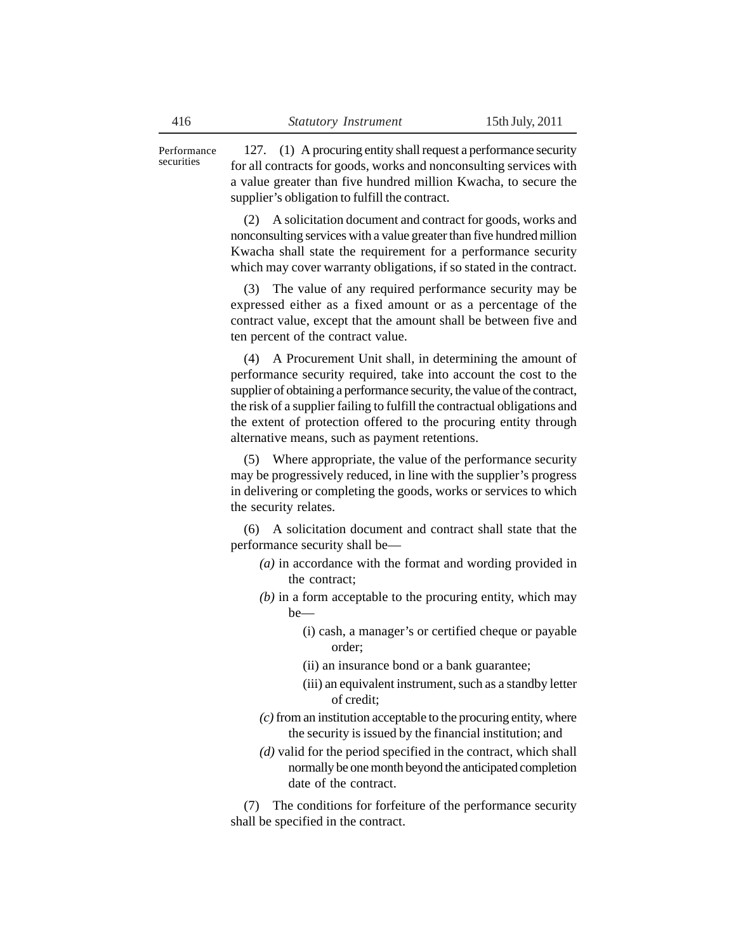127. (1) A procuring entity shall request a performance security for all contracts for goods, works and nonconsulting services with a value greater than five hundred million Kwacha, to secure the supplier's obligation to fulfill the contract. Performance

> (2) A solicitation document and contract for goods, works and nonconsulting services with a value greater than five hundred million Kwacha shall state the requirement for a performance security which may cover warranty obligations, if so stated in the contract.

> (3) The value of any required performance security may be expressed either as a fixed amount or as a percentage of the contract value, except that the amount shall be between five and ten percent of the contract value.

> (4) A Procurement Unit shall, in determining the amount of performance security required, take into account the cost to the supplier of obtaining a performance security, the value of the contract, the risk of a supplier failing to fulfill the contractual obligations and the extent of protection offered to the procuring entity through alternative means, such as payment retentions.

> (5) Where appropriate, the value of the performance security may be progressively reduced, in line with the supplier's progress in delivering or completing the goods, works or services to which the security relates.

> (6) A solicitation document and contract shall state that the performance security shall be—

- *(a)* in accordance with the format and wording provided in the contract;
- *(b)* in a form acceptable to the procuring entity, which may be—
	- (i) cash, a manager's or certified cheque or payable order;
	- (ii) an insurance bond or a bank guarantee;
	- (iii) an equivalent instrument, such as a standby letter of credit;
- *(c)* from an institution acceptable to the procuring entity, where the security is issued by the financial institution; and
- *(d)* valid for the period specified in the contract, which shall normally be one month beyond the anticipated completion date of the contract.

(7) The conditions for forfeiture of the performance security shall be specified in the contract.

securities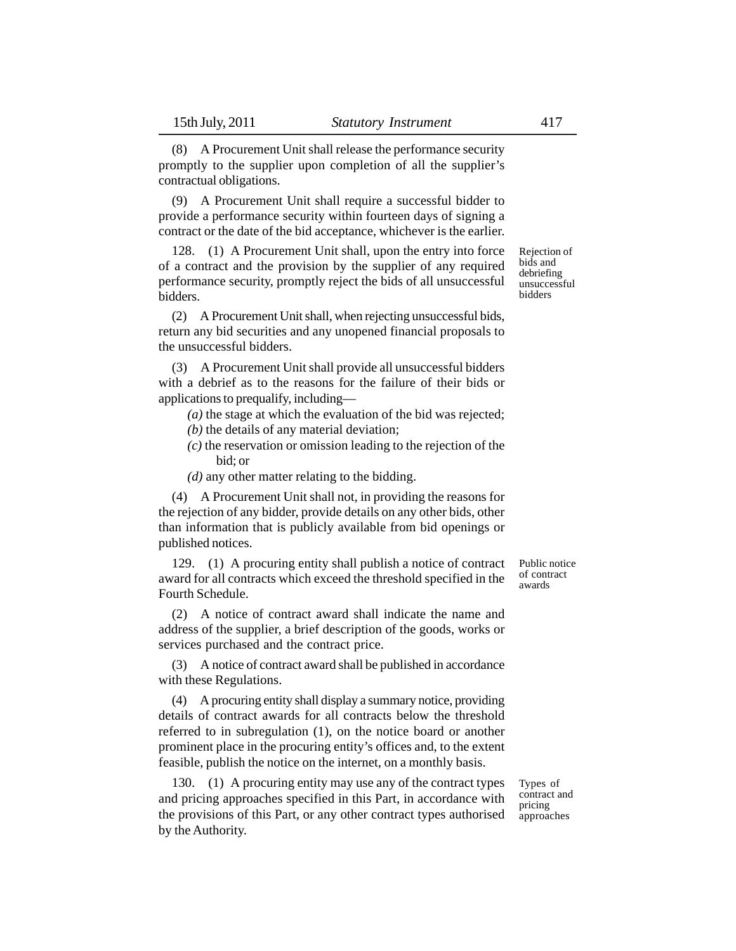(8) A Procurement Unit shall release the performance security promptly to the supplier upon completion of all the supplier's contractual obligations.

(9) A Procurement Unit shall require a successful bidder to provide a performance security within fourteen days of signing a contract or the date of the bid acceptance, whichever is the earlier.

128. (1) A Procurement Unit shall, upon the entry into force of a contract and the provision by the supplier of any required performance security, promptly reject the bids of all unsuccessful bidders.

(2) A Procurement Unit shall, when rejecting unsuccessful bids, return any bid securities and any unopened financial proposals to the unsuccessful bidders.

(3) A Procurement Unit shall provide all unsuccessful bidders with a debrief as to the reasons for the failure of their bids or applications to prequalify, including—

- *(a)* the stage at which the evaluation of the bid was rejected;
- *(b)* the details of any material deviation;
- *(c)* the reservation or omission leading to the rejection of the bid; or
- *(d)* any other matter relating to the bidding.

(4) A Procurement Unit shall not, in providing the reasons for the rejection of any bidder, provide details on any other bids, other than information that is publicly available from bid openings or published notices.

129. (1) A procuring entity shall publish a notice of contract award for all contracts which exceed the threshold specified in the Fourth Schedule.

(2) A notice of contract award shall indicate the name and address of the supplier, a brief description of the goods, works or services purchased and the contract price.

(3) A notice of contract award shall be published in accordance with these Regulations.

(4) A procuring entity shall display a summary notice, providing details of contract awards for all contracts below the threshold referred to in subregulation (1), on the notice board or another prominent place in the procuring entity's offices and, to the extent feasible, publish the notice on the internet, on a monthly basis.

130. (1) A procuring entity may use any of the contract types and pricing approaches specified in this Part, in accordance with the provisions of this Part, or any other contract types authorised by the Authority.

Types of contract and pricing approaches

Public notice of contract awards

Rejection of bids and debriefing unsuccessful bidders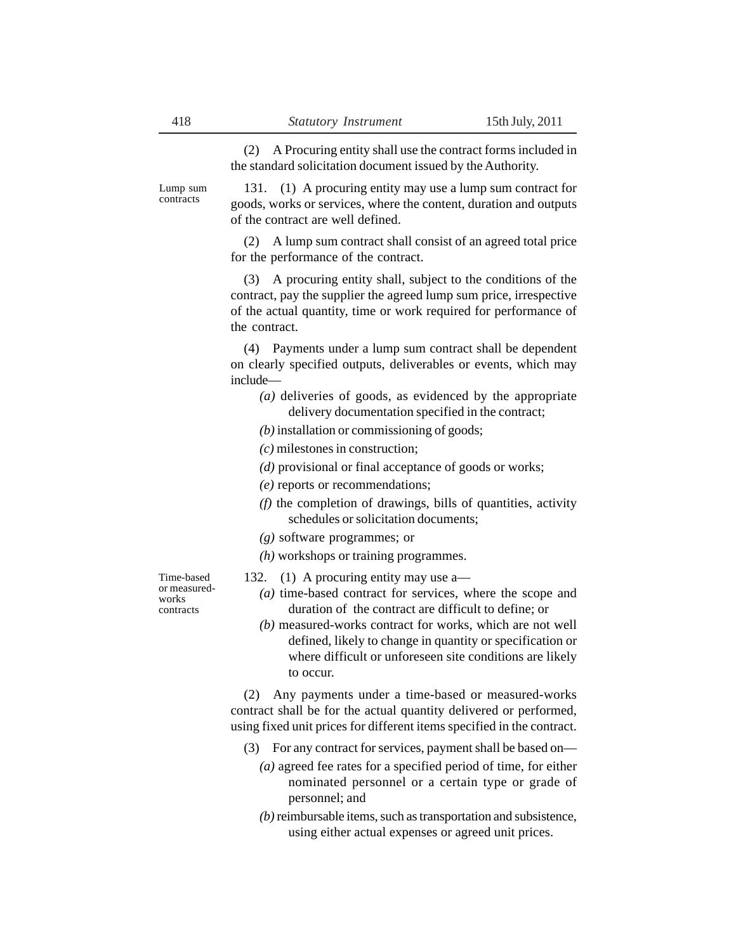(2) A Procuring entity shall use the contract forms included in the standard solicitation document issued by the Authority.

Lump sum contracts

131. (1) A procuring entity may use a lump sum contract for goods, works or services, where the content, duration and outputs of the contract are well defined.

(2) A lump sum contract shall consist of an agreed total price for the performance of the contract.

(3) A procuring entity shall, subject to the conditions of the contract, pay the supplier the agreed lump sum price, irrespective of the actual quantity, time or work required for performance of the contract.

(4) Payments under a lump sum contract shall be dependent on clearly specified outputs, deliverables or events, which may include—

- *(a)* deliveries of goods, as evidenced by the appropriate delivery documentation specified in the contract;
- *(b)* installation or commissioning of goods;
- *(c)* milestones in construction;
- *(d)* provisional or final acceptance of goods or works;
- *(e)* reports or recommendations;
- *(f)* the completion of drawings, bills of quantities, activity schedules or solicitation documents;
- *(g)* software programmes; or
- *(h)* workshops or training programmes.

Time-based or measuredworks contracts

- 132. (1) A procuring entity may use a—
	- *(a)* time-based contract for services, where the scope and duration of the contract are difficult to define; or
	- *(b)* measured-works contract for works, which are not well defined, likely to change in quantity or specification or where difficult or unforeseen site conditions are likely to occur.

(2) Any payments under a time-based or measured-works contract shall be for the actual quantity delivered or performed, using fixed unit prices for different items specified in the contract.

- (3) For any contract for services, payment shall be based on—
	- *(a)* agreed fee rates for a specified period of time, for either nominated personnel or a certain type or grade of personnel; and
	- *(b)* reimbursable items, such as transportation and subsistence, using either actual expenses or agreed unit prices.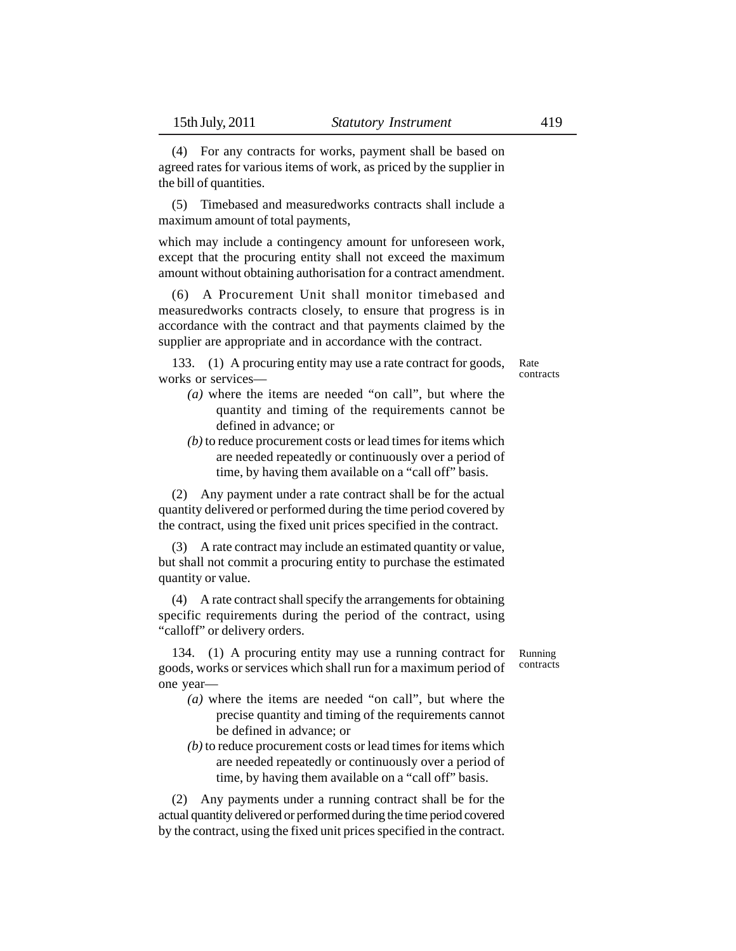(4) For any contracts for works, payment shall be based on agreed rates for various items of work, as priced by the supplier in the bill of quantities.

(5) Timebased and measuredworks contracts shall include a maximum amount of total payments,

which may include a contingency amount for unforeseen work, except that the procuring entity shall not exceed the maximum amount without obtaining authorisation for a contract amendment.

(6) A Procurement Unit shall monitor timebased and measuredworks contracts closely, to ensure that progress is in accordance with the contract and that payments claimed by the supplier are appropriate and in accordance with the contract.

133. (1) A procuring entity may use a rate contract for goods, works or services—

- Rate contracts
- *(a)* where the items are needed "on call", but where the quantity and timing of the requirements cannot be defined in advance; or
- *(b)* to reduce procurement costs or lead times for items which are needed repeatedly or continuously over a period of time, by having them available on a "call off" basis.

(2) Any payment under a rate contract shall be for the actual quantity delivered or performed during the time period covered by the contract, using the fixed unit prices specified in the contract.

(3) A rate contract may include an estimated quantity or value, but shall not commit a procuring entity to purchase the estimated quantity or value.

(4) A rate contract shall specify the arrangements for obtaining specific requirements during the period of the contract, using "calloff" or delivery orders.

134. (1) A procuring entity may use a running contract for goods, works or services which shall run for a maximum period of one year—

- *(a)* where the items are needed "on call", but where the precise quantity and timing of the requirements cannot be defined in advance; or
- *(b)* to reduce procurement costs or lead times for items which are needed repeatedly or continuously over a period of time, by having them available on a "call off" basis.

(2) Any payments under a running contract shall be for the actual quantity delivered or performed during the time period covered by the contract, using the fixed unit prices specified in the contract.

Running contracts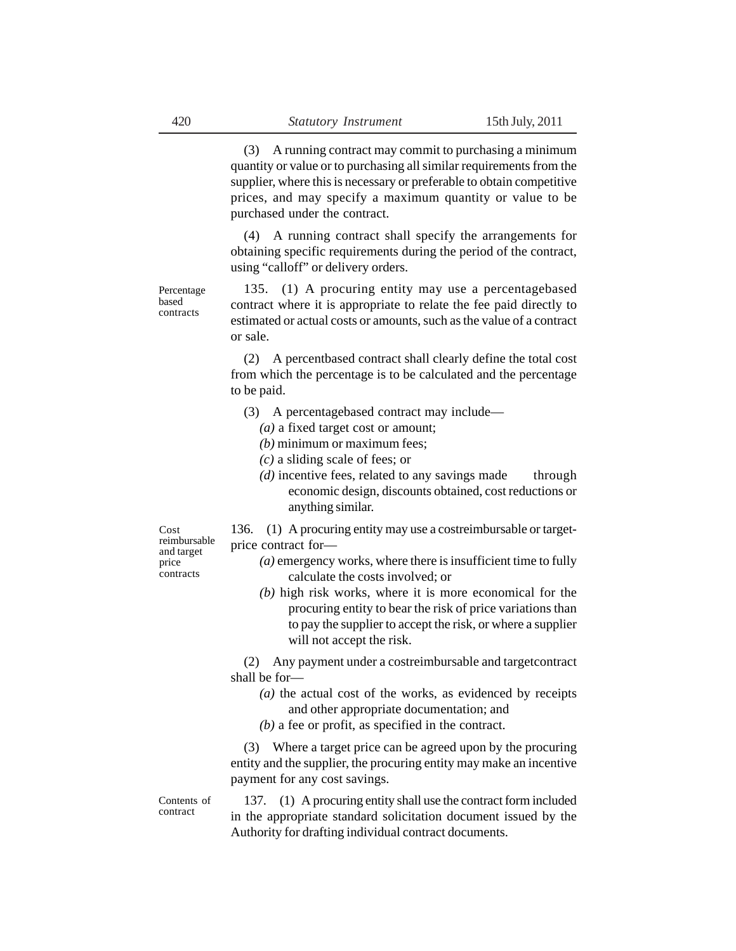(3) A running contract may commit to purchasing a minimum quantity or value or to purchasing all similar requirements from the supplier, where this is necessary or preferable to obtain competitive prices, and may specify a maximum quantity or value to be purchased under the contract.

(4) A running contract shall specify the arrangements for obtaining specific requirements during the period of the contract, using "calloff" or delivery orders.

135. (1) A procuring entity may use a percentagebased contract where it is appropriate to relate the fee paid directly to estimated or actual costs or amounts, such as the value of a contract or sale.

(2) A percentbased contract shall clearly define the total cost from which the percentage is to be calculated and the percentage to be paid.

- (3) A percentagebased contract may include—
	- *(a)* a fixed target cost or amount;
	- *(b)* minimum or maximum fees;
	- *(c)* a sliding scale of fees; or
	- *(d)* incentive fees, related to any savings made through economic design, discounts obtained, cost reductions or anything similar.

136. (1) A procuring entity may use a costreimbursable or targetprice contract for—

- *(a)* emergency works, where there is insufficient time to fully calculate the costs involved; or
- *(b)* high risk works, where it is more economical for the procuring entity to bear the risk of price variations than to pay the supplier to accept the risk, or where a supplier will not accept the risk.

(2) Any payment under a costreimbursable and targetcontract shall be for—

- *(a)* the actual cost of the works, as evidenced by receipts and other appropriate documentation; and
- *(b)* a fee or profit, as specified in the contract.

(3) Where a target price can be agreed upon by the procuring entity and the supplier, the procuring entity may make an incentive payment for any cost savings.

137. (1) A procuring entity shall use the contract form included in the appropriate standard solicitation document issued by the Authority for drafting individual contract documents.

Cost reimbursable and target price contracts

Percentage based contracts

Contents of contract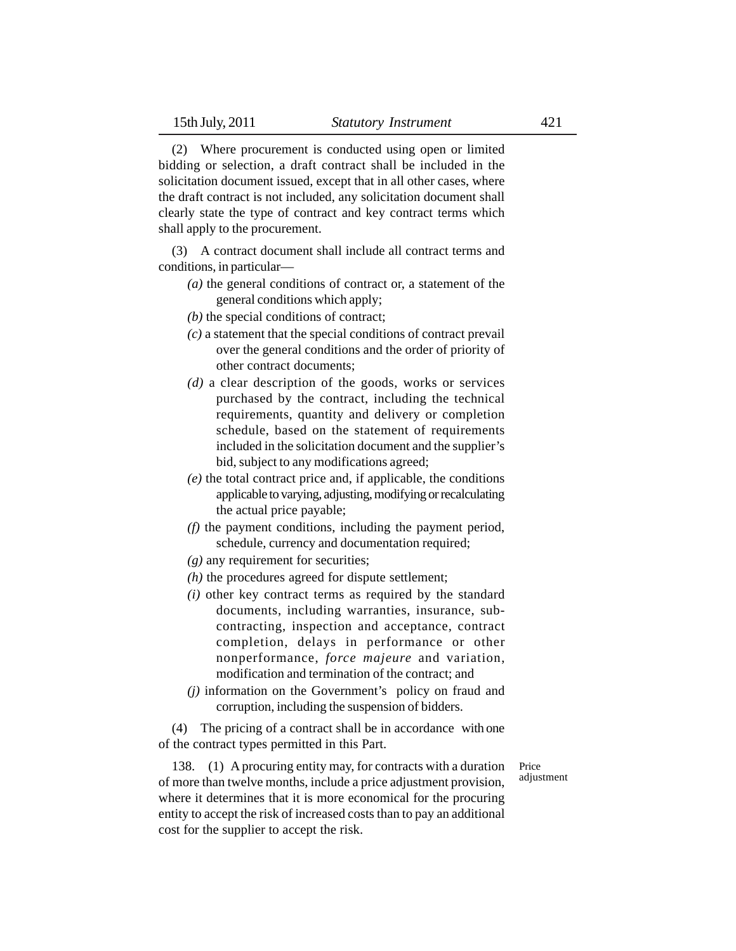(2) Where procurement is conducted using open or limited bidding or selection, a draft contract shall be included in the solicitation document issued, except that in all other cases, where the draft contract is not included, any solicitation document shall clearly state the type of contract and key contract terms which shall apply to the procurement.

(3) A contract document shall include all contract terms and conditions, in particular—

- *(a)* the general conditions of contract or, a statement of the general conditions which apply;
- *(b)* the special conditions of contract;
- *(c)* a statement that the special conditions of contract prevail over the general conditions and the order of priority of other contract documents;
- *(d)* a clear description of the goods, works or services purchased by the contract, including the technical requirements, quantity and delivery or completion schedule, based on the statement of requirements included in the solicitation document and the supplier's bid, subject to any modifications agreed;
- *(e)* the total contract price and, if applicable, the conditions applicable to varying, adjusting, modifying or recalculating the actual price payable;
- *(f)* the payment conditions, including the payment period, schedule, currency and documentation required;
- *(g)* any requirement for securities;
- *(h)* the procedures agreed for dispute settlement;
- *(i)* other key contract terms as required by the standard documents, including warranties, insurance, subcontracting, inspection and acceptance, contract completion, delays in performance or other nonperformance, *force majeure* and variation, modification and termination of the contract; and
- *(j)* information on the Government's policy on fraud and corruption, including the suspension of bidders.

(4) The pricing of a contract shall be in accordance with one of the contract types permitted in this Part.

138. (1) A procuring entity may, for contracts with a duration of more than twelve months, include a price adjustment provision, where it determines that it is more economical for the procuring entity to accept the risk of increased costs than to pay an additional cost for the supplier to accept the risk.

Price adjustment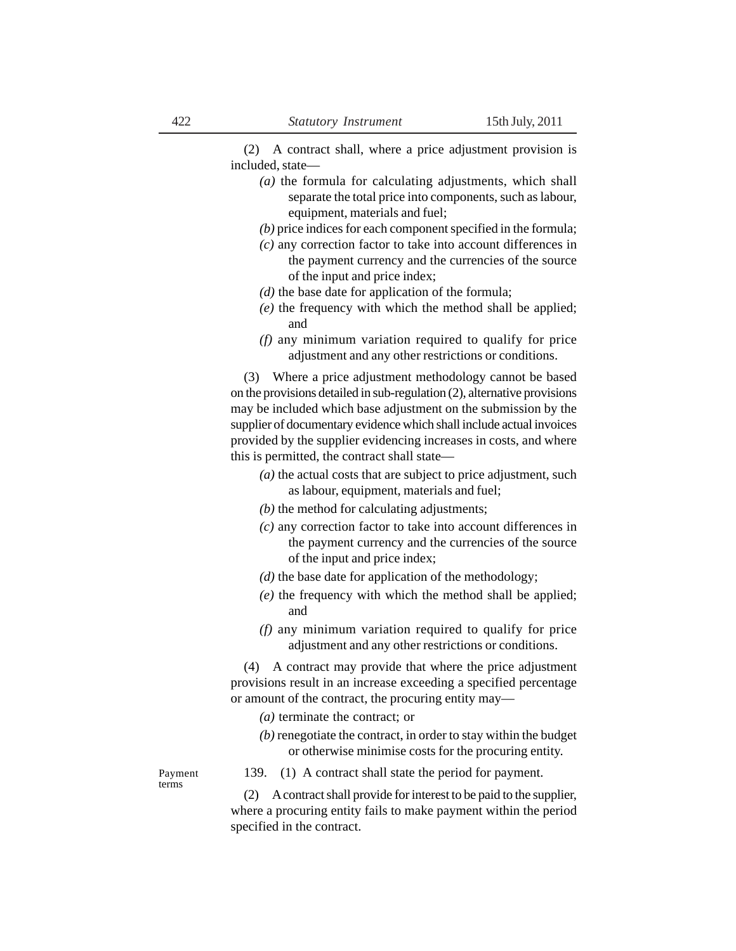(2) A contract shall, where a price adjustment provision is included, state—

- *(a)* the formula for calculating adjustments, which shall separate the total price into components, such as labour, equipment, materials and fuel;
- *(b)* price indices for each component specified in the formula;
- *(c)* any correction factor to take into account differences in the payment currency and the currencies of the source of the input and price index;
- *(d)* the base date for application of the formula;
- *(e)* the frequency with which the method shall be applied; and
- *(f)* any minimum variation required to qualify for price adjustment and any other restrictions or conditions.

(3) Where a price adjustment methodology cannot be based on the provisions detailed in sub-regulation (2), alternative provisions may be included which base adjustment on the submission by the supplier of documentary evidence which shall include actual invoices provided by the supplier evidencing increases in costs, and where this is permitted, the contract shall state—

- *(a)* the actual costs that are subject to price adjustment, such as labour, equipment, materials and fuel;
- *(b)* the method for calculating adjustments;
- *(c)* any correction factor to take into account differences in the payment currency and the currencies of the source of the input and price index;
- *(d)* the base date for application of the methodology;
- *(e)* the frequency with which the method shall be applied; and
- *(f)* any minimum variation required to qualify for price adjustment and any other restrictions or conditions.

(4) A contract may provide that where the price adjustment provisions result in an increase exceeding a specified percentage or amount of the contract, the procuring entity may—

- *(a)* terminate the contract; or
- *(b)* renegotiate the contract, in order to stay within the budget or otherwise minimise costs for the procuring entity.

Payment terms

139. (1) A contract shall state the period for payment.

(2) A contract shall provide for interest to be paid to the supplier, where a procuring entity fails to make payment within the period specified in the contract.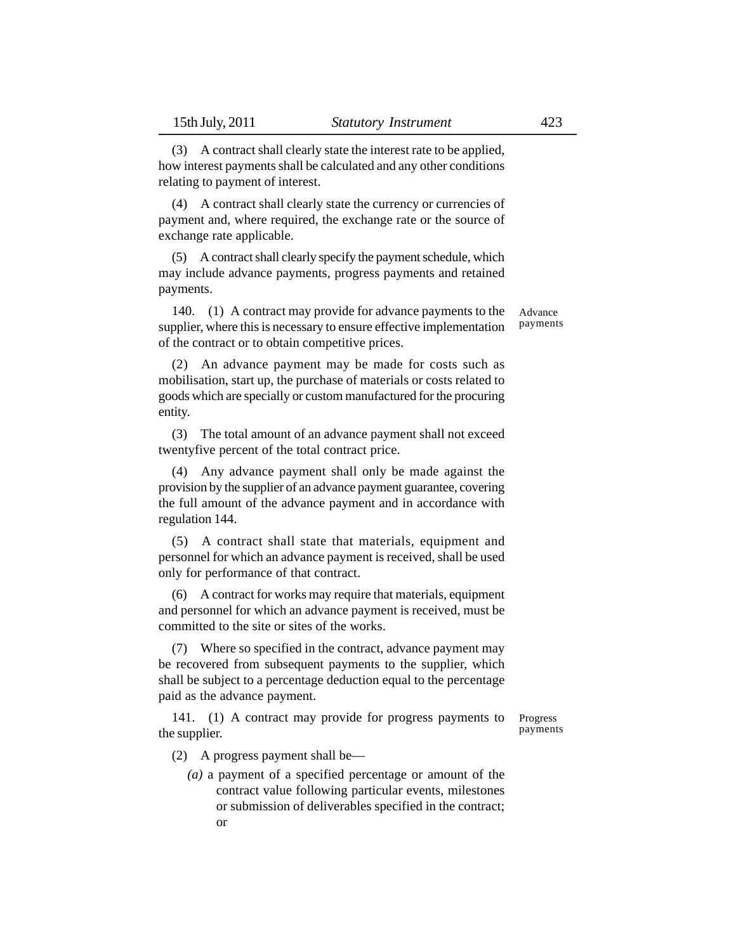(3) A contract shall clearly state the interest rate to be applied, how interest payments shall be calculated and any other conditions relating to payment of interest.

(4) A contract shall clearly state the currency or currencies of payment and, where required, the exchange rate or the source of exchange rate applicable.

(5) A contract shall clearly specify the payment schedule, which may include advance payments, progress payments and retained payments.

140. (1) A contract may provide for advance payments to the supplier, where this is necessary to ensure effective implementation of the contract or to obtain competitive prices. Advance payments

(2) An advance payment may be made for costs such as mobilisation, start up, the purchase of materials or costs related to goods which are specially or custom manufactured for the procuring entity.

(3) The total amount of an advance payment shall not exceed twentyfive percent of the total contract price.

(4) Any advance payment shall only be made against the provision by the supplier of an advance payment guarantee, covering the full amount of the advance payment and in accordance with regulation 144.

(5) A contract shall state that materials, equipment and personnel for which an advance payment is received, shall be used only for performance of that contract.

(6) A contract for works may require that materials, equipment and personnel for which an advance payment is received, must be committed to the site or sites of the works.

(7) Where so specified in the contract, advance payment may be recovered from subsequent payments to the supplier, which shall be subject to a percentage deduction equal to the percentage paid as the advance payment.

141. (1) A contract may provide for progress payments to the supplier.

Progress payments

(2) A progress payment shall be—

*(a)* a payment of a specified percentage or amount of the contract value following particular events, milestones or submission of deliverables specified in the contract; or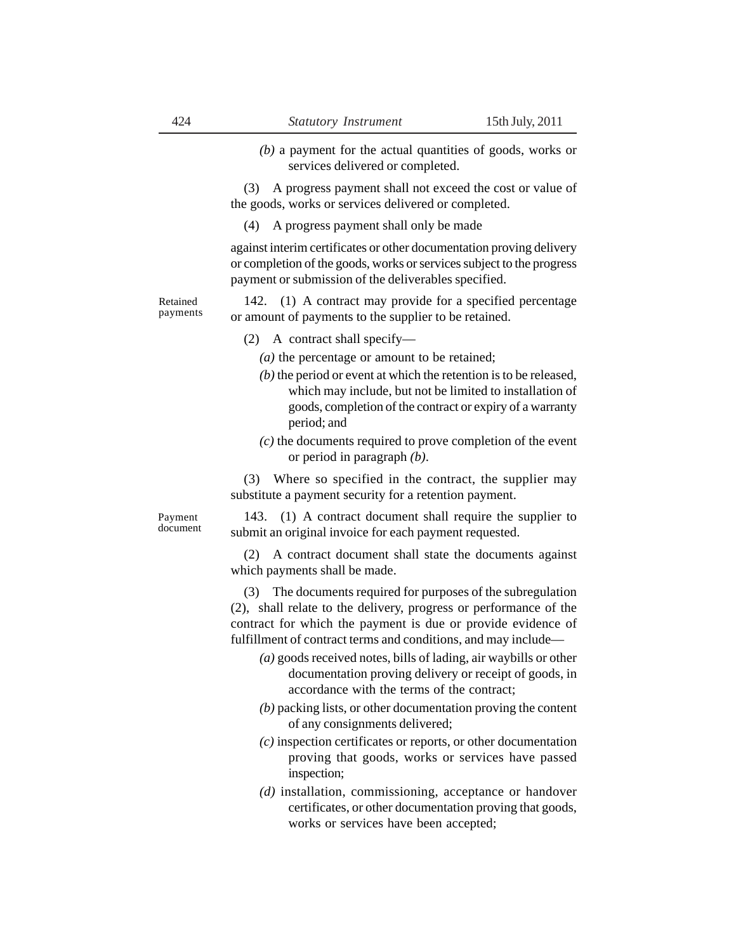*(b)* a payment for the actual quantities of goods, works or services delivered or completed.

(3) A progress payment shall not exceed the cost or value of the goods, works or services delivered or completed.

(4) A progress payment shall only be made

against interim certificates or other documentation proving delivery or completion of the goods, works or services subject to the progress payment or submission of the deliverables specified.

142. (1) A contract may provide for a specified percentage or amount of payments to the supplier to be retained. Retained payments

- (2) A contract shall specify—
	- *(a)* the percentage or amount to be retained;
	- *(b)* the period or event at which the retention is to be released, which may include, but not be limited to installation of goods, completion of the contract or expiry of a warranty period; and
	- *(c)* the documents required to prove completion of the event or period in paragraph *(b)*.

(3) Where so specified in the contract, the supplier may substitute a payment security for a retention payment.

Payment document

143. (1) A contract document shall require the supplier to submit an original invoice for each payment requested.

(2) A contract document shall state the documents against which payments shall be made.

(3) The documents required for purposes of the subregulation (2), shall relate to the delivery, progress or performance of the contract for which the payment is due or provide evidence of fulfillment of contract terms and conditions, and may include—

- *(a)* goods received notes, bills of lading, air waybills or other documentation proving delivery or receipt of goods, in accordance with the terms of the contract;
- *(b)* packing lists, or other documentation proving the content of any consignments delivered;
- *(c)* inspection certificates or reports, or other documentation proving that goods, works or services have passed inspection;
- *(d)* installation, commissioning, acceptance or handover certificates, or other documentation proving that goods, works or services have been accepted;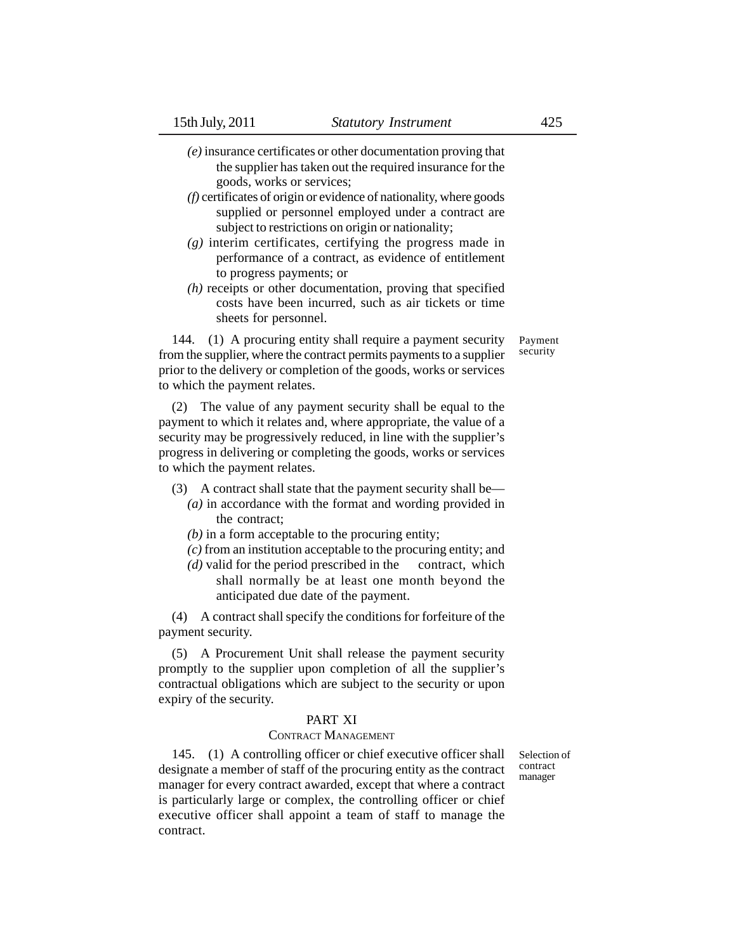- *(e)* insurance certificates or other documentation proving that the supplier has taken out the required insurance for the goods, works or services;
- *(f)* certificates of origin or evidence of nationality, where goods supplied or personnel employed under a contract are subject to restrictions on origin or nationality;
- *(g)* interim certificates, certifying the progress made in performance of a contract, as evidence of entitlement to progress payments; or
- *(h)* receipts or other documentation, proving that specified costs have been incurred, such as air tickets or time sheets for personnel.

144. (1) A procuring entity shall require a payment security from the supplier, where the contract permits payments to a supplier prior to the delivery or completion of the goods, works or services to which the payment relates.

(2) The value of any payment security shall be equal to the payment to which it relates and, where appropriate, the value of a security may be progressively reduced, in line with the supplier's progress in delivering or completing the goods, works or services to which the payment relates.

- (3) A contract shall state that the payment security shall be—
	- *(a)* in accordance with the format and wording provided in the contract;
	- *(b)* in a form acceptable to the procuring entity;
	- *(c)* from an institution acceptable to the procuring entity; and
	- *(d)* valid for the period prescribed in the contract, which shall normally be at least one month beyond the anticipated due date of the payment.

(4) A contract shall specify the conditions for forfeiture of the payment security.

(5) A Procurement Unit shall release the payment security promptly to the supplier upon completion of all the supplier's contractual obligations which are subject to the security or upon expiry of the security.

## PART XI

### CONTRACT MANAGEMENT

145. (1) A controlling officer or chief executive officer shall designate a member of staff of the procuring entity as the contract manager for every contract awarded, except that where a contract is particularly large or complex, the controlling officer or chief executive officer shall appoint a team of staff to manage the contract.

Selection of contract manager

Payment security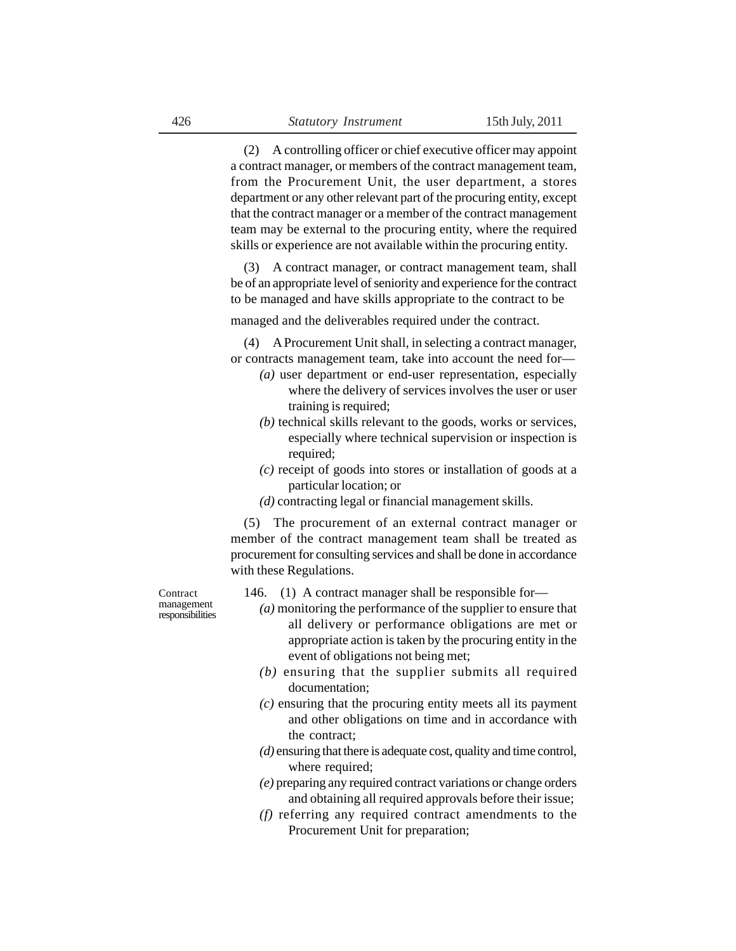(2) A controlling officer or chief executive officer may appoint a contract manager, or members of the contract management team, from the Procurement Unit, the user department, a stores department or any other relevant part of the procuring entity, except that the contract manager or a member of the contract management team may be external to the procuring entity, where the required skills or experience are not available within the procuring entity.

(3) A contract manager, or contract management team, shall be of an appropriate level of seniority and experience for the contract to be managed and have skills appropriate to the contract to be

managed and the deliverables required under the contract.

(4) A Procurement Unit shall, in selecting a contract manager, or contracts management team, take into account the need for—

- *(a)* user department or end-user representation, especially where the delivery of services involves the user or user training is required;
- *(b)* technical skills relevant to the goods, works or services, especially where technical supervision or inspection is required;
- *(c)* receipt of goods into stores or installation of goods at a particular location; or
- *(d)* contracting legal or financial management skills.

(5) The procurement of an external contract manager or member of the contract management team shall be treated as procurement for consulting services and shall be done in accordance with these Regulations.

**Contract** management responsibilities 146. (1) A contract manager shall be responsible for—

- *(a)* monitoring the performance of the supplier to ensure that all delivery or performance obligations are met or appropriate action is taken by the procuring entity in the event of obligations not being met;
- *(b)* ensuring that the supplier submits all required documentation;
- *(c)* ensuring that the procuring entity meets all its payment and other obligations on time and in accordance with the contract;
- *(d)* ensuring that there is adequate cost, quality and time control, where required;
- *(e)* preparing any required contract variations or change orders and obtaining all required approvals before their issue;
- *(f)* referring any required contract amendments to the Procurement Unit for preparation;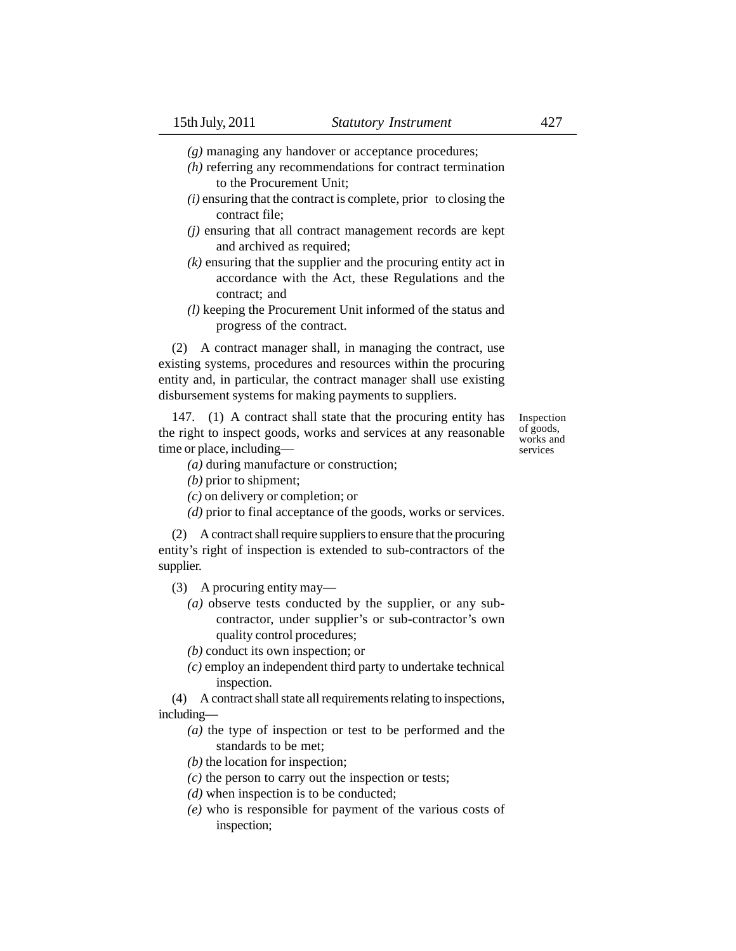- *(g)* managing any handover or acceptance procedures;
- *(h)* referring any recommendations for contract termination to the Procurement Unit;
- *(i)* ensuring that the contract is complete, prior to closing the contract file;
- *(j)* ensuring that all contract management records are kept and archived as required;
- *(k)* ensuring that the supplier and the procuring entity act in accordance with the Act, these Regulations and the contract; and
- *(l)* keeping the Procurement Unit informed of the status and progress of the contract.

(2) A contract manager shall, in managing the contract, use existing systems, procedures and resources within the procuring entity and, in particular, the contract manager shall use existing disbursement systems for making payments to suppliers.

147. (1) A contract shall state that the procuring entity has the right to inspect goods, works and services at any reasonable time or place, including—

Inspection of goods, works and services

- *(a)* during manufacture or construction;
- *(b)* prior to shipment;
- *(c)* on delivery or completion; or
- *(d)* prior to final acceptance of the goods, works or services.

(2) A contract shall require suppliers to ensure that the procuring entity's right of inspection is extended to sub-contractors of the supplier.

(3) A procuring entity may—

*(a)* observe tests conducted by the supplier, or any subcontractor, under supplier's or sub-contractor's own quality control procedures;

*(b)* conduct its own inspection; or

*(c)* employ an independent third party to undertake technical inspection.

(4) A contract shall state all requirements relating to inspections, including—

- *(a)* the type of inspection or test to be performed and the standards to be met;
- *(b)* the location for inspection;
- *(c)* the person to carry out the inspection or tests;
- *(d)* when inspection is to be conducted;
- *(e)* who is responsible for payment of the various costs of inspection;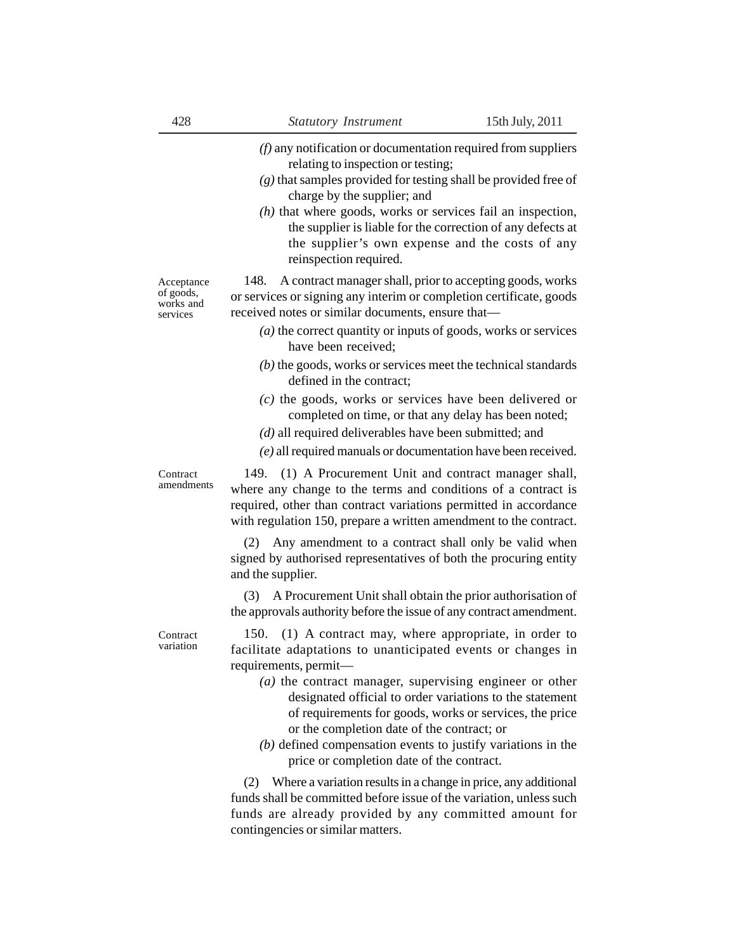- *(f)* any notification or documentation required from suppliers relating to inspection or testing;
- *(g)* that samples provided for testing shall be provided free of charge by the supplier; and
- *(h)* that where goods, works or services fail an inspection, the supplier is liable for the correction of any defects at the supplier's own expense and the costs of any reinspection required.

Acceptance of goods, works and services

148. A contract manager shall, prior to accepting goods, works or services or signing any interim or completion certificate, goods received notes or similar documents, ensure that—

- *(a)* the correct quantity or inputs of goods, works or services have been received;
- *(b)* the goods, works or services meet the technical standards defined in the contract;
- *(c)* the goods, works or services have been delivered or completed on time, or that any delay has been noted;
- *(d)* all required deliverables have been submitted; and
- *(e)* all required manuals or documentation have been received.

149. (1) A Procurement Unit and contract manager shall, where any change to the terms and conditions of a contract is required, other than contract variations permitted in accordance with regulation 150, prepare a written amendment to the contract.

(2) Any amendment to a contract shall only be valid when signed by authorised representatives of both the procuring entity and the supplier.

(3) A Procurement Unit shall obtain the prior authorisation of the approvals authority before the issue of any contract amendment.

Contract variation

**Contract** amendments

> 150. (1) A contract may, where appropriate, in order to facilitate adaptations to unanticipated events or changes in requirements, permit—

- *(a)* the contract manager, supervising engineer or other designated official to order variations to the statement of requirements for goods, works or services, the price or the completion date of the contract; or
- *(b)* defined compensation events to justify variations in the price or completion date of the contract.

(2) Where a variation results in a change in price, any additional funds shall be committed before issue of the variation, unless such funds are already provided by any committed amount for contingencies or similar matters.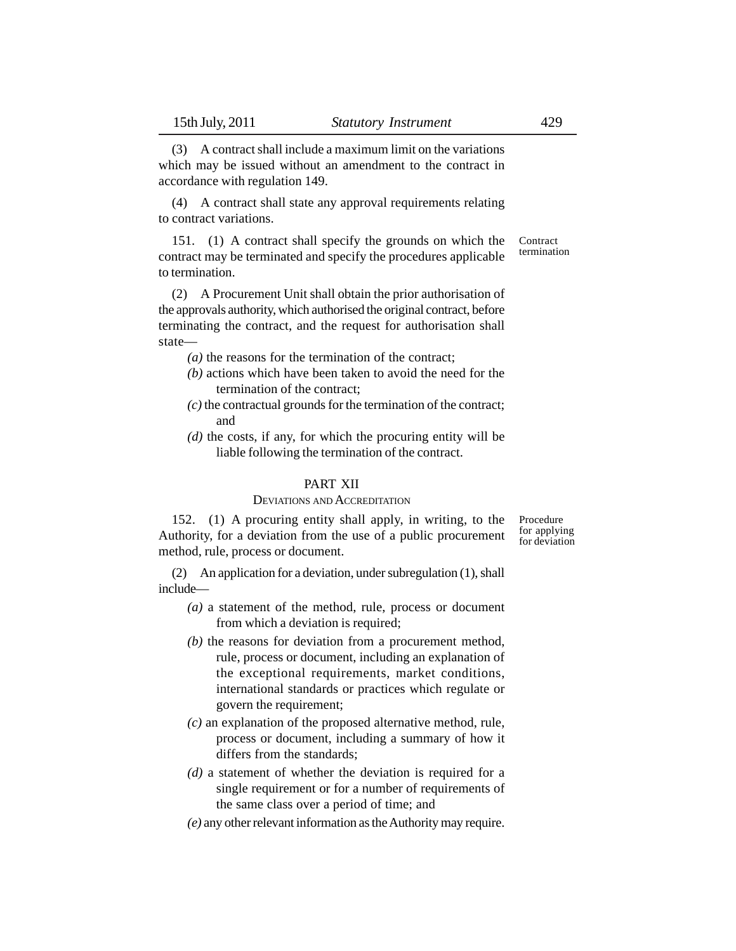(3) A contract shall include a maximum limit on the variations which may be issued without an amendment to the contract in accordance with regulation 149.

(4) A contract shall state any approval requirements relating to contract variations.

151. (1) A contract shall specify the grounds on which the contract may be terminated and specify the procedures applicable to termination. **Contract** termination

(2) A Procurement Unit shall obtain the prior authorisation of the approvals authority, which authorised the original contract, before terminating the contract, and the request for authorisation shall state—

*(a)* the reasons for the termination of the contract;

- *(b)* actions which have been taken to avoid the need for the termination of the contract;
- *(c)* the contractual grounds for the termination of the contract; and
- *(d)* the costs, if any, for which the procuring entity will be liable following the termination of the contract.

# PART XII

#### DEVIATIONS AND ACCREDITATION

152. (1) A procuring entity shall apply, in writing, to the Authority, for a deviation from the use of a public procurement method, rule, process or document.

Procedure for applying for deviation

(2) An application for a deviation, under subregulation (1), shall include—

- *(a)* a statement of the method, rule, process or document from which a deviation is required;
- *(b)* the reasons for deviation from a procurement method, rule, process or document, including an explanation of the exceptional requirements, market conditions, international standards or practices which regulate or govern the requirement;
- *(c)* an explanation of the proposed alternative method, rule, process or document, including a summary of how it differs from the standards;
- *(d)* a statement of whether the deviation is required for a single requirement or for a number of requirements of the same class over a period of time; and
- *(e)* any other relevant information as the Authority may require.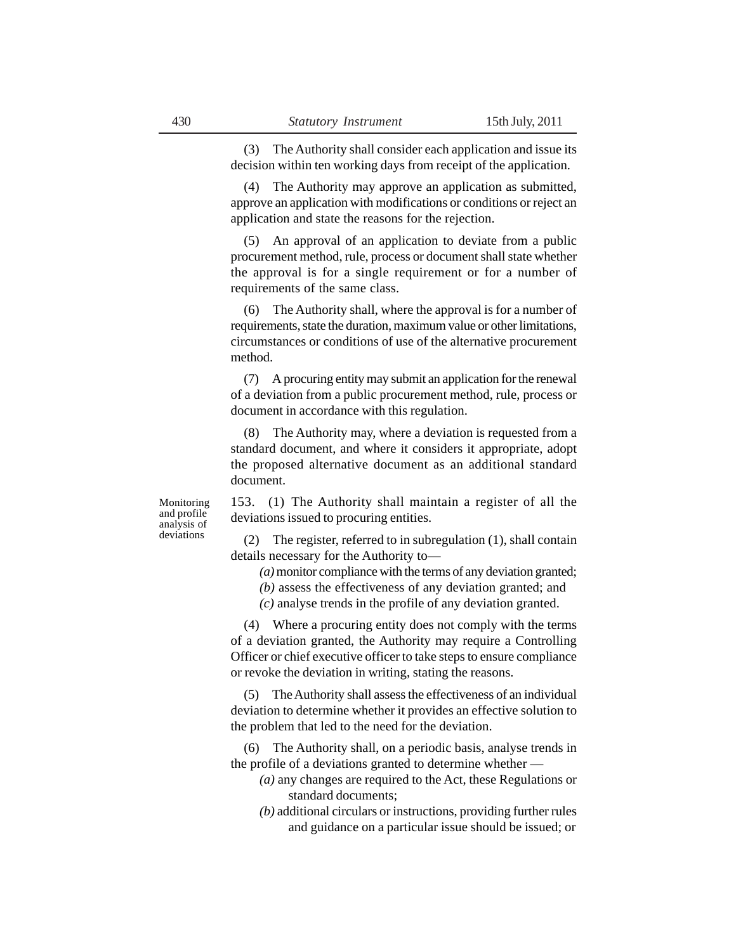(3) The Authority shall consider each application and issue its decision within ten working days from receipt of the application.

(4) The Authority may approve an application as submitted, approve an application with modifications or conditions or reject an application and state the reasons for the rejection.

(5) An approval of an application to deviate from a public procurement method, rule, process or document shall state whether the approval is for a single requirement or for a number of requirements of the same class.

(6) The Authority shall, where the approval is for a number of requirements, state the duration, maximum value or other limitations, circumstances or conditions of use of the alternative procurement method.

(7) A procuring entity may submit an application for the renewal of a deviation from a public procurement method, rule, process or document in accordance with this regulation.

(8) The Authority may, where a deviation is requested from a standard document, and where it considers it appropriate, adopt the proposed alternative document as an additional standard document.

Monitoring and profile analysis of deviations

153. (1) The Authority shall maintain a register of all the deviations issued to procuring entities.

(2) The register, referred to in subregulation (1), shall contain details necessary for the Authority to—

*(a)* monitor compliance with the terms of any deviation granted;

*(b)* assess the effectiveness of any deviation granted; and

*(c)* analyse trends in the profile of any deviation granted.

(4) Where a procuring entity does not comply with the terms of a deviation granted, the Authority may require a Controlling Officer or chief executive officer to take steps to ensure compliance or revoke the deviation in writing, stating the reasons.

(5) The Authority shall assess the effectiveness of an individual deviation to determine whether it provides an effective solution to the problem that led to the need for the deviation.

(6) The Authority shall, on a periodic basis, analyse trends in the profile of a deviations granted to determine whether —

- *(a)* any changes are required to the Act, these Regulations or standard documents;
- *(b)* additional circulars or instructions, providing further rules and guidance on a particular issue should be issued; or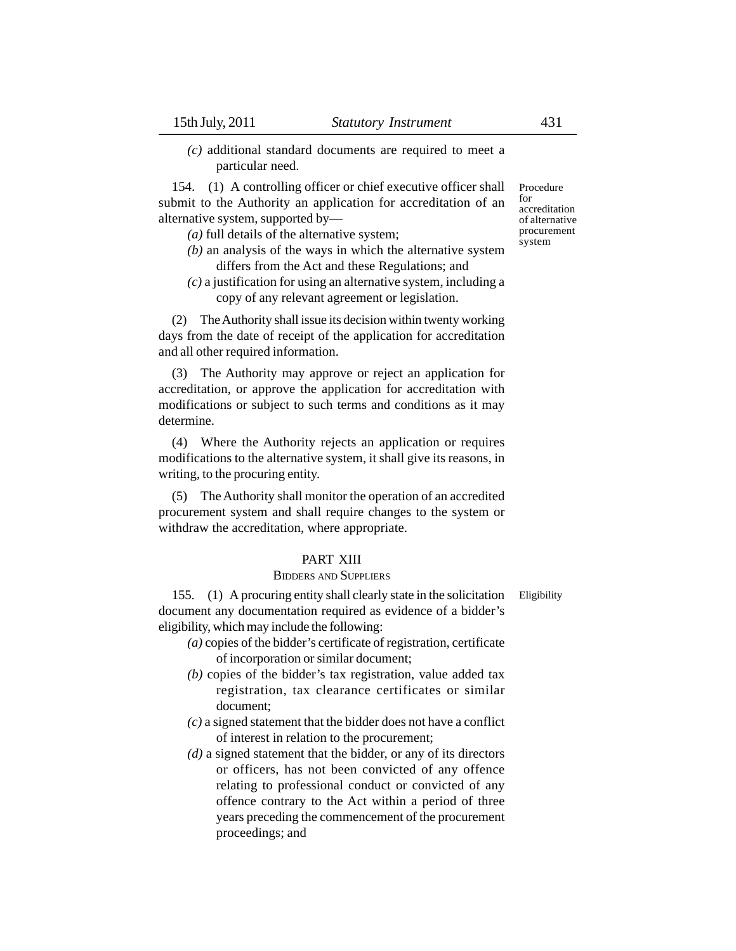*(c)* additional standard documents are required to meet a particular need.

154. (1) A controlling officer or chief executive officer shall submit to the Authority an application for accreditation of an alternative system, supported by—

- *(a)* full details of the alternative system;
- *(b)* an analysis of the ways in which the alternative system differs from the Act and these Regulations; and
- *(c)* a justification for using an alternative system, including a copy of any relevant agreement or legislation.

(2) The Authority shall issue its decision within twenty working days from the date of receipt of the application for accreditation and all other required information.

(3) The Authority may approve or reject an application for accreditation, or approve the application for accreditation with modifications or subject to such terms and conditions as it may determine.

(4) Where the Authority rejects an application or requires modifications to the alternative system, it shall give its reasons, in writing, to the procuring entity.

(5) The Authority shall monitor the operation of an accredited procurement system and shall require changes to the system or withdraw the accreditation, where appropriate.

#### PART XIII

#### BIDDERS AND SUPPLIERS

155. (1) A procuring entity shall clearly state in the solicitation document any documentation required as evidence of a bidder's eligibility, which may include the following:

- *(a)* copies of the bidder's certificate of registration, certificate of incorporation or similar document;
- *(b)* copies of the bidder's tax registration, value added tax registration, tax clearance certificates or similar document;
- *(c)* a signed statement that the bidder does not have a conflict of interest in relation to the procurement;
- *(d)* a signed statement that the bidder, or any of its directors or officers, has not been convicted of any offence relating to professional conduct or convicted of any offence contrary to the Act within a period of three years preceding the commencement of the procurement proceedings; and

Procedure for accreditation of alternative procurement system

Eligibility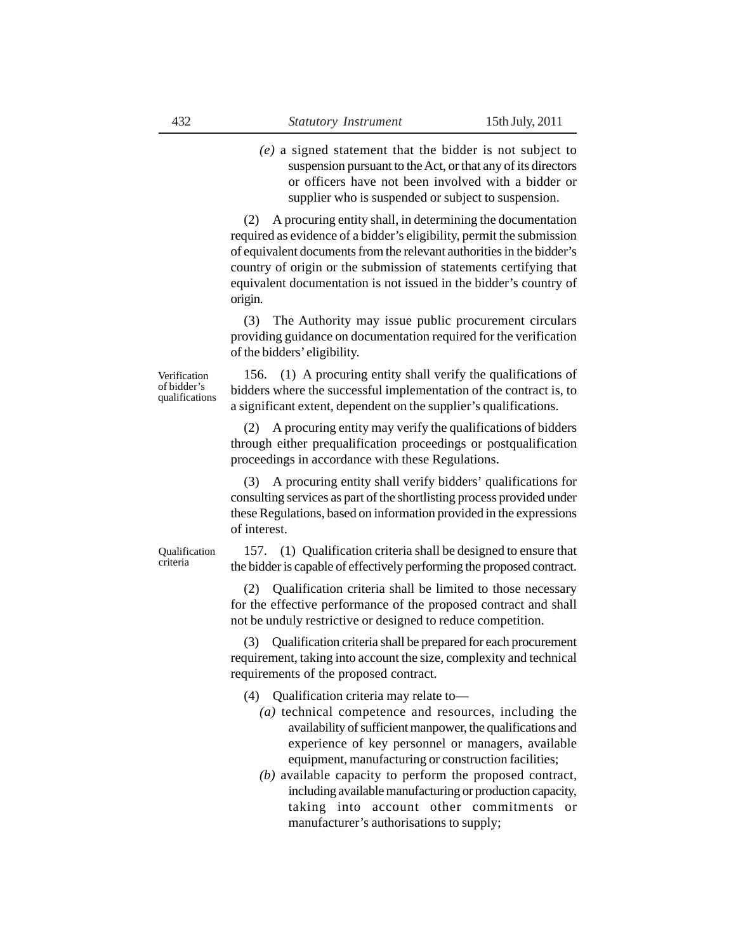*(e)* a signed statement that the bidder is not subject to suspension pursuant to the Act, or that any of its directors or officers have not been involved with a bidder or supplier who is suspended or subject to suspension.

(2) A procuring entity shall, in determining the documentation required as evidence of a bidder's eligibility, permit the submission of equivalent documents from the relevant authorities in the bidder's country of origin or the submission of statements certifying that equivalent documentation is not issued in the bidder's country of origin.

(3) The Authority may issue public procurement circulars providing guidance on documentation required for the verification of the bidders' eligibility.

Verification of bidder's qualifications

156. (1) A procuring entity shall verify the qualifications of bidders where the successful implementation of the contract is, to a significant extent, dependent on the supplier's qualifications.

(2) A procuring entity may verify the qualifications of bidders through either prequalification proceedings or postqualification proceedings in accordance with these Regulations.

(3) A procuring entity shall verify bidders' qualifications for consulting services as part of the shortlisting process provided under these Regulations, based on information provided in the expressions of interest.

Qualification criteria

157. (1) Qualification criteria shall be designed to ensure that the bidder is capable of effectively performing the proposed contract.

(2) Qualification criteria shall be limited to those necessary for the effective performance of the proposed contract and shall not be unduly restrictive or designed to reduce competition.

(3) Qualification criteria shall be prepared for each procurement requirement, taking into account the size, complexity and technical requirements of the proposed contract.

(4) Qualification criteria may relate to—

- *(a)* technical competence and resources, including the availability of sufficient manpower, the qualifications and experience of key personnel or managers, available equipment, manufacturing or construction facilities;
- *(b)* available capacity to perform the proposed contract, including available manufacturing or production capacity, taking into account other commitments or manufacturer's authorisations to supply;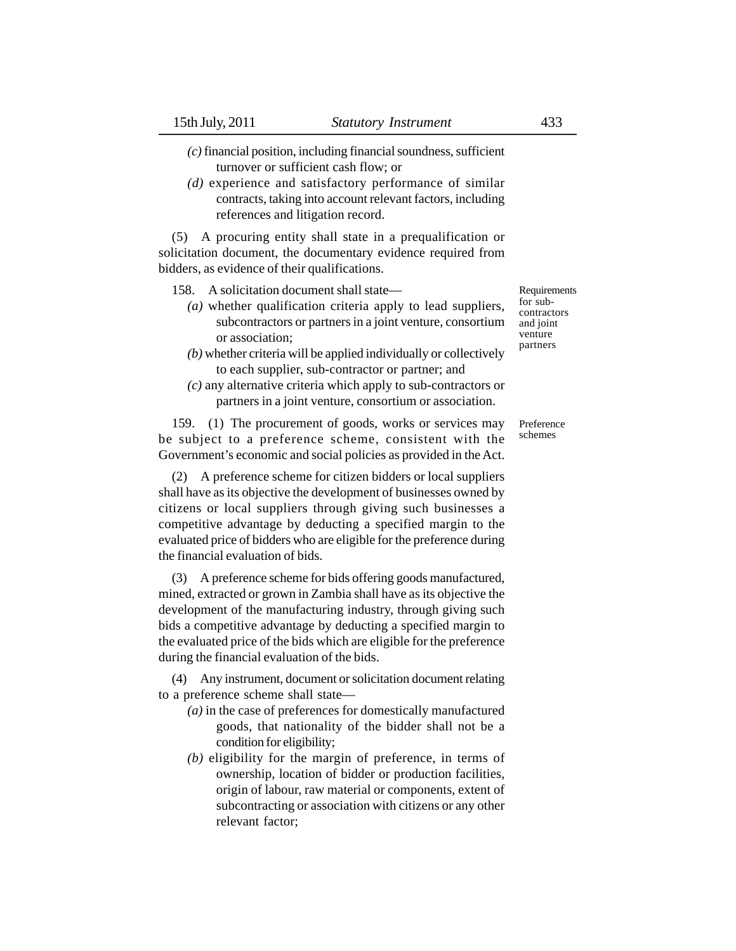- *(c)* financial position, including financial soundness, sufficient turnover or sufficient cash flow; or
- *(d)* experience and satisfactory performance of similar contracts, taking into account relevant factors, including references and litigation record.

(5) A procuring entity shall state in a prequalification or solicitation document, the documentary evidence required from bidders, as evidence of their qualifications.

- 158. A solicitation document shall state—
	- *(a)* whether qualification criteria apply to lead suppliers, subcontractors or partners in a joint venture, consortium or association;
	- *(b)* whether criteria will be applied individually or collectively to each supplier, sub-contractor or partner; and
	- *(c)* any alternative criteria which apply to sub-contractors or partners in a joint venture, consortium or association.

159. (1) The procurement of goods, works or services may be subject to a preference scheme, consistent with the Government's economic and social policies as provided in the Act.

(2) A preference scheme for citizen bidders or local suppliers shall have as its objective the development of businesses owned by citizens or local suppliers through giving such businesses a competitive advantage by deducting a specified margin to the evaluated price of bidders who are eligible for the preference during the financial evaluation of bids.

(3) A preference scheme for bids offering goods manufactured, mined, extracted or grown in Zambia shall have as its objective the development of the manufacturing industry, through giving such bids a competitive advantage by deducting a specified margin to the evaluated price of the bids which are eligible for the preference during the financial evaluation of the bids.

(4) Any instrument, document or solicitation document relating to a preference scheme shall state—

- *(a)* in the case of preferences for domestically manufactured goods, that nationality of the bidder shall not be a condition for eligibility;
- *(b)* eligibility for the margin of preference, in terms of ownership, location of bidder or production facilities, origin of labour, raw material or components, extent of subcontracting or association with citizens or any other relevant factor;

Requirements for subcontractors and joint venture partners

Preference schemes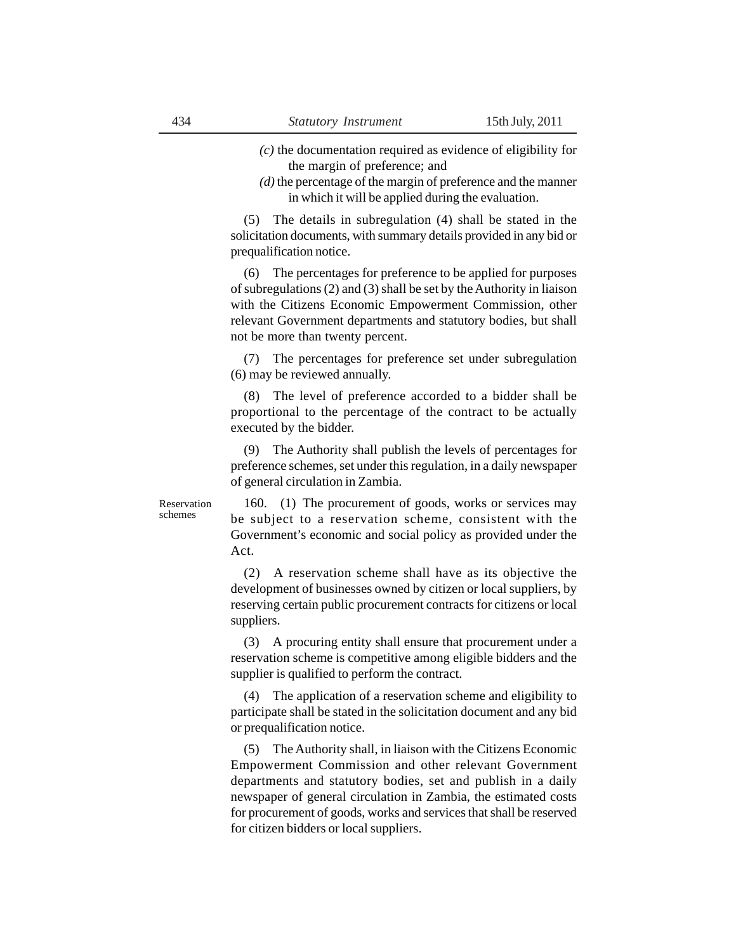*(c)* the documentation required as evidence of eligibility for

the margin of preference; and

*(d)* the percentage of the margin of preference and the manner in which it will be applied during the evaluation.

(5) The details in subregulation (4) shall be stated in the solicitation documents, with summary details provided in any bid or prequalification notice.

(6) The percentages for preference to be applied for purposes of subregulations (2) and (3) shall be set by the Authority in liaison with the Citizens Economic Empowerment Commission, other relevant Government departments and statutory bodies, but shall not be more than twenty percent.

(7) The percentages for preference set under subregulation (6) may be reviewed annually.

(8) The level of preference accorded to a bidder shall be proportional to the percentage of the contract to be actually executed by the bidder.

(9) The Authority shall publish the levels of percentages for preference schemes, set under this regulation, in a daily newspaper of general circulation in Zambia.

Reservation schemes

160. (1) The procurement of goods, works or services may be subject to a reservation scheme, consistent with the Government's economic and social policy as provided under the Act.

(2) A reservation scheme shall have as its objective the development of businesses owned by citizen or local suppliers, by reserving certain public procurement contracts for citizens or local suppliers.

(3) A procuring entity shall ensure that procurement under a reservation scheme is competitive among eligible bidders and the supplier is qualified to perform the contract.

(4) The application of a reservation scheme and eligibility to participate shall be stated in the solicitation document and any bid or prequalification notice.

(5) The Authority shall, in liaison with the Citizens Economic Empowerment Commission and other relevant Government departments and statutory bodies, set and publish in a daily newspaper of general circulation in Zambia, the estimated costs for procurement of goods, works and services that shall be reserved for citizen bidders or local suppliers.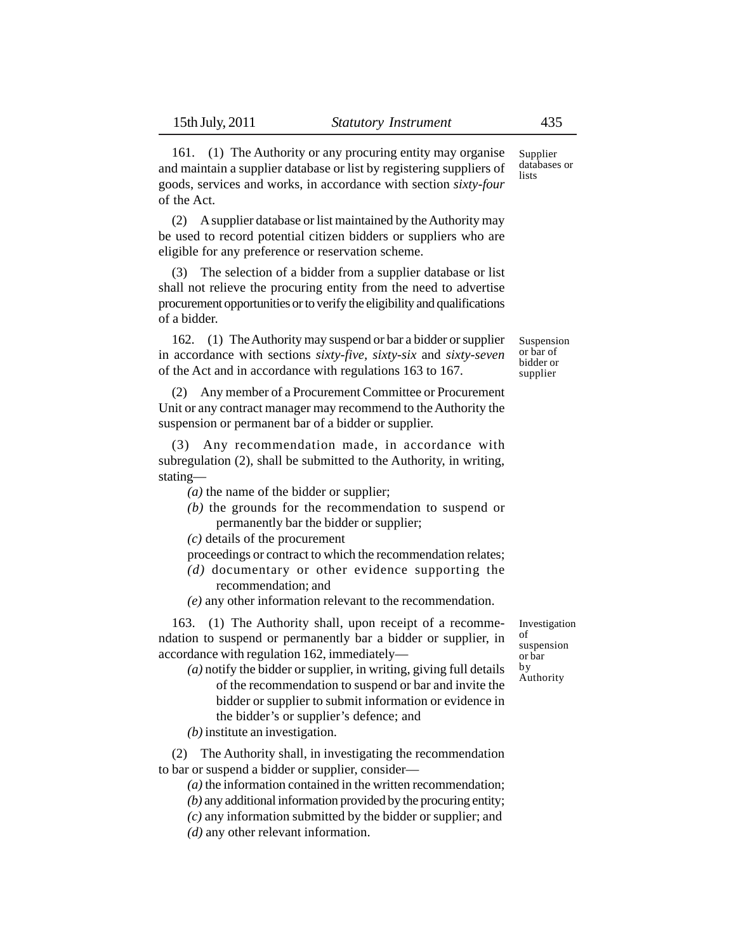161. (1) The Authority or any procuring entity may organise and maintain a supplier database or list by registering suppliers of goods, services and works, in accordance with section *sixty-four* of the Act.

(2) A supplier database or list maintained by the Authority may be used to record potential citizen bidders or suppliers who are eligible for any preference or reservation scheme.

(3) The selection of a bidder from a supplier database or list shall not relieve the procuring entity from the need to advertise procurement opportunities or to verify the eligibility and qualifications of a bidder.

162. (1) The Authority may suspend or bar a bidder or supplier in accordance with sections *sixty-five, sixty-six* and *sixty-seven* of the Act and in accordance with regulations 163 to 167.

(2) Any member of a Procurement Committee or Procurement Unit or any contract manager may recommend to the Authority the suspension or permanent bar of a bidder or supplier.

(3) Any recommendation made, in accordance with subregulation (2), shall be submitted to the Authority, in writing, stating—

*(a)* the name of the bidder or supplier;

*(b)* the grounds for the recommendation to suspend or permanently bar the bidder or supplier;

*(c)* details of the procurement

- proceedings or contract to which the recommendation relates;
- *(d)* documentary or other evidence supporting the recommendation; and
- *(e)* any other information relevant to the recommendation.

163. (1) The Authority shall, upon receipt of a recommendation to suspend or permanently bar a bidder or supplier, in accordance with regulation 162, immediately—

- *(a)* notify the bidder or supplier, in writing, giving full details of the recommendation to suspend or bar and invite the bidder or supplier to submit information or evidence in the bidder's or supplier's defence; and
- *(b)* institute an investigation.

(2) The Authority shall, in investigating the recommendation to bar or suspend a bidder or supplier, consider—

- *(a)* the information contained in the written recommendation;
- *(b)* any additional information provided by the procuring entity;
- *(c)* any information submitted by the bidder or supplier; and
- *(d)* any other relevant information.

Supplier databases or lists

Suspension or bar of bidder or supplier

Investigation of suspension or bar by Authority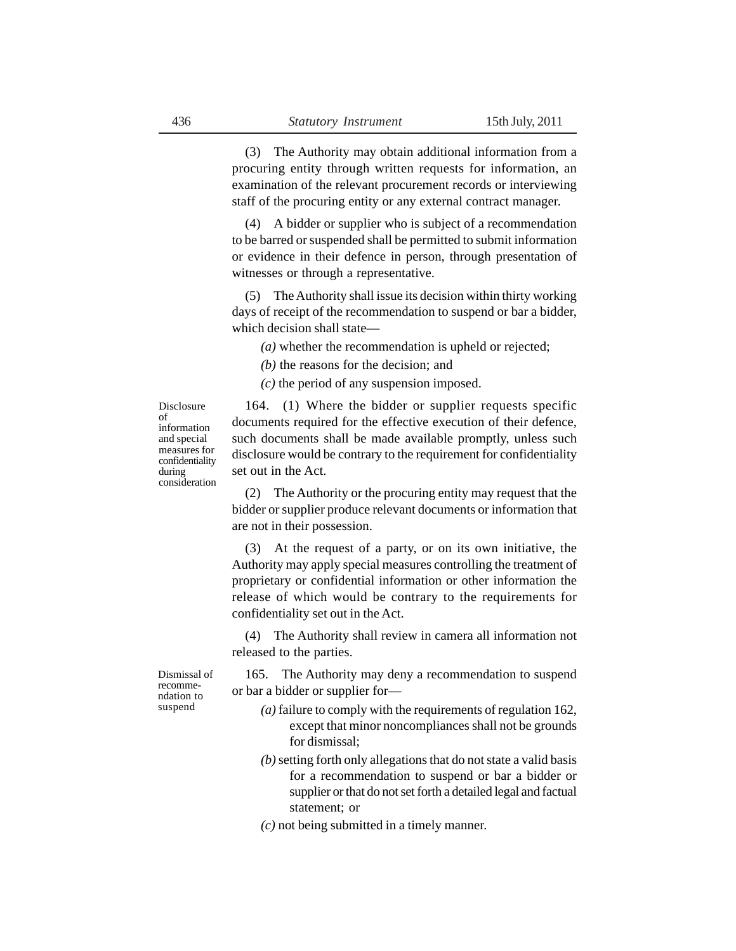(3) The Authority may obtain additional information from a procuring entity through written requests for information, an examination of the relevant procurement records or interviewing staff of the procuring entity or any external contract manager.

(4) A bidder or supplier who is subject of a recommendation to be barred or suspended shall be permitted to submit information or evidence in their defence in person, through presentation of witnesses or through a representative.

(5) The Authority shall issue its decision within thirty working days of receipt of the recommendation to suspend or bar a bidder, which decision shall state—

*(a)* whether the recommendation is upheld or rejected;

*(b)* the reasons for the decision; and

*(c)* the period of any suspension imposed.

Disclosure of information and special measures for confidentiality during consideration

164. (1) Where the bidder or supplier requests specific documents required for the effective execution of their defence, such documents shall be made available promptly, unless such disclosure would be contrary to the requirement for confidentiality set out in the Act.

(2) The Authority or the procuring entity may request that the bidder or supplier produce relevant documents or information that are not in their possession.

(3) At the request of a party, or on its own initiative, the Authority may apply special measures controlling the treatment of proprietary or confidential information or other information the release of which would be contrary to the requirements for confidentiality set out in the Act.

(4) The Authority shall review in camera all information not released to the parties.

165. The Authority may deny a recommendation to suspend or bar a bidder or supplier for—

- *(a)* failure to comply with the requirements of regulation 162, except that minor noncompliances shall not be grounds for dismissal;
- *(b)* setting forth only allegations that do not state a valid basis for a recommendation to suspend or bar a bidder or supplier or that do not set forth a detailed legal and factual statement; or
- *(c)* not being submitted in a timely manner.

Dismissal of recommendation to suspend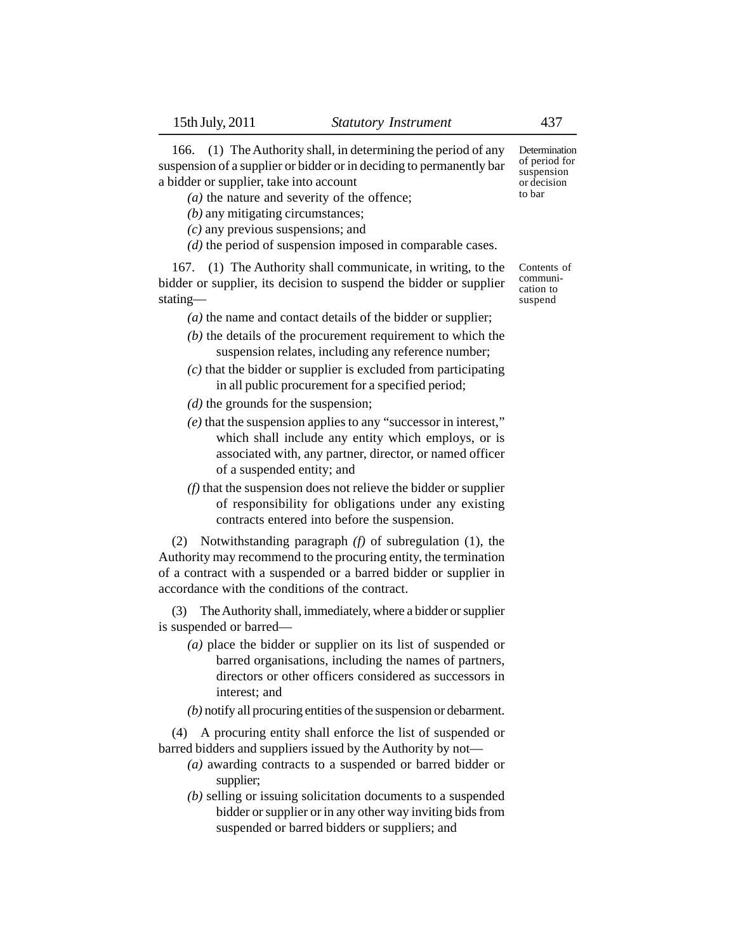166. (1) The Authority shall, in determining the period of any suspension of a supplier or bidder or in deciding to permanently bar a bidder or supplier, take into account

*(a)* the nature and severity of the offence;

*(b)* any mitigating circumstances;

- *(c)* any previous suspensions; and
- *(d)* the period of suspension imposed in comparable cases.

167. (1) The Authority shall communicate, in writing, to the bidder or supplier, its decision to suspend the bidder or supplier stating—

*(a)* the name and contact details of the bidder or supplier;

- *(b)* the details of the procurement requirement to which the suspension relates, including any reference number;
- *(c)* that the bidder or supplier is excluded from participating in all public procurement for a specified period;
- *(d)* the grounds for the suspension;
- *(e)* that the suspension applies to any "successor in interest," which shall include any entity which employs, or is associated with, any partner, director, or named officer of a suspended entity; and
- *(f)* that the suspension does not relieve the bidder or supplier of responsibility for obligations under any existing contracts entered into before the suspension.

(2) Notwithstanding paragraph *(f)* of subregulation (1), the Authority may recommend to the procuring entity, the termination of a contract with a suspended or a barred bidder or supplier in accordance with the conditions of the contract.

(3) The Authority shall, immediately, where a bidder or supplier is suspended or barred—

- *(a)* place the bidder or supplier on its list of suspended or barred organisations, including the names of partners, directors or other officers considered as successors in interest; and
- *(b)* notify all procuring entities of the suspension or debarment.

(4) A procuring entity shall enforce the list of suspended or barred bidders and suppliers issued by the Authority by not—

- *(a)* awarding contracts to a suspended or barred bidder or supplier;
- *(b)* selling or issuing solicitation documents to a suspended bidder or supplier or in any other way inviting bids from suspended or barred bidders or suppliers; and

Determination of period for suspension or decision to bar

Contents of communication to suspend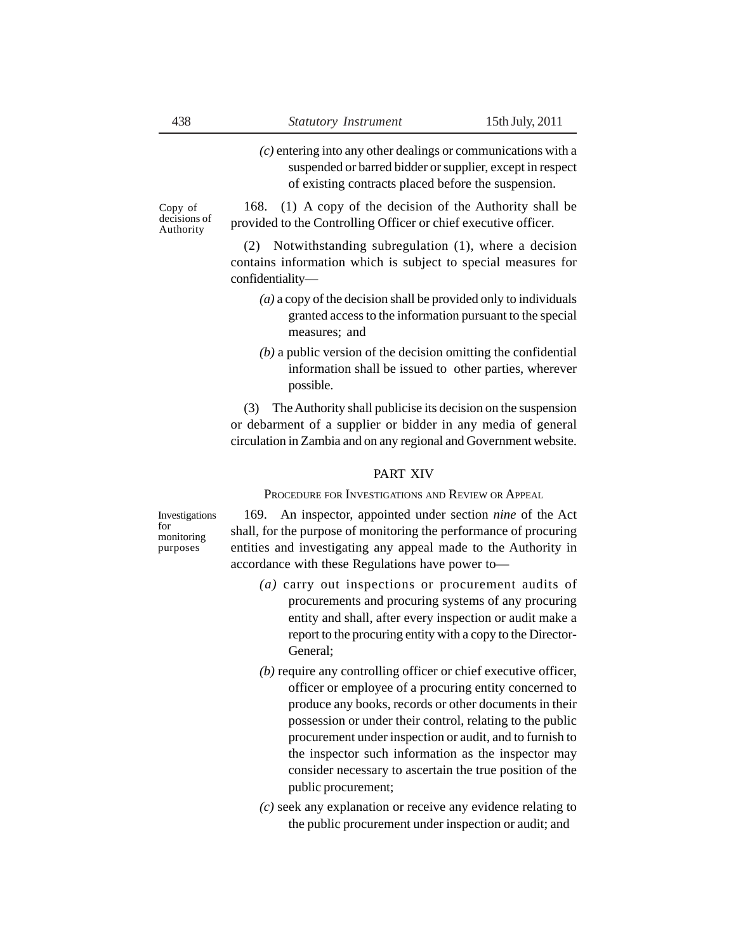*(c)* entering into any other dealings or communications with a suspended or barred bidder or supplier, except in respect of existing contracts placed before the suspension.

168. (1) A copy of the decision of the Authority shall be provided to the Controlling Officer or chief executive officer.

(2) Notwithstanding subregulation (1), where a decision contains information which is subject to special measures for confidentiality—

- *(a)* a copy of the decision shall be provided only to individuals granted access to the information pursuant to the special measures; and
- *(b)* a public version of the decision omitting the confidential information shall be issued to other parties, wherever possible.

(3) The Authority shall publicise its decision on the suspension or debarment of a supplier or bidder in any media of general circulation in Zambia and on any regional and Government website.

#### PART XIV

PROCEDURE FOR INVESTIGATIONS AND REVIEW OR APPEAL

Investigations for monitoring purposes

169. An inspector, appointed under section *nine* of the Act shall, for the purpose of monitoring the performance of procuring entities and investigating any appeal made to the Authority in accordance with these Regulations have power to—

- *(a)* carry out inspections or procurement audits of procurements and procuring systems of any procuring entity and shall, after every inspection or audit make a report to the procuring entity with a copy to the Director-General;
- *(b)* require any controlling officer or chief executive officer, officer or employee of a procuring entity concerned to produce any books, records or other documents in their possession or under their control, relating to the public procurement under inspection or audit, and to furnish to the inspector such information as the inspector may consider necessary to ascertain the true position of the public procurement;
- *(c)* seek any explanation or receive any evidence relating to the public procurement under inspection or audit; and

Copy of decisions of Authority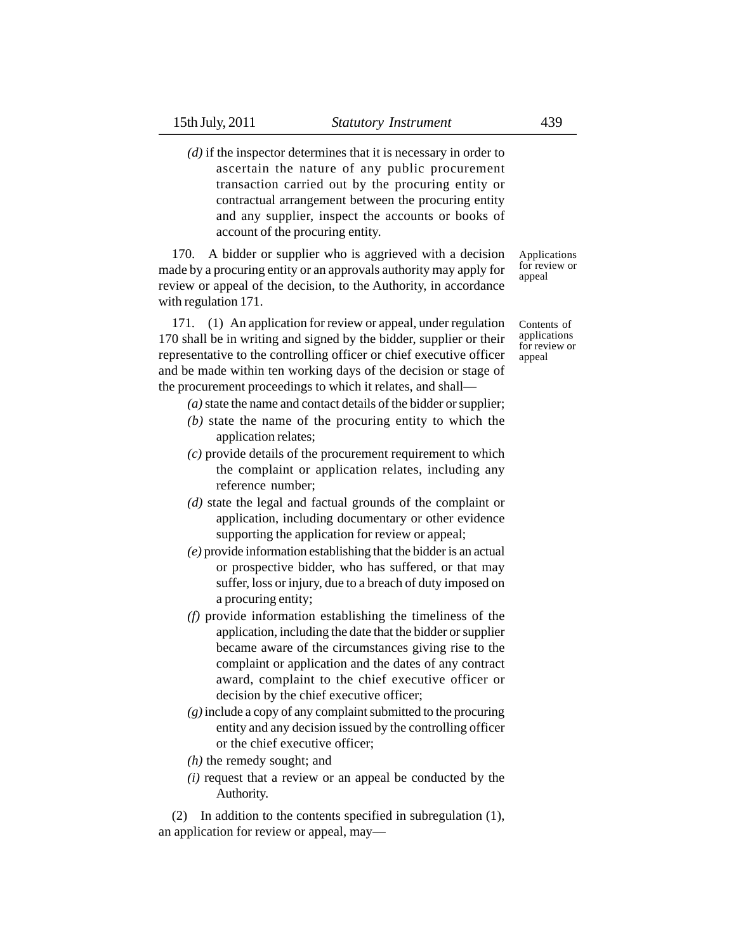*(d)* if the inspector determines that it is necessary in order to ascertain the nature of any public procurement transaction carried out by the procuring entity or contractual arrangement between the procuring entity and any supplier, inspect the accounts or books of account of the procuring entity.

170. A bidder or supplier who is aggrieved with a decision made by a procuring entity or an approvals authority may apply for review or appeal of the decision, to the Authority, in accordance with regulation 171.

171. (1) An application for review or appeal, under regulation 170 shall be in writing and signed by the bidder, supplier or their representative to the controlling officer or chief executive officer and be made within ten working days of the decision or stage of the procurement proceedings to which it relates, and shall—

- *(a)* state the name and contact details of the bidder or supplier;
- *(b)* state the name of the procuring entity to which the application relates;
- *(c)* provide details of the procurement requirement to which the complaint or application relates, including any reference number;
- *(d)* state the legal and factual grounds of the complaint or application, including documentary or other evidence supporting the application for review or appeal;
- *(e)* provide information establishing that the bidder is an actual or prospective bidder, who has suffered, or that may suffer, loss or injury, due to a breach of duty imposed on a procuring entity;
- *(f)* provide information establishing the timeliness of the application, including the date that the bidder or supplier became aware of the circumstances giving rise to the complaint or application and the dates of any contract award, complaint to the chief executive officer or decision by the chief executive officer;
- *(g)* include a copy of any complaint submitted to the procuring entity and any decision issued by the controlling officer or the chief executive officer;
- *(h)* the remedy sought; and
- *(i)* request that a review or an appeal be conducted by the Authority.

(2) In addition to the contents specified in subregulation (1), an application for review or appeal, mayApplications for review or appeal

Contents of applications for review or appeal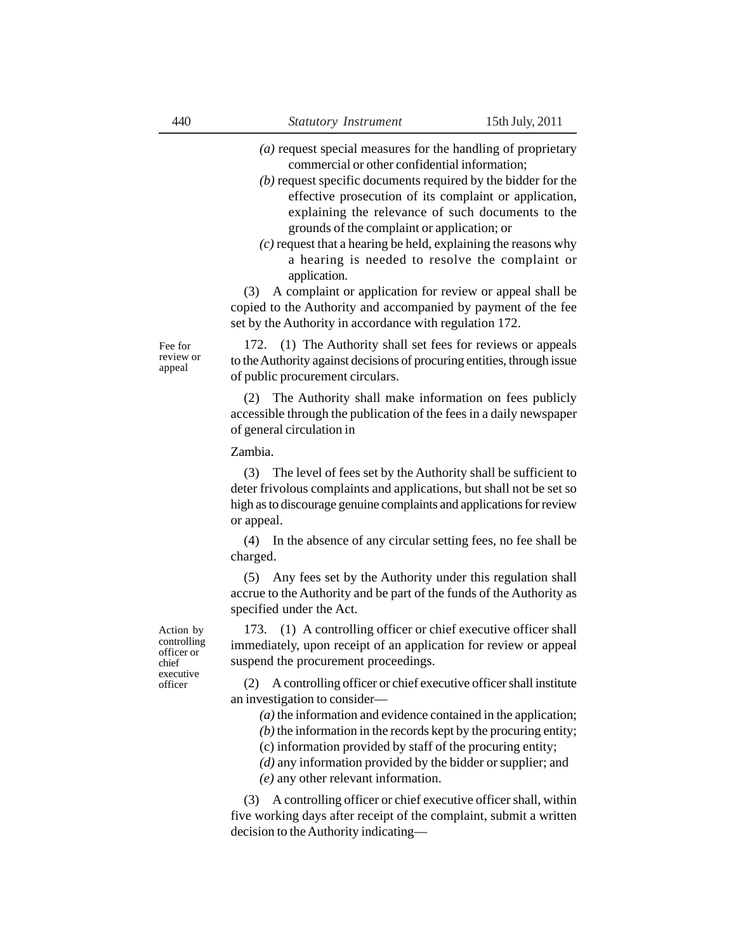- *(a)* request special measures for the handling of proprietary commercial or other confidential information;
- *(b)* request specific documents required by the bidder for the effective prosecution of its complaint or application, explaining the relevance of such documents to the grounds of the complaint or application; or
- *(c)* request that a hearing be held, explaining the reasons why a hearing is needed to resolve the complaint or application.

(3) A complaint or application for review or appeal shall be copied to the Authority and accompanied by payment of the fee set by the Authority in accordance with regulation 172.

Fee for review or appeal

172. (1) The Authority shall set fees for reviews or appeals to the Authority against decisions of procuring entities, through issue of public procurement circulars.

(2) The Authority shall make information on fees publicly accessible through the publication of the fees in a daily newspaper of general circulation in

Zambia.

(3) The level of fees set by the Authority shall be sufficient to deter frivolous complaints and applications, but shall not be set so high as to discourage genuine complaints and applications for review or appeal.

(4) In the absence of any circular setting fees, no fee shall be charged.

(5) Any fees set by the Authority under this regulation shall accrue to the Authority and be part of the funds of the Authority as specified under the Act.

Action by controlling officer or chief executive officer

173. (1) A controlling officer or chief executive officer shall immediately, upon receipt of an application for review or appeal suspend the procurement proceedings.

(2) A controlling officer or chief executive officer shall institute an investigation to consider—

*(a)* the information and evidence contained in the application;

*(b)* the information in the records kept by the procuring entity;

(c) information provided by staff of the procuring entity;

*(d)* any information provided by the bidder or supplier; and

*(e)* any other relevant information.

(3) A controlling officer or chief executive officer shall, within five working days after receipt of the complaint, submit a written decision to the Authority indicating—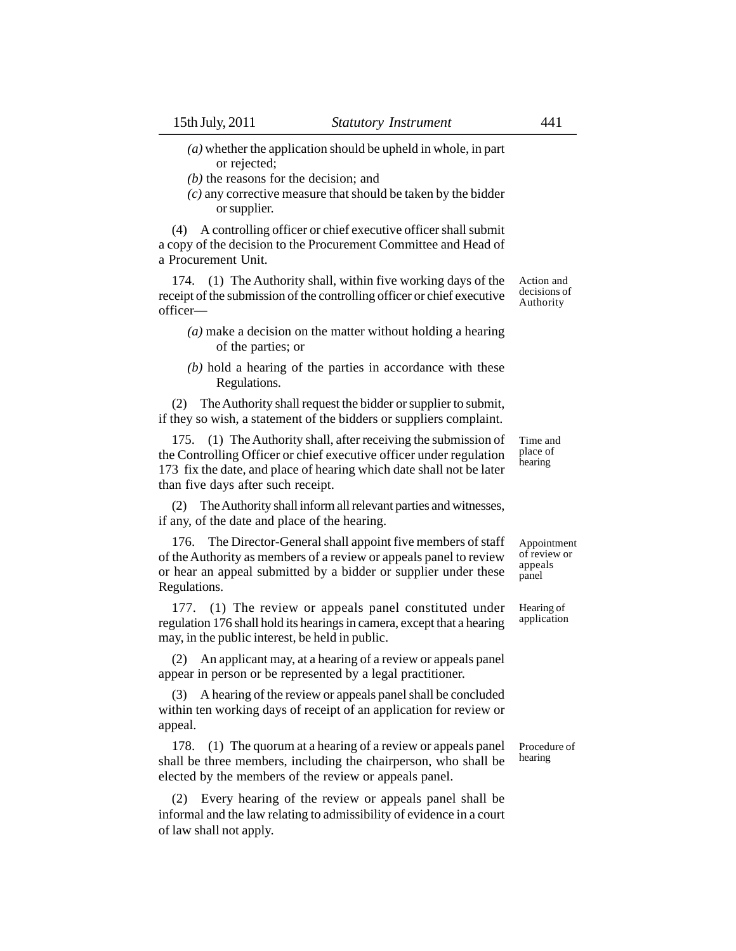- *(a)* whether the application should be upheld in whole, in part or rejected;
- *(b)* the reasons for the decision; and
- *(c)* any corrective measure that should be taken by the bidder or supplier.

(4) A controlling officer or chief executive officer shall submit a copy of the decision to the Procurement Committee and Head of a Procurement Unit.

174. (1) The Authority shall, within five working days of the receipt of the submission of the controlling officer or chief executive officer—

- *(a)* make a decision on the matter without holding a hearing of the parties; or
- *(b)* hold a hearing of the parties in accordance with these Regulations.

(2) The Authority shall request the bidder or supplier to submit, if they so wish, a statement of the bidders or suppliers complaint.

175. (1) The Authority shall, after receiving the submission of the Controlling Officer or chief executive officer under regulation 173 fix the date, and place of hearing which date shall not be later than five days after such receipt.

(2) The Authority shall inform all relevant parties and witnesses, if any, of the date and place of the hearing.

176. The Director-General shall appoint five members of staff of the Authority as members of a review or appeals panel to review or hear an appeal submitted by a bidder or supplier under these Regulations.

177. (1) The review or appeals panel constituted under regulation 176 shall hold its hearings in camera, except that a hearing may, in the public interest, be held in public.

(2) An applicant may, at a hearing of a review or appeals panel appear in person or be represented by a legal practitioner.

(3) A hearing of the review or appeals panel shall be concluded within ten working days of receipt of an application for review or appeal.

178. (1) The quorum at a hearing of a review or appeals panel shall be three members, including the chairperson, who shall be elected by the members of the review or appeals panel.

(2) Every hearing of the review or appeals panel shall be informal and the law relating to admissibility of evidence in a court of law shall not apply.

Time and place of **hearing** 

Action and decisions of Authority

Appointment of review or appeals panel

Hearing of application

Procedure of hearing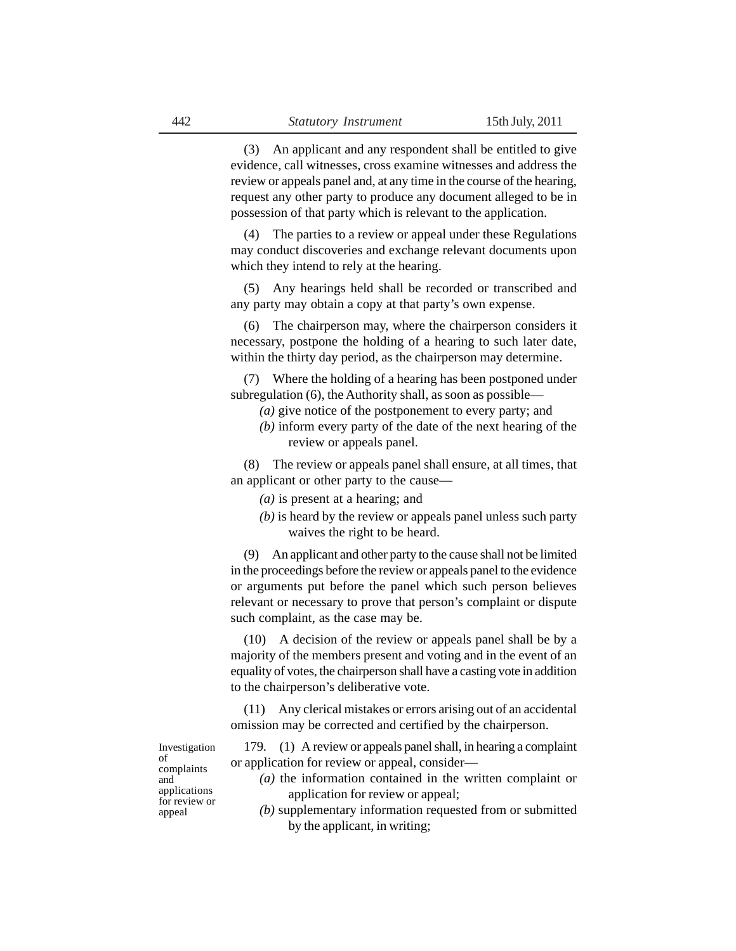(3) An applicant and any respondent shall be entitled to give evidence, call witnesses, cross examine witnesses and address the review or appeals panel and, at any time in the course of the hearing, request any other party to produce any document alleged to be in possession of that party which is relevant to the application.

(4) The parties to a review or appeal under these Regulations may conduct discoveries and exchange relevant documents upon which they intend to rely at the hearing.

(5) Any hearings held shall be recorded or transcribed and any party may obtain a copy at that party's own expense.

The chairperson may, where the chairperson considers it necessary, postpone the holding of a hearing to such later date, within the thirty day period, as the chairperson may determine.

(7) Where the holding of a hearing has been postponed under subregulation (6), the Authority shall, as soon as possible—

- *(a)* give notice of the postponement to every party; and
- *(b)* inform every party of the date of the next hearing of the review or appeals panel.

(8) The review or appeals panel shall ensure, at all times, that an applicant or other party to the cause—

- *(a)* is present at a hearing; and
- *(b)* is heard by the review or appeals panel unless such party waives the right to be heard.

(9) An applicant and other party to the cause shall not be limited in the proceedings before the review or appeals panel to the evidence or arguments put before the panel which such person believes relevant or necessary to prove that person's complaint or dispute such complaint, as the case may be.

(10) A decision of the review or appeals panel shall be by a majority of the members present and voting and in the event of an equality of votes, the chairperson shall have a casting vote in addition to the chairperson's deliberative vote.

(11) Any clerical mistakes or errors arising out of an accidental omission may be corrected and certified by the chairperson.

Investigation of complaints and applications for review or appeal

179. (1) A review or appeals panel shall, in hearing a complaint or application for review or appeal, consider—

- *(a)* the information contained in the written complaint or application for review or appeal;
- *(b)* supplementary information requested from or submitted by the applicant, in writing;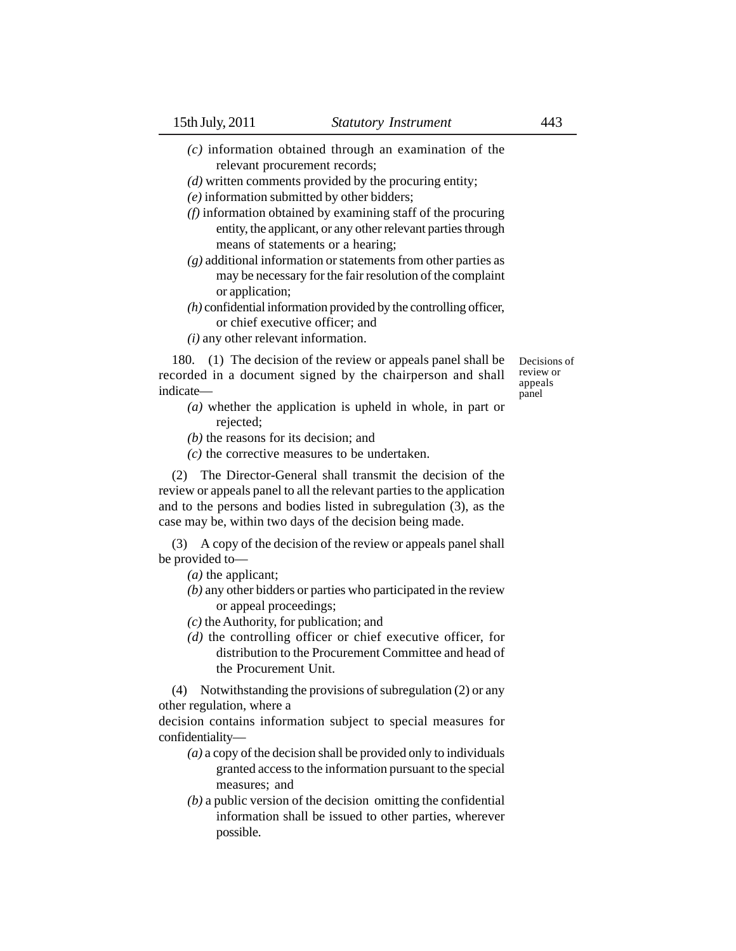- *(c)* information obtained through an examination of the relevant procurement records;
- *(d)* written comments provided by the procuring entity;
- *(e)* information submitted by other bidders;
- *(f)* information obtained by examining staff of the procuring entity, the applicant, or any other relevant parties through means of statements or a hearing;
- *(g)* additional information or statements from other parties as may be necessary for the fair resolution of the complaint or application;
- *(h)* confidential information provided by the controlling officer, or chief executive officer; and
- *(i)* any other relevant information.

180. (1) The decision of the review or appeals panel shall be recorded in a document signed by the chairperson and shall indicate—

Decisions of review or appeals panel

- *(a)* whether the application is upheld in whole, in part or rejected;
- *(b)* the reasons for its decision; and
- *(c)* the corrective measures to be undertaken.

(2) The Director-General shall transmit the decision of the review or appeals panel to all the relevant parties to the application and to the persons and bodies listed in subregulation (3), as the case may be, within two days of the decision being made.

(3) A copy of the decision of the review or appeals panel shall be provided to—

- *(a)* the applicant;
- *(b)* any other bidders or parties who participated in the review or appeal proceedings;
- *(c)* the Authority, for publication; and
- *(d)* the controlling officer or chief executive officer, for distribution to the Procurement Committee and head of the Procurement Unit.

(4) Notwithstanding the provisions of subregulation (2) or any other regulation, where a

decision contains information subject to special measures for confidentiality—

- *(a)* a copy of the decision shall be provided only to individuals granted access to the information pursuant to the special measures; and
- *(b)* a public version of the decision omitting the confidential information shall be issued to other parties, wherever possible.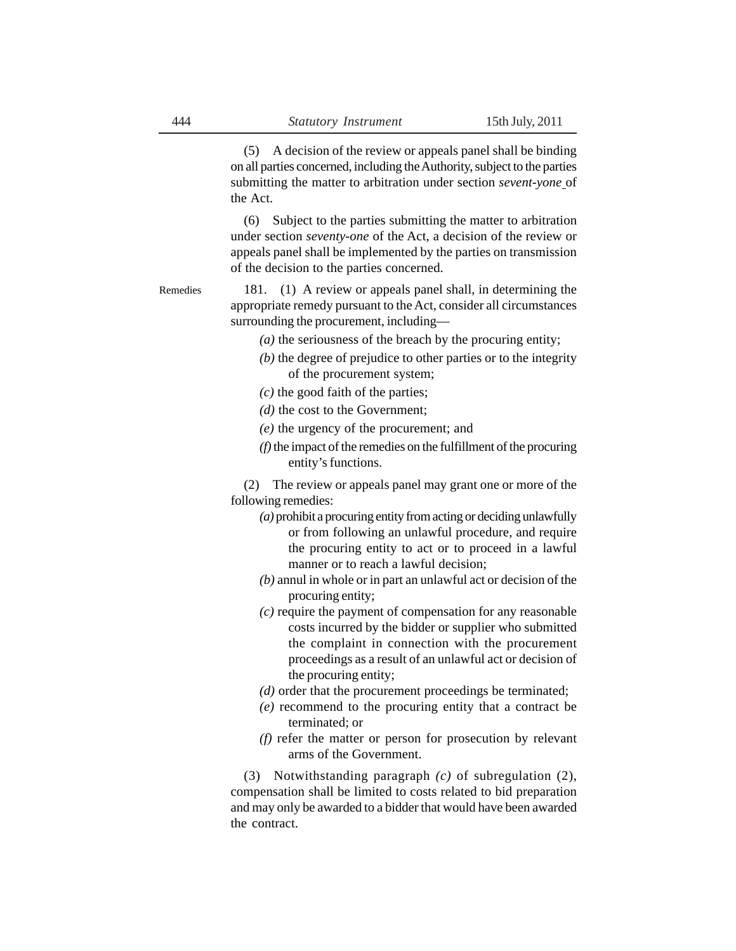(5) A decision of the review or appeals panel shall be binding on all parties concerned, including the Authority, subject to the parties submitting the matter to arbitration under section *sevent-yone* of the Act.

(6) Subject to the parties submitting the matter to arbitration under section *seventy-one* of the Act, a decision of the review or appeals panel shall be implemented by the parties on transmission of the decision to the parties concerned.

181. (1) A review or appeals panel shall, in determining the appropriate remedy pursuant to the Act, consider all circumstances surrounding the procurement, including— Remedies

- *(a)* the seriousness of the breach by the procuring entity;
- *(b)* the degree of prejudice to other parties or to the integrity of the procurement system;
- *(c)* the good faith of the parties;
- *(d)* the cost to the Government;
- *(e)* the urgency of the procurement; and
- *(f)* the impact of the remedies on the fulfillment of the procuring entity's functions.

(2) The review or appeals panel may grant one or more of the following remedies:

- *(a)* prohibit a procuring entity from acting or deciding unlawfully or from following an unlawful procedure, and require the procuring entity to act or to proceed in a lawful manner or to reach a lawful decision;
- *(b)* annul in whole or in part an unlawful act or decision of the procuring entity;
- *(c)* require the payment of compensation for any reasonable costs incurred by the bidder or supplier who submitted the complaint in connection with the procurement proceedings as a result of an unlawful act or decision of the procuring entity;
- *(d)* order that the procurement proceedings be terminated;
- *(e)* recommend to the procuring entity that a contract be terminated; or
- *(f)* refer the matter or person for prosecution by relevant arms of the Government.

(3) Notwithstanding paragraph *(c)* of subregulation (2), compensation shall be limited to costs related to bid preparation and may only be awarded to a bidder that would have been awarded the contract.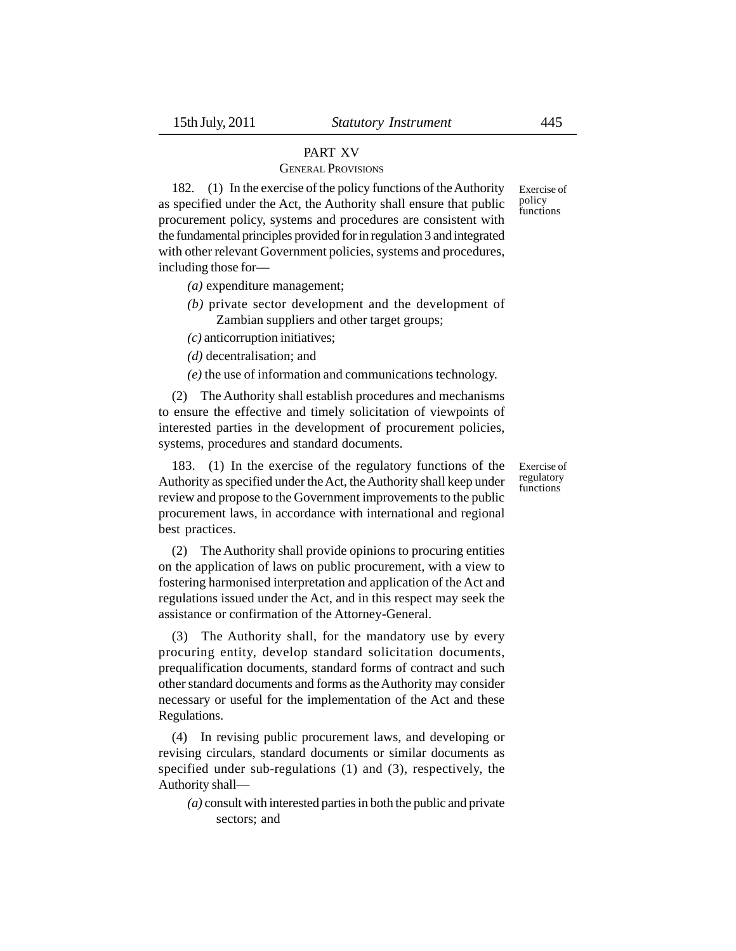# PART XV

## GENERAL PROVISIONS

182. (1) In the exercise of the policy functions of the Authority as specified under the Act, the Authority shall ensure that public procurement policy, systems and procedures are consistent with the fundamental principles provided for in regulation 3 and integrated with other relevant Government policies, systems and procedures, including those for—

*(a)* expenditure management;

*(b)* private sector development and the development of Zambian suppliers and other target groups;

*(c)* anticorruption initiatives;

*(d)* decentralisation; and

*(e)* the use of information and communications technology.

(2) The Authority shall establish procedures and mechanisms to ensure the effective and timely solicitation of viewpoints of interested parties in the development of procurement policies, systems, procedures and standard documents.

183. (1) In the exercise of the regulatory functions of the Authority as specified under the Act, the Authority shall keep under review and propose to the Government improvements to the public procurement laws, in accordance with international and regional best practices.

(2) The Authority shall provide opinions to procuring entities on the application of laws on public procurement, with a view to fostering harmonised interpretation and application of the Act and regulations issued under the Act, and in this respect may seek the assistance or confirmation of the Attorney-General.

(3) The Authority shall, for the mandatory use by every procuring entity, develop standard solicitation documents, prequalification documents, standard forms of contract and such other standard documents and forms as the Authority may consider necessary or useful for the implementation of the Act and these Regulations.

(4) In revising public procurement laws, and developing or revising circulars, standard documents or similar documents as specified under sub-regulations (1) and (3), respectively, the Authority shall—

*(a)* consult with interested parties in both the public and private sectors; and

Exercise of policy functions

Exercise of regulatory functions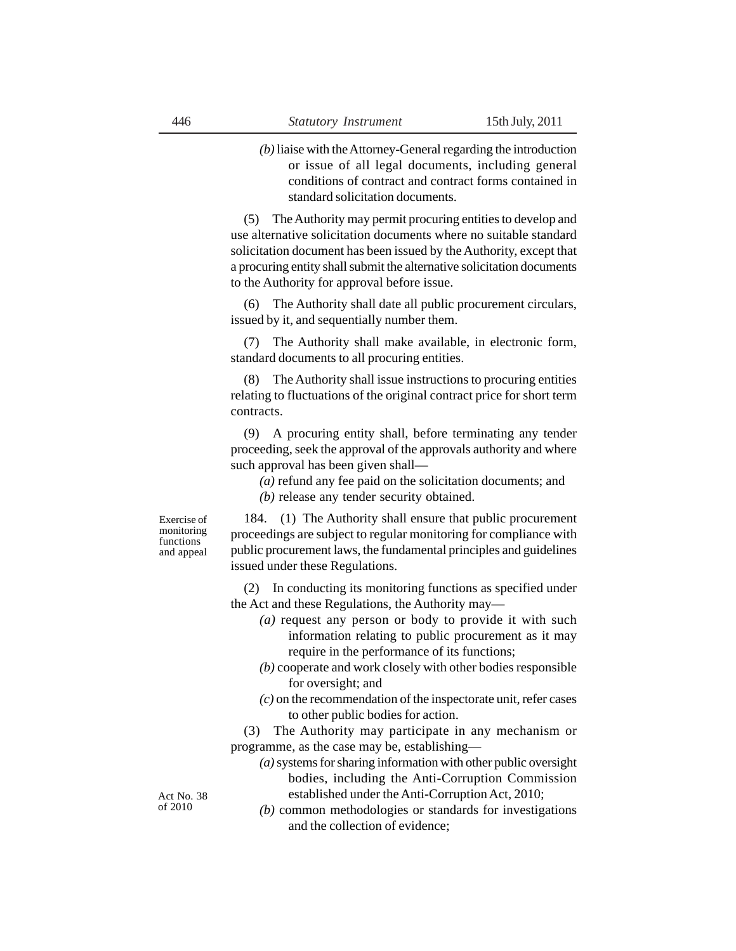*(b)* liaise with the Attorney-General regarding the introduction or issue of all legal documents, including general conditions of contract and contract forms contained in standard solicitation documents.

(5) The Authority may permit procuring entities to develop and use alternative solicitation documents where no suitable standard solicitation document has been issued by the Authority, except that a procuring entity shall submit the alternative solicitation documents to the Authority for approval before issue.

(6) The Authority shall date all public procurement circulars, issued by it, and sequentially number them.

(7) The Authority shall make available, in electronic form, standard documents to all procuring entities.

(8) The Authority shall issue instructions to procuring entities relating to fluctuations of the original contract price for short term contracts.

(9) A procuring entity shall, before terminating any tender proceeding, seek the approval of the approvals authority and where such approval has been given shall—

*(a)* refund any fee paid on the solicitation documents; and

*(b)* release any tender security obtained.

Exercise of monitoring functions and appeal

184. (1) The Authority shall ensure that public procurement proceedings are subject to regular monitoring for compliance with public procurement laws, the fundamental principles and guidelines issued under these Regulations.

(2) In conducting its monitoring functions as specified under the Act and these Regulations, the Authority may—

- *(a)* request any person or body to provide it with such information relating to public procurement as it may require in the performance of its functions;
- *(b)* cooperate and work closely with other bodies responsible for oversight; and
- *(c)* on the recommendation of the inspectorate unit, refer cases to other public bodies for action.

(3) The Authority may participate in any mechanism or programme, as the case may be, establishing—

- *(a)* systems for sharing information with other public oversight bodies, including the Anti-Corruption Commission established under the Anti-Corruption Act, 2010;
- *(b)* common methodologies or standards for investigations and the collection of evidence;

Act No. 38 of 2010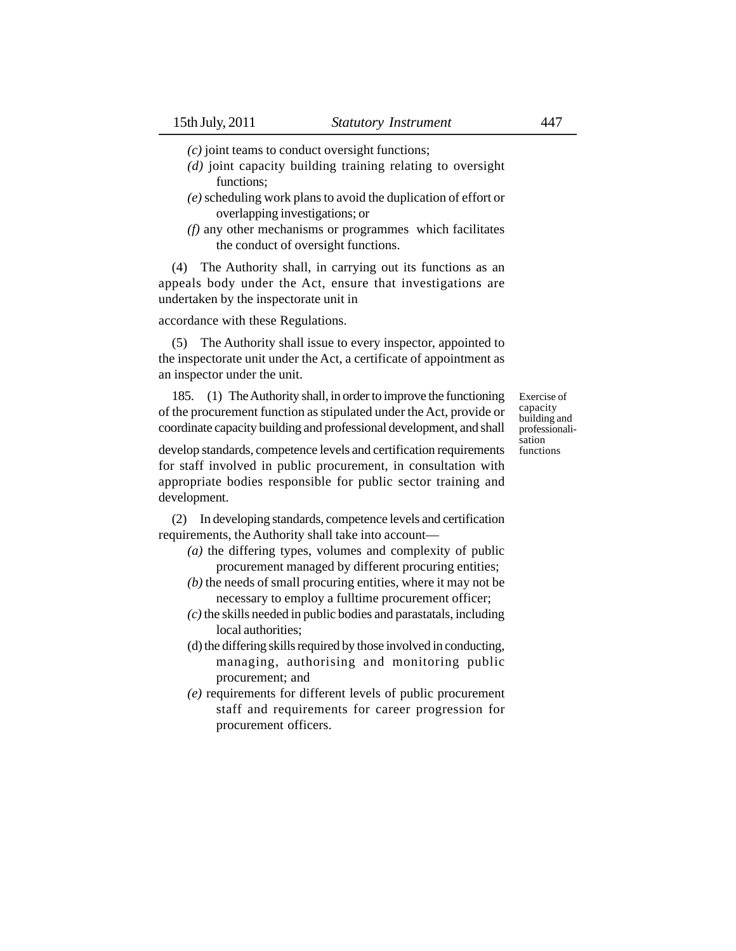*(c)* joint teams to conduct oversight functions;

- *(d)* joint capacity building training relating to oversight functions;
- *(e)* scheduling work plans to avoid the duplication of effort or overlapping investigations; or
- *(f)* any other mechanisms or programmes which facilitates the conduct of oversight functions.

(4) The Authority shall, in carrying out its functions as an appeals body under the Act, ensure that investigations are undertaken by the inspectorate unit in

### accordance with these Regulations.

(5) The Authority shall issue to every inspector, appointed to the inspectorate unit under the Act, a certificate of appointment as an inspector under the unit.

185. (1) The Authority shall, in order to improve the functioning of the procurement function as stipulated under the Act, provide or coordinate capacity building and professional development, and shall

Exercise of capacity building and professionalisation functions

develop standards, competence levels and certification requirements for staff involved in public procurement, in consultation with appropriate bodies responsible for public sector training and development.

(2) In developing standards, competence levels and certification requirements, the Authority shall take into account—

- *(a)* the differing types, volumes and complexity of public procurement managed by different procuring entities;
- *(b)* the needs of small procuring entities, where it may not be necessary to employ a fulltime procurement officer;
- *(c)* the skills needed in public bodies and parastatals, including local authorities;
- (d) the differing skills required by those involved in conducting, managing, authorising and monitoring public procurement; and
- *(e)* requirements for different levels of public procurement staff and requirements for career progression for procurement officers.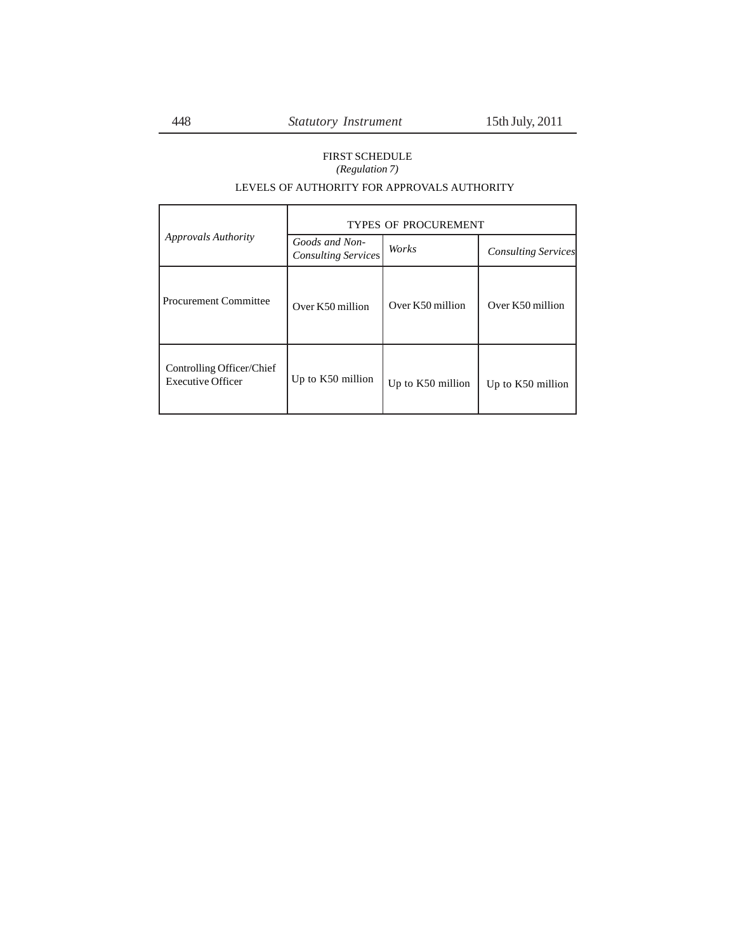# FIRST SCHEDULE *(Regulation 7)*

## LEVELS OF AUTHORITY FOR APPROVALS AUTHORITY

|                                                       | <b>TYPES OF PROCUREMENT</b>                  |                   |                            |  |  |  |
|-------------------------------------------------------|----------------------------------------------|-------------------|----------------------------|--|--|--|
| <b>Approvals Authority</b>                            | Goods and Non-<br><b>Consulting Services</b> | Works             | <b>Consulting Services</b> |  |  |  |
| <b>Procurement Committee</b>                          | Over K50 million                             | Over K50 million  | Over K50 million           |  |  |  |
| Controlling Officer/Chief<br><b>Executive Officer</b> | Up to K50 million                            | Up to K50 million | Up to K50 million          |  |  |  |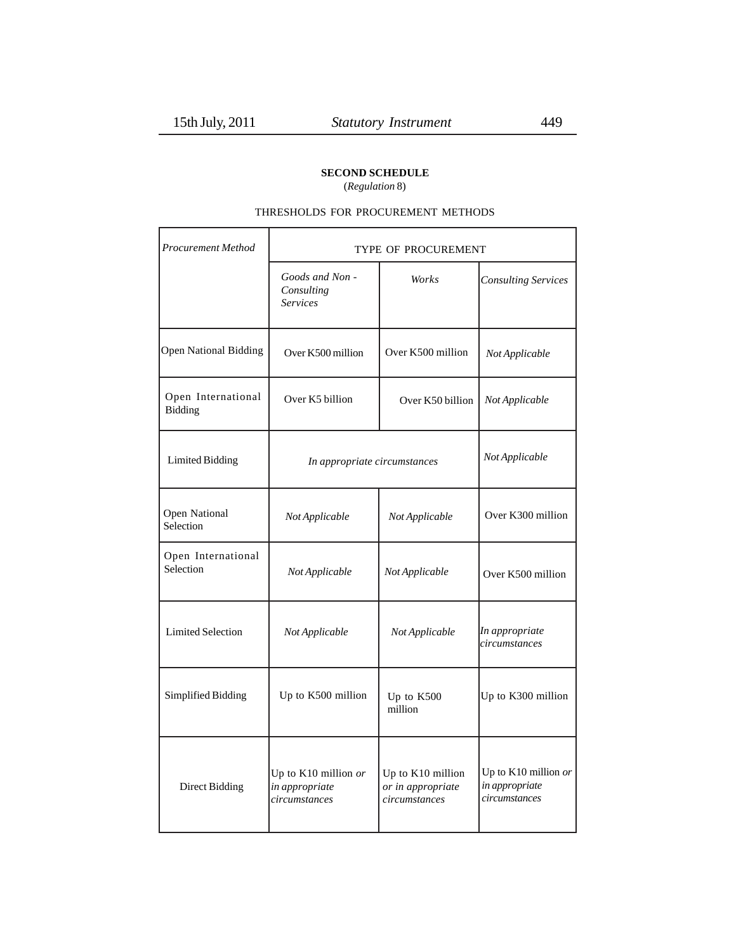г

### **SECOND SCHEDULE**

(*Regulation* 8)

### THRESHOLDS FOR PROCUREMENT METHODS

| <b>Procurement Method</b>       | TYPE OF PROCUREMENT                                     |                                                         |                                                         |  |  |  |  |
|---------------------------------|---------------------------------------------------------|---------------------------------------------------------|---------------------------------------------------------|--|--|--|--|
|                                 | Goods and Non -<br>Consulting<br><b>Services</b>        | Works                                                   | <b>Consulting Services</b>                              |  |  |  |  |
| <b>Open National Bidding</b>    | Over K500 million                                       | Over K500 million                                       | Not Applicable                                          |  |  |  |  |
| Open International<br>Bidding   | Over K5 billion                                         | Over K50 billion                                        | Not Applicable                                          |  |  |  |  |
| <b>Limited Bidding</b>          | In appropriate circumstances                            | Not Applicable                                          |                                                         |  |  |  |  |
| Open National<br>Selection      | Not Applicable                                          | Not Applicable                                          | Over K300 million                                       |  |  |  |  |
| Open International<br>Selection | Not Applicable                                          | Not Applicable                                          | Over K500 million                                       |  |  |  |  |
| <b>Limited Selection</b>        | Not Applicable                                          | Not Applicable                                          | In appropriate<br>circumstances                         |  |  |  |  |
| Simplified Bidding              | Up to K500 million                                      | Up to K500<br>million                                   | Up to K300 million                                      |  |  |  |  |
| <b>Direct Bidding</b>           | Up to K10 million or<br>in appropriate<br>circumstances | Up to K10 million<br>or in appropriate<br>circumstances | Up to K10 million or<br>in appropriate<br>circumstances |  |  |  |  |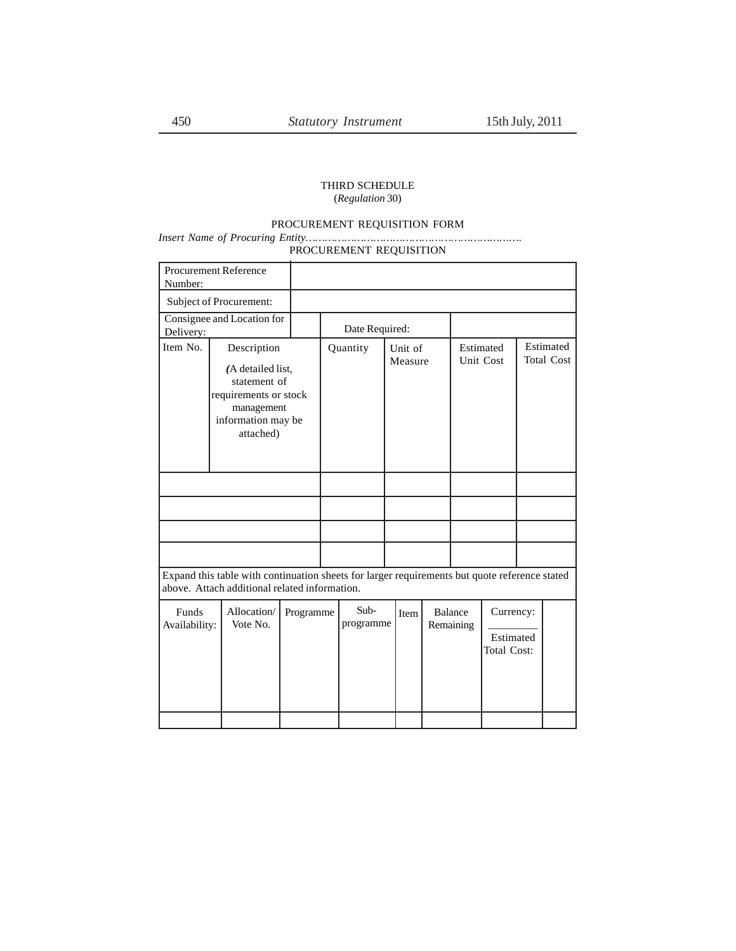### THIRD SCHEDULE (*Regulation* 30)

#### PROCUREMENT REQUISITION FORM

### *Insert Name of Procuring Entity………………………………………………………….* PROCUREMENT REQUISITION

| Number:                                                                                                                                        | <b>Procurement Reference</b>                                                                                               |           |                |                   |                    |      |                        |  |                                       |  |  |
|------------------------------------------------------------------------------------------------------------------------------------------------|----------------------------------------------------------------------------------------------------------------------------|-----------|----------------|-------------------|--------------------|------|------------------------|--|---------------------------------------|--|--|
|                                                                                                                                                | Subject of Procurement:                                                                                                    |           |                |                   |                    |      |                        |  |                                       |  |  |
| Consignee and Location for<br>Delivery:                                                                                                        |                                                                                                                            |           | Date Required: |                   |                    |      |                        |  |                                       |  |  |
| Item No.                                                                                                                                       | Description<br>(A detailed list,<br>statement of<br>requirements or stock<br>management<br>information may be<br>attached) |           |                | Quantity          | Unit of<br>Measure |      | Estimated<br>Unit Cost |  | Estimated<br><b>Total Cost</b>        |  |  |
|                                                                                                                                                |                                                                                                                            |           |                |                   |                    |      |                        |  |                                       |  |  |
|                                                                                                                                                |                                                                                                                            |           |                |                   |                    |      |                        |  |                                       |  |  |
|                                                                                                                                                |                                                                                                                            |           |                |                   |                    |      |                        |  |                                       |  |  |
|                                                                                                                                                |                                                                                                                            |           |                |                   |                    |      |                        |  |                                       |  |  |
| Expand this table with continuation sheets for larger requirements but quote reference stated<br>above. Attach additional related information. |                                                                                                                            |           |                |                   |                    |      |                        |  |                                       |  |  |
| Funds<br>Availability:                                                                                                                         | Allocation/<br>Vote No.                                                                                                    | Programme |                | Sub-<br>programme |                    | Item | Balance<br>Remaining   |  | Currency:<br>Estimated<br>Total Cost: |  |  |
|                                                                                                                                                |                                                                                                                            |           |                |                   |                    |      |                        |  |                                       |  |  |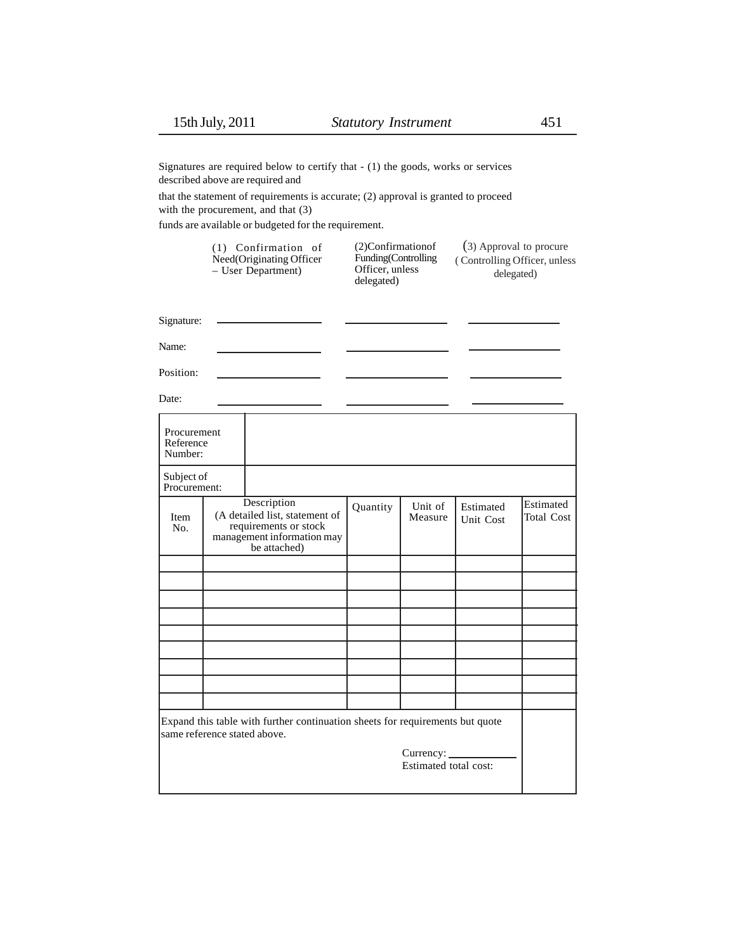Signatures are required below to certify that - (1) the goods, works or services described above are required and

that the statement of requirements is accurate; (2) approval is granted to proceed with the procurement, and that (3)

funds are available or budgeted for the requirement.

| $(1)$ Confirmation of<br>Need(Originating Officer<br>$-$ User Department) | $(2)$ Confirmation of<br>Funding (Controlling)<br>Officer, unless<br>delegated) | (3) Approval to procure<br>(Controlling Officer, unless<br>delegated) |
|---------------------------------------------------------------------------|---------------------------------------------------------------------------------|-----------------------------------------------------------------------|
|                                                                           |                                                                                 |                                                                       |

Signature:

Name: Position:

Date:

| Procurement<br>Reference<br>Number: |                                                                                                                      |          |                                    |                        |                                |
|-------------------------------------|----------------------------------------------------------------------------------------------------------------------|----------|------------------------------------|------------------------|--------------------------------|
| Subject of<br>Procurement:          |                                                                                                                      |          |                                    |                        |                                |
| Item<br>No.                         | Description<br>(A detailed list, statement of<br>requirements or stock<br>management information may<br>be attached) | Quantity | Unit of<br>Measure                 | Estimated<br>Unit Cost | Estimated<br><b>Total Cost</b> |
|                                     |                                                                                                                      |          |                                    |                        |                                |
|                                     |                                                                                                                      |          |                                    |                        |                                |
|                                     |                                                                                                                      |          |                                    |                        |                                |
|                                     |                                                                                                                      |          |                                    |                        |                                |
|                                     |                                                                                                                      |          |                                    |                        |                                |
|                                     |                                                                                                                      |          |                                    |                        |                                |
|                                     |                                                                                                                      |          |                                    |                        |                                |
|                                     |                                                                                                                      |          |                                    |                        |                                |
|                                     |                                                                                                                      |          |                                    |                        |                                |
| same reference stated above.        | Expand this table with further continuation sheets for requirements but quote                                        |          |                                    |                        |                                |
|                                     |                                                                                                                      |          | Currency:<br>Estimated total cost: |                        |                                |
|                                     |                                                                                                                      |          |                                    |                        |                                |